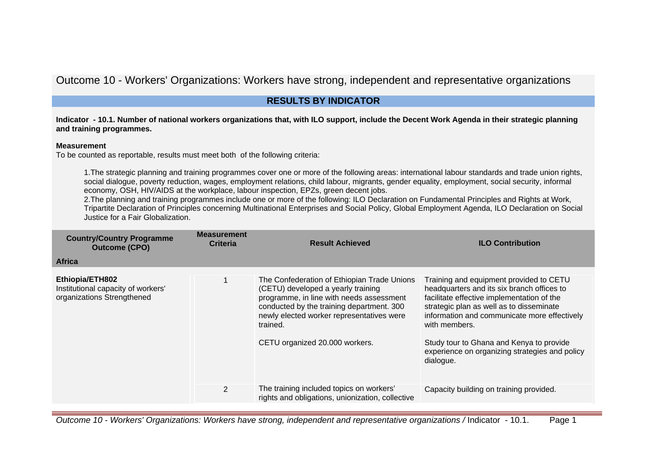Outcome 10 - Workers' Organizations: Workers have strong, independent and representative organizations

# **RESULTS BY INDICATOR**

**Indicator - 10.1. Number of national workers organizations that, with ILO support, include the Decent Work Agenda in their strategic planning and training programmes.**

#### **Measurement**

To be counted as reportable, results must meet both of the following criteria:

1.The strategic planning and training programmes cover one or more of the following areas: international labour standards and trade union rights, social dialogue, poverty reduction, wages, employment relations, child labour, migrants, gender equality, employment, social security, informal economy, OSH, HIV/AIDS at the workplace, labour inspection, EPZs, green decent jobs.

2.The planning and training programmes include one or more of the following: ILO Declaration on Fundamental Principles and Rights at Work, Tripartite Declaration of Principles concerning Multinational Enterprises and Social Policy, Global Employment Agenda, ILO Declaration on Social Justice for a Fair Globalization.

| <b>Country/Country Programme</b><br><b>Outcome (CPO)</b>                            | <b>Measurement</b><br><b>Criteria</b> | <b>Result Achieved</b>                                                                                                                                                                                                                                                | <b>ILO Contribution</b>                                                                                                                                                                                                                                                                                                                                     |
|-------------------------------------------------------------------------------------|---------------------------------------|-----------------------------------------------------------------------------------------------------------------------------------------------------------------------------------------------------------------------------------------------------------------------|-------------------------------------------------------------------------------------------------------------------------------------------------------------------------------------------------------------------------------------------------------------------------------------------------------------------------------------------------------------|
| <b>Africa</b>                                                                       |                                       |                                                                                                                                                                                                                                                                       |                                                                                                                                                                                                                                                                                                                                                             |
| Ethiopia/ETH802<br>Institutional capacity of workers'<br>organizations Strengthened |                                       | The Confederation of Ethiopian Trade Unions<br>(CETU) developed a yearly training<br>programme, in line with needs assessment<br>conducted by the training department. 300<br>newly elected worker representatives were<br>trained.<br>CETU organized 20.000 workers. | Training and equipment provided to CETU<br>headquarters and its six branch offices to<br>facilitate effective implementation of the<br>strategic plan as well as to disseminate<br>information and communicate more effectively<br>with members.<br>Study tour to Ghana and Kenya to provide<br>experience on organizing strategies and policy<br>dialogue. |
|                                                                                     | $\overline{2}$                        | The training included topics on workers'<br>rights and obligations, unionization, collective                                                                                                                                                                          | Capacity building on training provided.                                                                                                                                                                                                                                                                                                                     |

Outcome 10 - Workers' Organizations: Workers have strong, independent and representative organizations / Indicator - 10.1. Page 1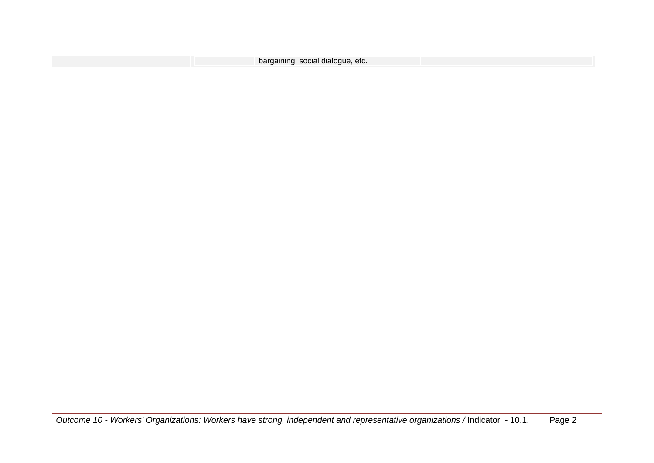| bargaining, social dialogue, etc. |  |
|-----------------------------------|--|
|                                   |  |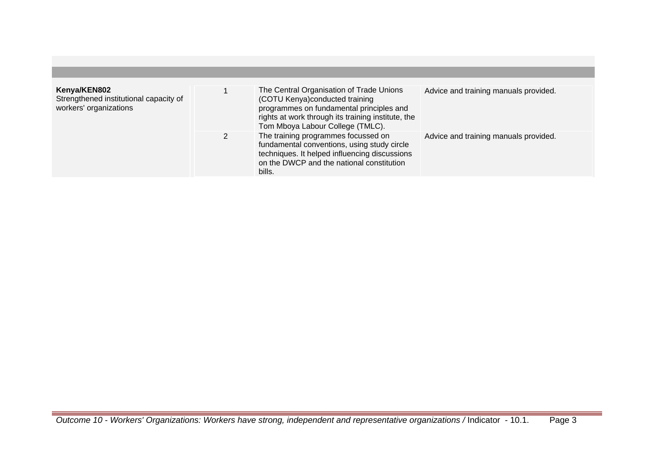| Kenya/KEN802<br>Strengthened institutional capacity of<br>workers' organizations | The Central Organisation of Trade Unions<br>(COTU Kenya) conducted training<br>programmes on fundamental principles and<br>rights at work through its training institute, the<br>Tom Mboya Labour College (TMLC). | Advice and training manuals provided. |
|----------------------------------------------------------------------------------|-------------------------------------------------------------------------------------------------------------------------------------------------------------------------------------------------------------------|---------------------------------------|
|                                                                                  | The training programmes focussed on<br>fundamental conventions, using study circle<br>techniques. It helped influencing discussions<br>on the DWCP and the national constitution<br>bills.                        | Advice and training manuals provided. |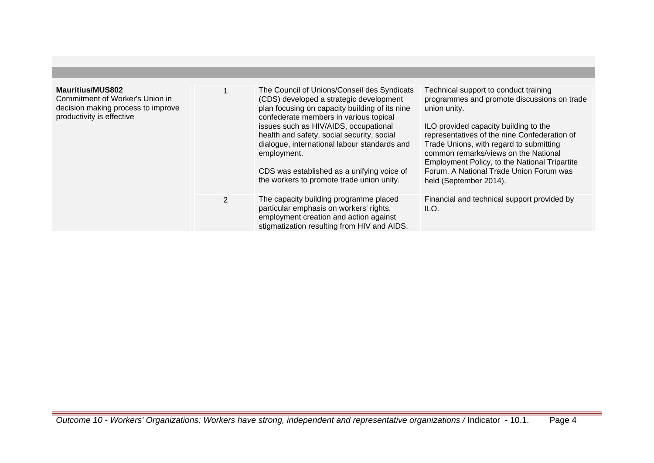| <b>Mauritius/MUS802</b><br>Commitment of Worker's Union in<br>decision making process to improve<br>productivity is effective |                | The Council of Unions/Conseil des Syndicats<br>(CDS) developed a strategic development<br>plan focusing on capacity building of its nine<br>confederate members in various topical<br>issues such as HIV/AIDS, occupational<br>health and safety, social security, social<br>dialogue, international labour standards and<br>employment.<br>CDS was established as a unifying voice of<br>the workers to promote trade union unity. | Technical support to conduct training<br>programmes and promote discussions on trade<br>union unity.<br>ILO provided capacity building to the<br>representatives of the nine Confederation of<br>Trade Unions, with regard to submitting<br>common remarks/views on the National<br><b>Employment Policy, to the National Tripartite</b><br>Forum. A National Trade Union Forum was<br>held (September 2014). |
|-------------------------------------------------------------------------------------------------------------------------------|----------------|-------------------------------------------------------------------------------------------------------------------------------------------------------------------------------------------------------------------------------------------------------------------------------------------------------------------------------------------------------------------------------------------------------------------------------------|---------------------------------------------------------------------------------------------------------------------------------------------------------------------------------------------------------------------------------------------------------------------------------------------------------------------------------------------------------------------------------------------------------------|
|                                                                                                                               | $\overline{2}$ | The capacity building programme placed<br>particular emphasis on workers' rights,<br>employment creation and action against<br>stigmatization resulting from HIV and AIDS.                                                                                                                                                                                                                                                          | Financial and technical support provided by<br>ILO.                                                                                                                                                                                                                                                                                                                                                           |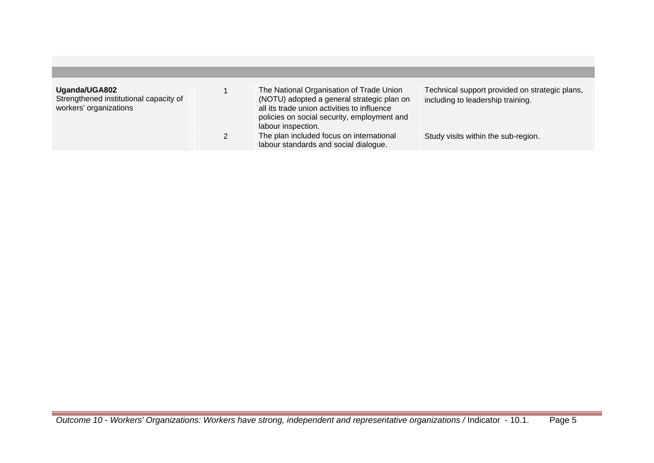| Uganda/UGA802<br>Strengthened institutional capacity of<br>workers' organizations | The National Organisation of Trade Union<br>(NOTU) adopted a general strategic plan on<br>all its trade union activities to influence<br>policies on social security, employment and<br>labour inspection. | Technical support provided on strategic plans,<br>including to leadership training. |
|-----------------------------------------------------------------------------------|------------------------------------------------------------------------------------------------------------------------------------------------------------------------------------------------------------|-------------------------------------------------------------------------------------|
|                                                                                   | The plan included focus on international<br>labour standards and social dialogue.                                                                                                                          | Study visits within the sub-region.                                                 |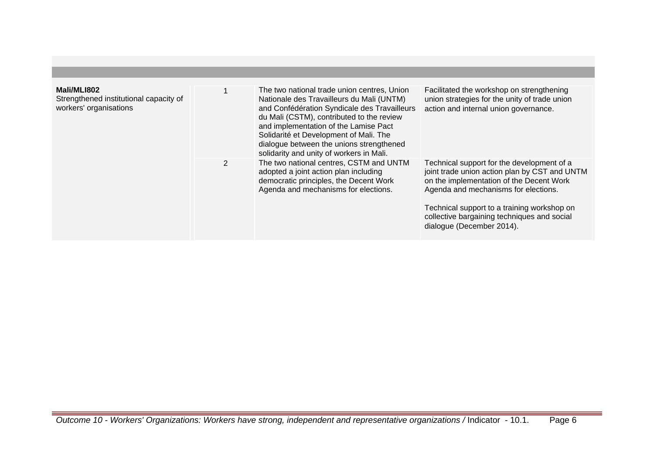| Mali/MLI802<br>Strengthened institutional capacity of<br>workers' organisations |                | The two national trade union centres, Union<br>Nationale des Travailleurs du Mali (UNTM)<br>and Confédération Syndicale des Travailleurs<br>du Mali (CSTM), contributed to the review<br>and implementation of the Lamise Pact<br>Solidarité et Development of Mali. The<br>dialogue between the unions strengthened<br>solidarity and unity of workers in Mali. | Facilitated the workshop on strengthening<br>union strategies for the unity of trade union<br>action and internal union governance.                                                                                                                                                                        |
|---------------------------------------------------------------------------------|----------------|------------------------------------------------------------------------------------------------------------------------------------------------------------------------------------------------------------------------------------------------------------------------------------------------------------------------------------------------------------------|------------------------------------------------------------------------------------------------------------------------------------------------------------------------------------------------------------------------------------------------------------------------------------------------------------|
|                                                                                 | $\overline{2}$ | The two national centres, CSTM and UNTM<br>adopted a joint action plan including<br>democratic principles, the Decent Work<br>Agenda and mechanisms for elections.                                                                                                                                                                                               | Technical support for the development of a<br>joint trade union action plan by CST and UNTM<br>on the implementation of the Decent Work<br>Agenda and mechanisms for elections.<br>Technical support to a training workshop on<br>collective bargaining techniques and social<br>dialogue (December 2014). |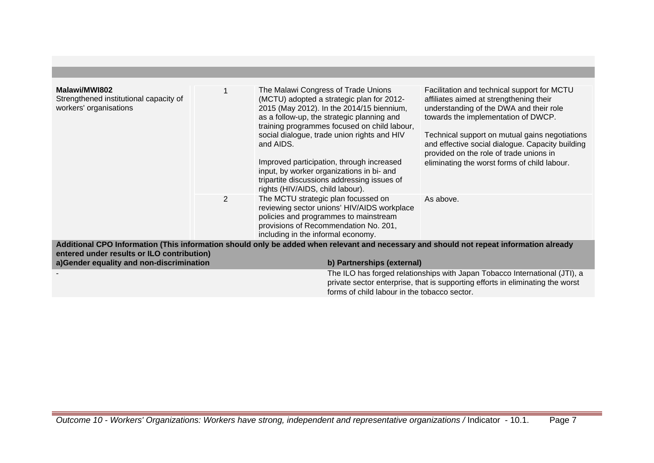| Malawi/MWI802<br>Strengthened institutional capacity of<br>workers' organisations      |   | The Malawi Congress of Trade Unions<br>(MCTU) adopted a strategic plan for 2012-<br>2015 (May 2012). In the 2014/15 biennium,<br>as a follow-up, the strategic planning and<br>training programmes focused on child labour,<br>social dialogue, trade union rights and HIV<br>and AIDS.<br>Improved participation, through increased<br>input, by worker organizations in bi- and<br>tripartite discussions addressing issues of<br>rights (HIV/AIDS, child labour). | Facilitation and technical support for MCTU<br>affiliates aimed at strengthening their<br>understanding of the DWA and their role<br>towards the implementation of DWCP.<br>Technical support on mutual gains negotiations<br>and effective social dialogue. Capacity building<br>provided on the role of trade unions in<br>eliminating the worst forms of child labour. |
|----------------------------------------------------------------------------------------|---|----------------------------------------------------------------------------------------------------------------------------------------------------------------------------------------------------------------------------------------------------------------------------------------------------------------------------------------------------------------------------------------------------------------------------------------------------------------------|---------------------------------------------------------------------------------------------------------------------------------------------------------------------------------------------------------------------------------------------------------------------------------------------------------------------------------------------------------------------------|
|                                                                                        | 2 | The MCTU strategic plan focussed on<br>reviewing sector unions' HIV/AIDS workplace<br>policies and programmes to mainstream<br>provisions of Recommendation No. 201,<br>including in the informal economy.                                                                                                                                                                                                                                                           | As above.                                                                                                                                                                                                                                                                                                                                                                 |
|                                                                                        |   | Additional CPO Information (This information should only be added when relevant and necessary and should not repeat information already                                                                                                                                                                                                                                                                                                                              |                                                                                                                                                                                                                                                                                                                                                                           |
| entered under results or ILO contribution)<br>a)Gender equality and non-discrimination |   | b) Partnerships (external)                                                                                                                                                                                                                                                                                                                                                                                                                                           |                                                                                                                                                                                                                                                                                                                                                                           |
|                                                                                        |   | forms of child labour in the tobacco sector.                                                                                                                                                                                                                                                                                                                                                                                                                         | The ILO has forged relationships with Japan Tobacco International (JTI), a<br>private sector enterprise, that is supporting efforts in eliminating the worst                                                                                                                                                                                                              |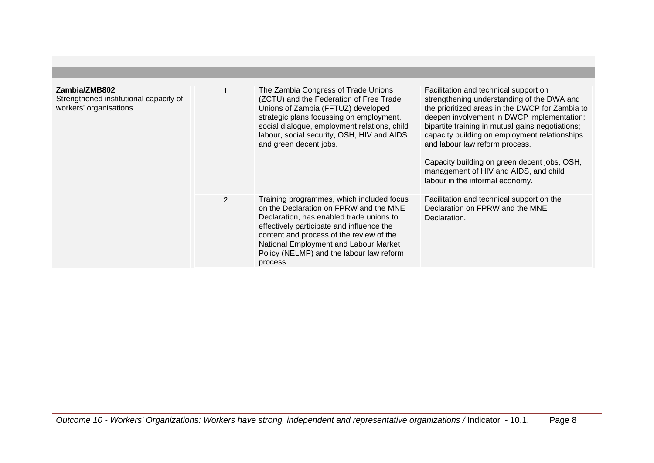| Zambia/ZMB802<br>Strengthened institutional capacity of<br>workers' organisations |   | The Zambia Congress of Trade Unions<br>(ZCTU) and the Federation of Free Trade<br>Unions of Zambia (FFTUZ) developed<br>strategic plans focussing on employment,<br>social dialogue, employment relations, child<br>labour, social security, OSH, HIV and AIDS<br>and green decent jobs.                                  | Facilitation and technical support on<br>strengthening understanding of the DWA and<br>the prioritized areas in the DWCP for Zambia to<br>deepen involvement in DWCP implementation;<br>bipartite training in mutual gains negotiations;<br>capacity building on employment relationships<br>and labour law reform process.<br>Capacity building on green decent jobs, OSH,<br>management of HIV and AIDS, and child<br>labour in the informal economy. |
|-----------------------------------------------------------------------------------|---|---------------------------------------------------------------------------------------------------------------------------------------------------------------------------------------------------------------------------------------------------------------------------------------------------------------------------|---------------------------------------------------------------------------------------------------------------------------------------------------------------------------------------------------------------------------------------------------------------------------------------------------------------------------------------------------------------------------------------------------------------------------------------------------------|
|                                                                                   | 2 | Training programmes, which included focus<br>on the Declaration on FPRW and the MNE<br>Declaration, has enabled trade unions to<br>effectively participate and influence the<br>content and process of the review of the<br>National Employment and Labour Market<br>Policy (NELMP) and the labour law reform<br>process. | Facilitation and technical support on the<br>Declaration on FPRW and the MNE<br>Declaration.                                                                                                                                                                                                                                                                                                                                                            |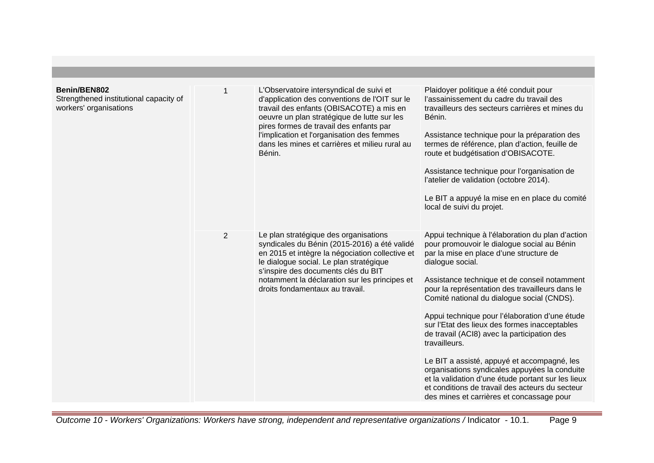| Benin/BEN802<br>Strengthened institutional capacity of<br>workers' organisations |                | L'Observatoire intersyndical de suivi et<br>d'application des conventions de l'OIT sur le<br>travail des enfants (OBISACOTE) a mis en<br>oeuvre un plan stratégique de lutte sur les<br>pires formes de travail des enfants par<br>l'implication et l'organisation des femmes<br>dans les mines et carrières et milieu rural au<br>Bénin. | Plaidoyer politique a été conduit pour<br>l'assainissement du cadre du travail des<br>travailleurs des secteurs carrières et mines du<br>Bénin.<br>Assistance technique pour la préparation des<br>termes de référence, plan d'action, feuille de<br>route et budgétisation d'OBISACOTE.<br>Assistance technique pour l'organisation de<br>l'atelier de validation (octobre 2014).<br>Le BIT a appuyé la mise en en place du comité<br>local de suivi du projet.                                                                                                                                                                                                                                                                         |
|----------------------------------------------------------------------------------|----------------|-------------------------------------------------------------------------------------------------------------------------------------------------------------------------------------------------------------------------------------------------------------------------------------------------------------------------------------------|------------------------------------------------------------------------------------------------------------------------------------------------------------------------------------------------------------------------------------------------------------------------------------------------------------------------------------------------------------------------------------------------------------------------------------------------------------------------------------------------------------------------------------------------------------------------------------------------------------------------------------------------------------------------------------------------------------------------------------------|
|                                                                                  | $\overline{2}$ | Le plan stratégique des organisations<br>syndicales du Bénin (2015-2016) a été validé<br>en 2015 et intègre la négociation collective et<br>le dialogue social. Le plan stratégique<br>s'inspire des documents clés du BIT<br>notamment la déclaration sur les principes et<br>droits fondamentaux au travail.                            | Appui technique à l'élaboration du plan d'action<br>pour promouvoir le dialogue social au Bénin<br>par la mise en place d'une structure de<br>dialogue social.<br>Assistance technique et de conseil notamment<br>pour la représentation des travailleurs dans le<br>Comité national du dialogue social (CNDS).<br>Appui technique pour l'élaboration d'une étude<br>sur l'Etat des lieux des formes inacceptables<br>de travail (ACI8) avec la participation des<br>travailleurs.<br>Le BIT a assisté, appuyé et accompagné, les<br>organisations syndicales appuyées la conduite<br>et la validation d'une étude portant sur les lieux<br>et conditions de travail des acteurs du secteur<br>des mines et carrières et concassage pour |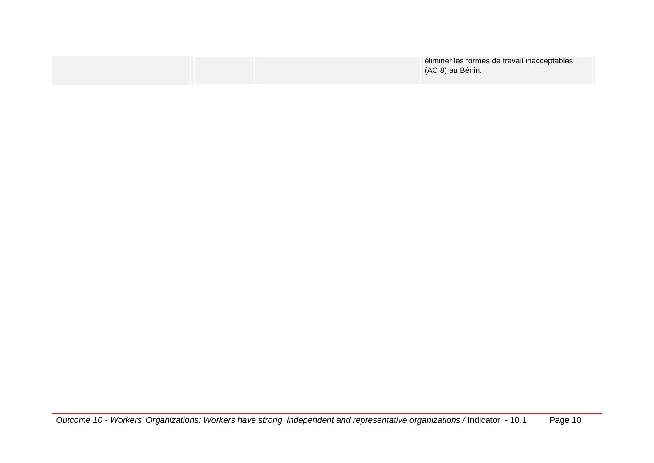|  | éliminer les formes de travail inacceptables<br>(ACI8) au Bénin. |
|--|------------------------------------------------------------------|
|  |                                                                  |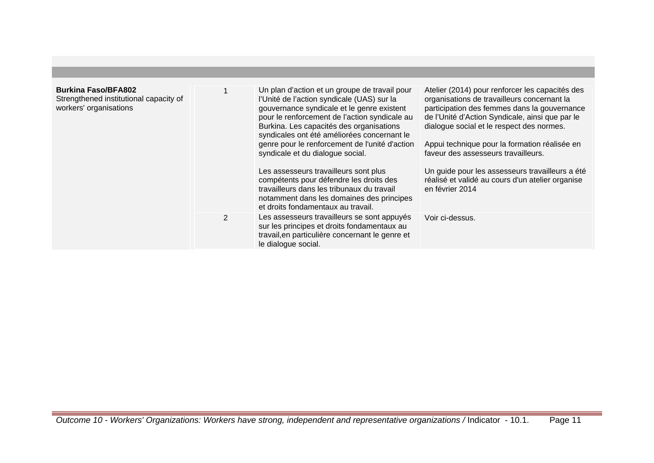| <b>Burkina Faso/BFA802</b><br>Strengthened institutional capacity of<br>workers' organisations |   | Un plan d'action et un groupe de travail pour<br>l'Unité de l'action syndicale (UAS) sur la<br>gouvernance syndicale et le genre existent<br>pour le renforcement de l'action syndicale au<br>Burkina. Les capacités des organisations<br>syndicales ont été améliorées concernant le<br>genre pour le renforcement de l'unité d'action<br>syndicale et du dialogue social.<br>Les assesseurs travailleurs sont plus<br>compétents pour défendre les droits des<br>travailleurs dans les tribunaux du travail<br>notamment dans les domaines des principes<br>et droits fondamentaux au travail. | Atelier (2014) pour renforcer les capacités des<br>organisations de travailleurs concernant la<br>participation des femmes dans la gouvernance<br>de l'Unité d'Action Syndicale, ainsi que par le<br>dialogue social et le respect des normes.<br>Appui technique pour la formation réalisée en<br>faveur des assesseurs travailleurs.<br>Un guide pour les assesseurs travailleurs a été<br>réalisé et validé au cours d'un atelier organise<br>en février 2014 |
|------------------------------------------------------------------------------------------------|---|--------------------------------------------------------------------------------------------------------------------------------------------------------------------------------------------------------------------------------------------------------------------------------------------------------------------------------------------------------------------------------------------------------------------------------------------------------------------------------------------------------------------------------------------------------------------------------------------------|------------------------------------------------------------------------------------------------------------------------------------------------------------------------------------------------------------------------------------------------------------------------------------------------------------------------------------------------------------------------------------------------------------------------------------------------------------------|
|                                                                                                | 2 | Les assesseurs travailleurs se sont appuyés<br>sur les principes et droits fondamentaux au<br>travail, en particulière concernant le genre et<br>le dialogue social.                                                                                                                                                                                                                                                                                                                                                                                                                             | Voir ci-dessus.                                                                                                                                                                                                                                                                                                                                                                                                                                                  |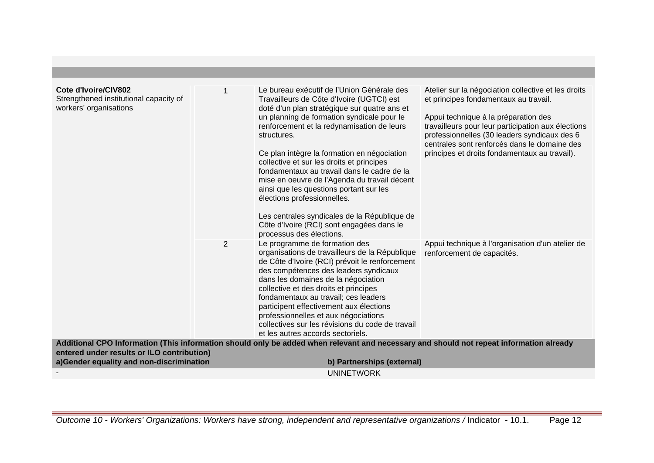| Cote d'Ivoire/CIV802<br>Strengthened institutional capacity of<br>workers' organisations |   | Le bureau exécutif de l'Union Générale des<br>Travailleurs de Côte d'Ivoire (UGTCI) est<br>doté d'un plan stratégique sur quatre ans et<br>un planning de formation syndicale pour le<br>renforcement et la redynamisation de leurs<br>structures.<br>Ce plan intègre la formation en négociation<br>collective et sur les droits et principes<br>fondamentaux au travail dans le cadre de la<br>mise en oeuvre de l'Agenda du travail décent<br>ainsi que les questions portant sur les<br>élections professionnelles.<br>Les centrales syndicales de la République de<br>Côte d'Ivoire (RCI) sont engagées dans le<br>processus des élections. | Atelier sur la négociation collective et les droits<br>et principes fondamentaux au travail.<br>Appui technique à la préparation des<br>travailleurs pour leur participation aux élections<br>professionnelles (30 leaders syndicaux des 6<br>centrales sont renforcés dans le domaine des<br>principes et droits fondamentaux au travail). |
|------------------------------------------------------------------------------------------|---|--------------------------------------------------------------------------------------------------------------------------------------------------------------------------------------------------------------------------------------------------------------------------------------------------------------------------------------------------------------------------------------------------------------------------------------------------------------------------------------------------------------------------------------------------------------------------------------------------------------------------------------------------|---------------------------------------------------------------------------------------------------------------------------------------------------------------------------------------------------------------------------------------------------------------------------------------------------------------------------------------------|
|                                                                                          | 2 | Le programme de formation des<br>organisations de travailleurs de la République<br>de Côte d'Ivoire (RCI) prévoit le renforcement<br>des compétences des leaders syndicaux<br>dans les domaines de la négociation<br>collective et des droits et principes<br>fondamentaux au travail; ces leaders<br>participent effectivement aux élections<br>professionnelles et aux négociations<br>collectives sur les révisions du code de travail<br>et les autres accords sectoriels.                                                                                                                                                                   | Appui technique à l'organisation d'un atelier de<br>renforcement de capacités.                                                                                                                                                                                                                                                              |
| entered under results or ILO contribution)                                               |   | Additional CPO Information (This information should only be added when relevant and necessary and should not repeat information already                                                                                                                                                                                                                                                                                                                                                                                                                                                                                                          |                                                                                                                                                                                                                                                                                                                                             |
| a)Gender equality and non-discrimination                                                 |   | b) Partnerships (external)                                                                                                                                                                                                                                                                                                                                                                                                                                                                                                                                                                                                                       |                                                                                                                                                                                                                                                                                                                                             |
|                                                                                          |   | <b>UNINETWORK</b>                                                                                                                                                                                                                                                                                                                                                                                                                                                                                                                                                                                                                                |                                                                                                                                                                                                                                                                                                                                             |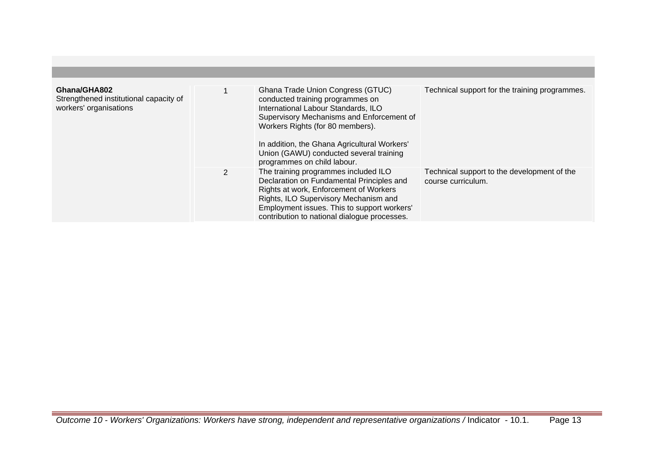| Ghana/GHA802<br>Strengthened institutional capacity of<br>workers' organisations |              | Ghana Trade Union Congress (GTUC)<br>conducted training programmes on<br>International Labour Standards, ILO                                                                                                                                                        | Technical support for the training programmes.                    |
|----------------------------------------------------------------------------------|--------------|---------------------------------------------------------------------------------------------------------------------------------------------------------------------------------------------------------------------------------------------------------------------|-------------------------------------------------------------------|
|                                                                                  |              | Supervisory Mechanisms and Enforcement of<br>Workers Rights (for 80 members).<br>In addition, the Ghana Agricultural Workers'<br>Union (GAWU) conducted several training<br>programmes on child labour.                                                             |                                                                   |
|                                                                                  | $\mathbf{2}$ | The training programmes included ILO<br>Declaration on Fundamental Principles and<br>Rights at work, Enforcement of Workers<br>Rights, ILO Supervisory Mechanism and<br>Employment issues. This to support workers'<br>contribution to national dialogue processes. | Technical support to the development of the<br>course curriculum. |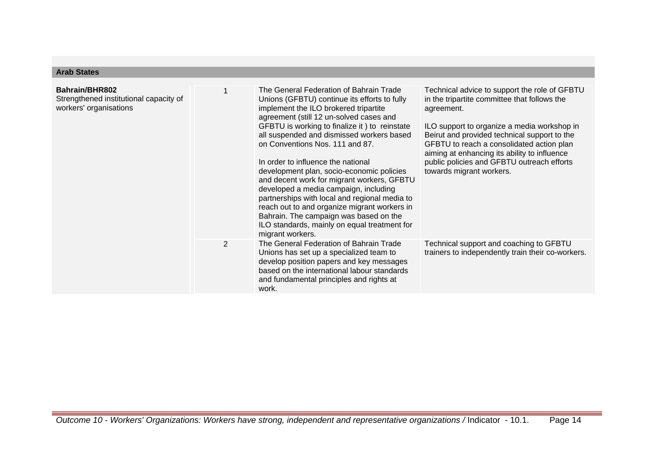## **Arab States**

| Bahrain/BHR802<br>Strengthened institutional capacity of<br>workers' organisations |                | The General Federation of Bahrain Trade<br>Unions (GFBTU) continue its efforts to fully<br>implement the ILO brokered tripartite<br>agreement (still 12 un-solved cases and<br>GFBTU is working to finalize it) to reinstate<br>all suspended and dismissed workers based<br>on Conventions Nos. 111 and 87.<br>In order to influence the national<br>development plan, socio-economic policies<br>and decent work for migrant workers, GFBTU<br>developed a media campaign, including<br>partnerships with local and regional media to<br>reach out to and organize migrant workers in<br>Bahrain. The campaign was based on the<br>ILO standards, mainly on equal treatment for<br>migrant workers. | Technical advice to support the role of GFBTU<br>in the tripartite committee that follows the<br>agreement.<br>ILO support to organize a media workshop in<br>Beirut and provided technical support to the<br>GFBTU to reach a consolidated action plan<br>aiming at enhancing its ability to influence<br>public policies and GFBTU outreach efforts<br>towards migrant workers. |
|------------------------------------------------------------------------------------|----------------|-------------------------------------------------------------------------------------------------------------------------------------------------------------------------------------------------------------------------------------------------------------------------------------------------------------------------------------------------------------------------------------------------------------------------------------------------------------------------------------------------------------------------------------------------------------------------------------------------------------------------------------------------------------------------------------------------------|-----------------------------------------------------------------------------------------------------------------------------------------------------------------------------------------------------------------------------------------------------------------------------------------------------------------------------------------------------------------------------------|
|                                                                                    | $\overline{2}$ | The General Federation of Bahrain Trade<br>Unions has set up a specialized team to<br>develop position papers and key messages<br>based on the international labour standards<br>and fundamental principles and rights at<br>work.                                                                                                                                                                                                                                                                                                                                                                                                                                                                    | Technical support and coaching to GFBTU<br>trainers to independently train their co-workers.                                                                                                                                                                                                                                                                                      |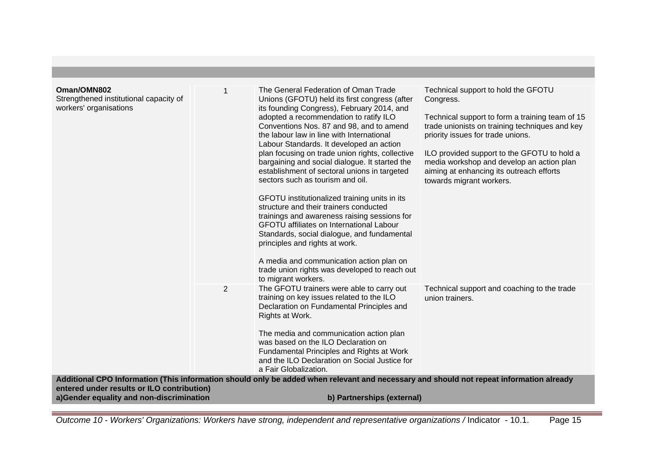| Oman/OMN802<br>Strengthened institutional capacity of<br>workers' organisations                                      | 1 | The General Federation of Oman Trade<br>Unions (GFOTU) held its first congress (after<br>its founding Congress), February 2014, and<br>adopted a recommendation to ratify ILO<br>Conventions Nos. 87 and 98, and to amend<br>the labour law in line with International<br>Labour Standards. It developed an action<br>plan focusing on trade union rights, collective<br>bargaining and social dialogue. It started the<br>establishment of sectoral unions in targeted<br>sectors such as tourism and oil.<br>GFOTU institutionalized training units in its<br>structure and their trainers conducted<br>trainings and awareness raising sessions for<br>GFOTU affiliates on International Labour<br>Standards, social dialogue, and fundamental<br>principles and rights at work.<br>A media and communication action plan on<br>trade union rights was developed to reach out<br>to migrant workers. | Technical support to hold the GFOTU<br>Congress.<br>Technical support to form a training team of 15<br>trade unionists on training techniques and key<br>priority issues for trade unions.<br>ILO provided support to the GFOTU to hold a<br>media workshop and develop an action plan<br>aiming at enhancing its outreach efforts<br>towards migrant workers. |
|----------------------------------------------------------------------------------------------------------------------|---|---------------------------------------------------------------------------------------------------------------------------------------------------------------------------------------------------------------------------------------------------------------------------------------------------------------------------------------------------------------------------------------------------------------------------------------------------------------------------------------------------------------------------------------------------------------------------------------------------------------------------------------------------------------------------------------------------------------------------------------------------------------------------------------------------------------------------------------------------------------------------------------------------------|----------------------------------------------------------------------------------------------------------------------------------------------------------------------------------------------------------------------------------------------------------------------------------------------------------------------------------------------------------------|
|                                                                                                                      | 2 | The GFOTU trainers were able to carry out<br>training on key issues related to the ILO<br>Declaration on Fundamental Principles and<br>Rights at Work.<br>The media and communication action plan<br>was based on the ILO Declaration on<br>Fundamental Principles and Rights at Work<br>and the ILO Declaration on Social Justice for<br>a Fair Globalization.                                                                                                                                                                                                                                                                                                                                                                                                                                                                                                                                         | Technical support and coaching to the trade<br>union trainers.                                                                                                                                                                                                                                                                                                 |
|                                                                                                                      |   | Additional CPO Information (This information should only be added when relevant and necessary and should not repeat information already                                                                                                                                                                                                                                                                                                                                                                                                                                                                                                                                                                                                                                                                                                                                                                 |                                                                                                                                                                                                                                                                                                                                                                |
| entered under results or ILO contribution)<br>a)Gender equality and non-discrimination<br>b) Partnerships (external) |   |                                                                                                                                                                                                                                                                                                                                                                                                                                                                                                                                                                                                                                                                                                                                                                                                                                                                                                         |                                                                                                                                                                                                                                                                                                                                                                |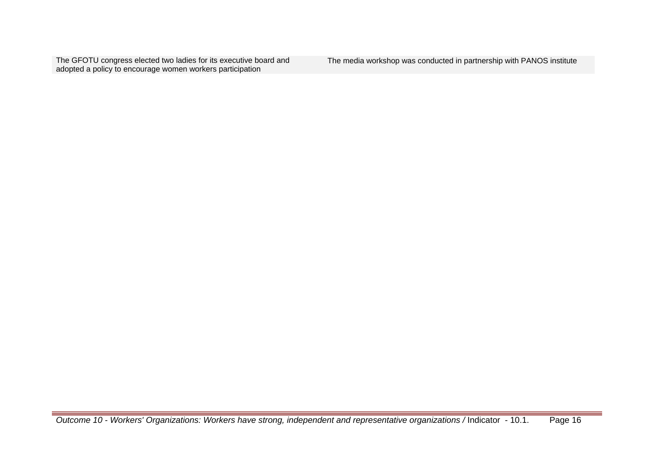The GFOTU congress elected two ladies for its executive board and adopted a policy to encourage women workers participation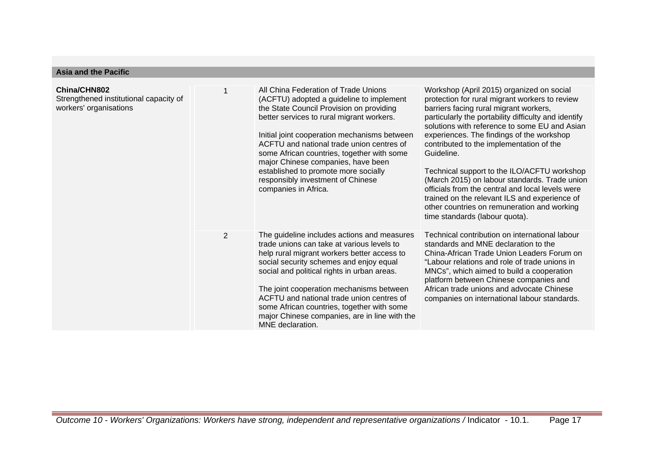### **Asia and the Pacific**

| China/CHN802<br>Strengthened institutional capacity of<br>workers' organisations |                | All China Federation of Trade Unions<br>(ACFTU) adopted a guideline to implement<br>the State Council Provision on providing<br>better services to rural migrant workers.<br>Initial joint cooperation mechanisms between<br>ACFTU and national trade union centres of<br>some African countries, together with some<br>major Chinese companies, have been<br>established to promote more socially<br>responsibly investment of Chinese<br>companies in Africa. | Workshop (April 2015) organized on social<br>protection for rural migrant workers to review<br>barriers facing rural migrant workers,<br>particularly the portability difficulty and identify<br>solutions with reference to some EU and Asian<br>experiences. The findings of the workshop<br>contributed to the implementation of the<br>Guideline.<br>Technical support to the ILO/ACFTU workshop<br>(March 2015) on labour standards. Trade union<br>officials from the central and local levels were<br>trained on the relevant ILS and experience of<br>other countries on remuneration and working<br>time standards (labour quota). |
|----------------------------------------------------------------------------------|----------------|-----------------------------------------------------------------------------------------------------------------------------------------------------------------------------------------------------------------------------------------------------------------------------------------------------------------------------------------------------------------------------------------------------------------------------------------------------------------|---------------------------------------------------------------------------------------------------------------------------------------------------------------------------------------------------------------------------------------------------------------------------------------------------------------------------------------------------------------------------------------------------------------------------------------------------------------------------------------------------------------------------------------------------------------------------------------------------------------------------------------------|
|                                                                                  | $\overline{2}$ | The guideline includes actions and measures<br>trade unions can take at various levels to<br>help rural migrant workers better access to<br>social security schemes and enjoy equal<br>social and political rights in urban areas.<br>The joint cooperation mechanisms between<br>ACFTU and national trade union centres of<br>some African countries, together with some<br>major Chinese companies, are in line with the<br>MNE declaration.                  | Technical contribution on international labour<br>standards and MNE declaration to the<br>China-African Trade Union Leaders Forum on<br>"Labour relations and role of trade unions in<br>MNCs", which aimed to build a cooperation<br>platform between Chinese companies and<br>African trade unions and advocate Chinese<br>companies on international labour standards.                                                                                                                                                                                                                                                                   |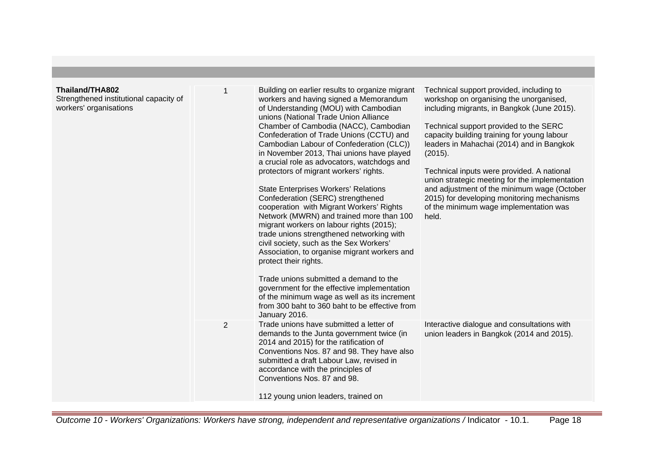| Thailand/THA802<br>Strengthened institutional capacity of<br>workers' organisations |   | Building on earlier results to organize migrant<br>workers and having signed a Memorandum<br>of Understanding (MOU) with Cambodian<br>unions (National Trade Union Alliance<br>Chamber of Cambodia (NACC), Cambodian<br>Confederation of Trade Unions (CCTU) and<br>Cambodian Labour of Confederation (CLC))<br>in November 2013, Thai unions have played<br>a crucial role as advocators, watchdogs and<br>protectors of migrant workers' rights.<br><b>State Enterprises Workers' Relations</b><br>Confederation (SERC) strengthened<br>cooperation with Migrant Workers' Rights<br>Network (MWRN) and trained more than 100<br>migrant workers on labour rights (2015);<br>trade unions strengthened networking with<br>civil society, such as the Sex Workers'<br>Association, to organise migrant workers and<br>protect their rights.<br>Trade unions submitted a demand to the<br>government for the effective implementation<br>of the minimum wage as well as its increment<br>from 300 baht to 360 baht to be effective from<br>January 2016. | Technical support provided, including to<br>workshop on organising the unorganised,<br>including migrants, in Bangkok (June 2015).<br>Technical support provided to the SERC<br>capacity building training for young labour<br>leaders in Mahachai (2014) and in Bangkok<br>(2015).<br>Technical inputs were provided. A national<br>union strategic meeting for the implementation<br>and adjustment of the minimum wage (October<br>2015) for developing monitoring mechanisms<br>of the minimum wage implementation was<br>held. |
|-------------------------------------------------------------------------------------|---|---------------------------------------------------------------------------------------------------------------------------------------------------------------------------------------------------------------------------------------------------------------------------------------------------------------------------------------------------------------------------------------------------------------------------------------------------------------------------------------------------------------------------------------------------------------------------------------------------------------------------------------------------------------------------------------------------------------------------------------------------------------------------------------------------------------------------------------------------------------------------------------------------------------------------------------------------------------------------------------------------------------------------------------------------------|-------------------------------------------------------------------------------------------------------------------------------------------------------------------------------------------------------------------------------------------------------------------------------------------------------------------------------------------------------------------------------------------------------------------------------------------------------------------------------------------------------------------------------------|
|                                                                                     | 2 | Trade unions have submitted a letter of<br>demands to the Junta government twice (in<br>2014 and 2015) for the ratification of<br>Conventions Nos. 87 and 98. They have also<br>submitted a draft Labour Law, revised in<br>accordance with the principles of<br>Conventions Nos. 87 and 98.<br>112 young union leaders, trained on                                                                                                                                                                                                                                                                                                                                                                                                                                                                                                                                                                                                                                                                                                                     | Interactive dialogue and consultations with<br>union leaders in Bangkok (2014 and 2015).                                                                                                                                                                                                                                                                                                                                                                                                                                            |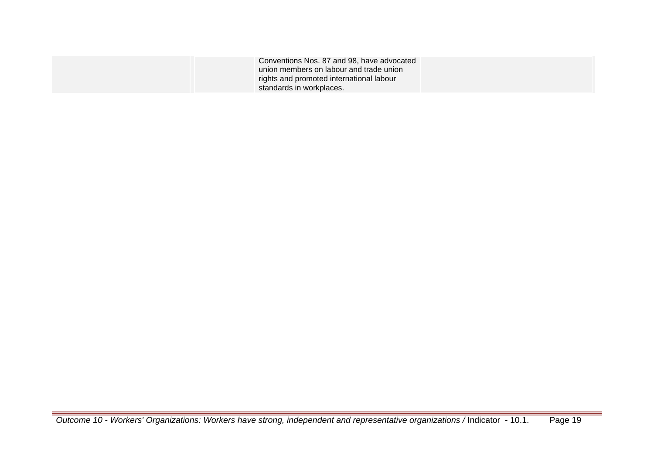| Conventions Nos. 87 and 98, have advocated |  |
|--------------------------------------------|--|
| union members on labour and trade union    |  |
| rights and promoted international labour   |  |
| standards in workplaces.                   |  |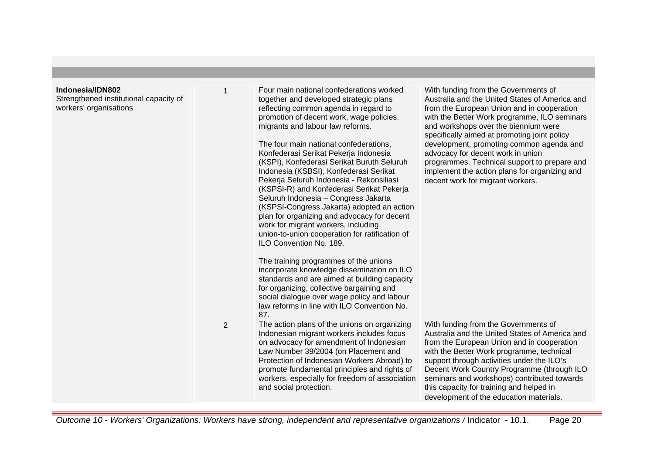| Indonesia/IDN802<br>Strengthened institutional capacity of<br>workers' organisations |   | Four main national confederations worked<br>together and developed strategic plans<br>reflecting common agenda in regard to<br>promotion of decent work, wage policies,<br>migrants and labour law reforms.<br>The four main national confederations,<br>Konfederasi Serikat Pekerja Indonesia<br>(KSPI), Konfederasi Serikat Buruth Seluruh<br>Indonesia (KSBSI), Konfederasi Serikat<br>Pekerja Seluruh Indonesia - Rekonsiliasi<br>(KSPSI-R) and Konfederasi Serikat Pekerja<br>Seluruh Indonesia - Congress Jakarta<br>(KSPSI-Congress Jakarta) adopted an action<br>plan for organizing and advocacy for decent<br>work for migrant workers, including<br>union-to-union cooperation for ratification of<br>ILO Convention No. 189.<br>The training programmes of the unions<br>incorporate knowledge dissemination on ILO<br>standards and are aimed at building capacity<br>for organizing, collective bargaining and<br>social dialogue over wage policy and labour<br>law reforms in line with ILO Convention No.<br>87. | With funding from the Governments of<br>Australia and the United States of America and<br>from the European Union and in cooperation<br>with the Better Work programme, ILO seminars<br>and workshops over the biennium were<br>specifically aimed at promoting joint policy<br>development, promoting common agenda and<br>advocacy for decent work in union<br>programmes. Technical support to prepare and<br>implement the action plans for organizing and<br>decent work for migrant workers. |
|--------------------------------------------------------------------------------------|---|-----------------------------------------------------------------------------------------------------------------------------------------------------------------------------------------------------------------------------------------------------------------------------------------------------------------------------------------------------------------------------------------------------------------------------------------------------------------------------------------------------------------------------------------------------------------------------------------------------------------------------------------------------------------------------------------------------------------------------------------------------------------------------------------------------------------------------------------------------------------------------------------------------------------------------------------------------------------------------------------------------------------------------------|----------------------------------------------------------------------------------------------------------------------------------------------------------------------------------------------------------------------------------------------------------------------------------------------------------------------------------------------------------------------------------------------------------------------------------------------------------------------------------------------------|
|                                                                                      | 2 | The action plans of the unions on organizing<br>Indonesian migrant workers includes focus<br>on advocacy for amendment of Indonesian<br>Law Number 39/2004 (on Placement and<br>Protection of Indonesian Workers Abroad) to<br>promote fundamental principles and rights of<br>workers, especially for freedom of association<br>and social protection.                                                                                                                                                                                                                                                                                                                                                                                                                                                                                                                                                                                                                                                                           | With funding from the Governments of<br>Australia and the United States of America and<br>from the European Union and in cooperation<br>with the Better Work programme, technical<br>support through activities under the ILO's<br>Decent Work Country Programme (through ILO<br>seminars and workshops) contributed towards<br>this capacity for training and helped in<br>development of the education materials.                                                                                |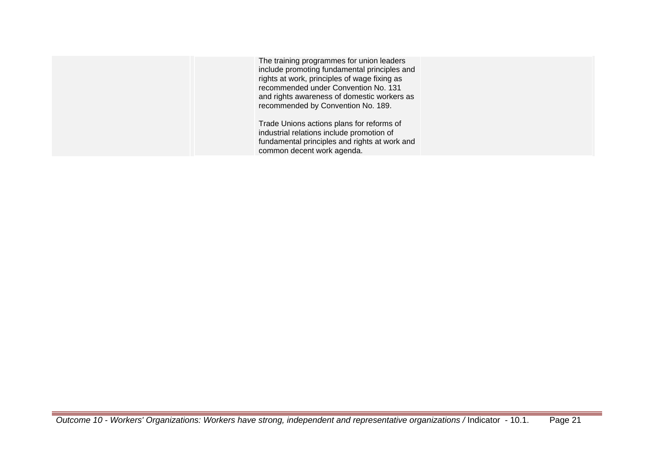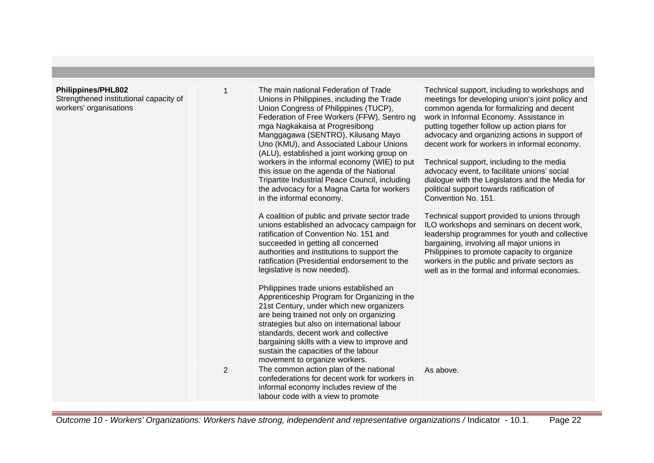# **Philippines/PHL802**

Strengthened institutional capacity of workers' organisations

| <b>PHL802</b><br>d institutional capacity of<br>anisations | 1              | The main national Federation of Trade<br>Unions in Philippines, including the Trade<br>Union Congress of Philippines (TUCP),<br>Federation of Free Workers (FFW), Sentro ng<br>mga Nagkakaisa at Progresibong<br>Manggagawa (SENTRO), Kilusang Mayo<br>Uno (KMU), and Associated Labour Unions<br>(ALU), established a joint working group on<br>workers in the informal economy (WIE) to put<br>this issue on the agenda of the National<br>Tripartite Industrial Peace Council, including<br>the advocacy for a Magna Carta for workers<br>in the informal economy.<br>A coalition of public and private sector trade<br>unions established an advocacy campaign for<br>ratification of Convention No. 151 and<br>succeeded in getting all concerned<br>authorities and institutions to support the<br>ratification (Presidential endorsement to the<br>legislative is now needed).<br>Philippines trade unions established an<br>Apprenticeship Program for Organizing in the<br>21st Century, under which new organizers<br>are being trained not only on organizing<br>strategies but also on international labour<br>standards, decent work and collective<br>bargaining skills with a view to improve and<br>sustain the capacities of the labour<br>movement to organize workers. | Technical support, including to workshops and<br>meetings for developing union's joint policy and<br>common agenda for formalizing and decent<br>work in Informal Economy. Assistance in<br>putting together follow up action plans for<br>advocacy and organizing actions in support of<br>decent work for workers in informal economy.<br>Technical support, including to the media<br>advocacy event, to facilitate unions' social<br>dialogue with the Legislators and the Media for<br>political support towards ratification of<br>Convention No. 151.<br>Technical support provided to unions through<br>ILO workshops and seminars on decent work,<br>leadership programmes for youth and collective<br>bargaining, involving all major unions in<br>Philippines to promote capacity to organize<br>workers in the public and private sectors as<br>well as in the formal and informal economies. |
|------------------------------------------------------------|----------------|-------------------------------------------------------------------------------------------------------------------------------------------------------------------------------------------------------------------------------------------------------------------------------------------------------------------------------------------------------------------------------------------------------------------------------------------------------------------------------------------------------------------------------------------------------------------------------------------------------------------------------------------------------------------------------------------------------------------------------------------------------------------------------------------------------------------------------------------------------------------------------------------------------------------------------------------------------------------------------------------------------------------------------------------------------------------------------------------------------------------------------------------------------------------------------------------------------------------------------------------------------------------------------------------|-----------------------------------------------------------------------------------------------------------------------------------------------------------------------------------------------------------------------------------------------------------------------------------------------------------------------------------------------------------------------------------------------------------------------------------------------------------------------------------------------------------------------------------------------------------------------------------------------------------------------------------------------------------------------------------------------------------------------------------------------------------------------------------------------------------------------------------------------------------------------------------------------------------|
|                                                            | $\overline{2}$ | The common action plan of the national<br>confederations for decent work for workers in<br>informal economy includes review of the<br>labour code with a view to promote                                                                                                                                                                                                                                                                                                                                                                                                                                                                                                                                                                                                                                                                                                                                                                                                                                                                                                                                                                                                                                                                                                                  | As above.                                                                                                                                                                                                                                                                                                                                                                                                                                                                                                                                                                                                                                                                                                                                                                                                                                                                                                 |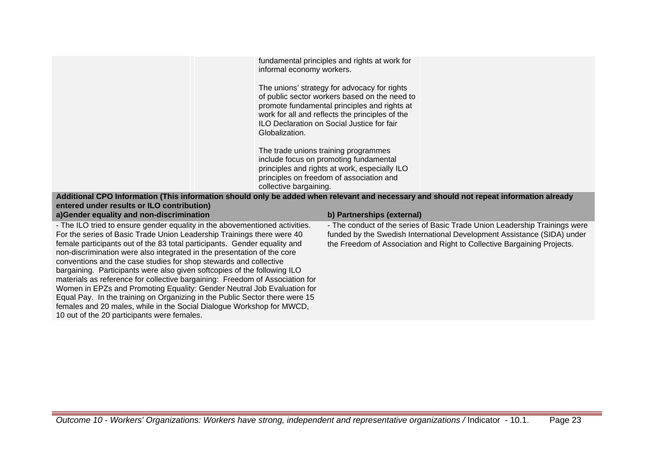|                                                                                                                                                                                       | informal economy workers. | fundamental principles and rights at work for                                                                                                                                                                                                         |                                                                         |
|---------------------------------------------------------------------------------------------------------------------------------------------------------------------------------------|---------------------------|-------------------------------------------------------------------------------------------------------------------------------------------------------------------------------------------------------------------------------------------------------|-------------------------------------------------------------------------|
|                                                                                                                                                                                       | Globalization.            | The unions' strategy for advocacy for rights<br>of public sector workers based on the need to<br>promote fundamental principles and rights at<br>work for all and reflects the principles of the<br><b>ILO Declaration on Social Justice for fair</b> |                                                                         |
|                                                                                                                                                                                       |                           | The trade unions training programmes                                                                                                                                                                                                                  |                                                                         |
|                                                                                                                                                                                       |                           | include focus on promoting fundamental                                                                                                                                                                                                                |                                                                         |
|                                                                                                                                                                                       |                           | principles and rights at work, especially ILO                                                                                                                                                                                                         |                                                                         |
|                                                                                                                                                                                       |                           | principles on freedom of association and                                                                                                                                                                                                              |                                                                         |
|                                                                                                                                                                                       | collective bargaining.    |                                                                                                                                                                                                                                                       |                                                                         |
| Additional CPO Information (This information should only be added when relevant and necessary and should not repeat information already<br>entered under results or ILO contribution) |                           |                                                                                                                                                                                                                                                       |                                                                         |
|                                                                                                                                                                                       |                           |                                                                                                                                                                                                                                                       |                                                                         |
| a)Gender equality and non-discrimination                                                                                                                                              |                           | b) Partnerships (external)                                                                                                                                                                                                                            |                                                                         |
| - The ILO tried to ensure gender equality in the abovementioned activities.                                                                                                           |                           | - The conduct of the series of Basic Trade Union Leadership Trainings were<br>funded by the Swedish International Development Assistance (SIDA) under                                                                                                 |                                                                         |
| For the series of Basic Trade Union Leadership Trainings there were 40<br>female participants out of the 83 total participants. Gender equality and                                   |                           |                                                                                                                                                                                                                                                       |                                                                         |
| non-discrimination were also integrated in the presentation of the core                                                                                                               |                           |                                                                                                                                                                                                                                                       | the Freedom of Association and Right to Collective Bargaining Projects. |
| conventions and the case studies for shop stewards and collective                                                                                                                     |                           |                                                                                                                                                                                                                                                       |                                                                         |
| bargaining. Participants were also given softcopies of the following ILO                                                                                                              |                           |                                                                                                                                                                                                                                                       |                                                                         |
| materials as reference for collective bargaining: Freedom of Association for                                                                                                          |                           |                                                                                                                                                                                                                                                       |                                                                         |

Women in EPZs and Promoting Equality: Gender Neutral Job Evaluation for Equal Pay. In the training on Organizing in the Public Sector there were 15 females and 20 males, while in the Social Dialogue Workshop for MWCD,

10 out of the 20 participants were females.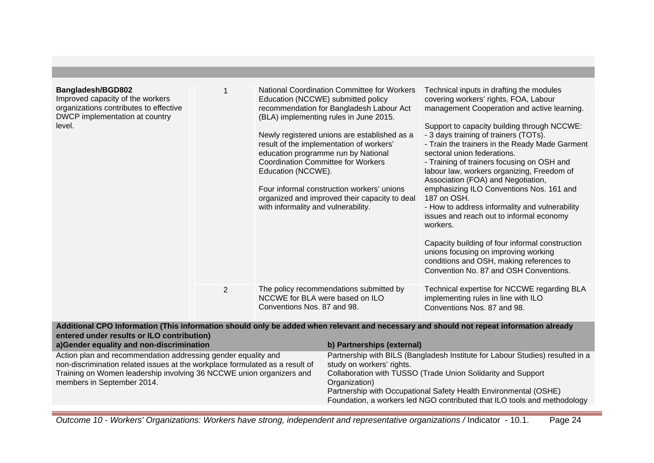| Bangladesh/BGD802<br>Improved capacity of the workers<br>organizations contributes to effective<br>DWCP implementation at country<br>level.                                                                                                         |   |                                                                                                                                                                                                                                                                                                                                             | <b>National Coordination Committee for Workers</b><br>Education (NCCWE) submitted policy<br>recommendation for Bangladesh Labour Act<br>(BLA) implementing rules in June 2015.<br>Newly registered unions are established as a<br>result of the implementation of workers'<br>education programme run by National<br><b>Coordination Committee for Workers</b><br>Education (NCCWE).<br>Four informal construction workers' unions<br>organized and improved their capacity to deal<br>with informality and vulnerability. | Technical inputs in drafting the modules<br>covering workers' rights, FOA, Labour<br>management Cooperation and active learning.<br>Support to capacity building through NCCWE:<br>- 3 days training of trainers (TOTs).<br>- Train the trainers in the Ready Made Garment<br>sectoral union federations.<br>- Training of trainers focusing on OSH and<br>labour law, workers organizing, Freedom of<br>Association (FOA) and Negotiation,<br>emphasizing ILO Conventions Nos. 161 and<br>187 on OSH.<br>- How to address informality and vulnerability<br>issues and reach out to informal economy<br>workers.<br>Capacity building of four informal construction<br>unions focusing on improving working<br>conditions and OSH, making references to<br>Convention No. 87 and OSH Conventions. |
|-----------------------------------------------------------------------------------------------------------------------------------------------------------------------------------------------------------------------------------------------------|---|---------------------------------------------------------------------------------------------------------------------------------------------------------------------------------------------------------------------------------------------------------------------------------------------------------------------------------------------|----------------------------------------------------------------------------------------------------------------------------------------------------------------------------------------------------------------------------------------------------------------------------------------------------------------------------------------------------------------------------------------------------------------------------------------------------------------------------------------------------------------------------|---------------------------------------------------------------------------------------------------------------------------------------------------------------------------------------------------------------------------------------------------------------------------------------------------------------------------------------------------------------------------------------------------------------------------------------------------------------------------------------------------------------------------------------------------------------------------------------------------------------------------------------------------------------------------------------------------------------------------------------------------------------------------------------------------|
|                                                                                                                                                                                                                                                     | 2 | NCCWE for BLA were based on ILO<br>Conventions Nos. 87 and 98.                                                                                                                                                                                                                                                                              | The policy recommendations submitted by                                                                                                                                                                                                                                                                                                                                                                                                                                                                                    | Technical expertise for NCCWE regarding BLA<br>implementing rules in line with ILO<br>Conventions Nos. 87 and 98.                                                                                                                                                                                                                                                                                                                                                                                                                                                                                                                                                                                                                                                                                 |
| entered under results or ILO contribution)<br>a)Gender equality and non-discrimination                                                                                                                                                              |   |                                                                                                                                                                                                                                                                                                                                             | b) Partnerships (external)                                                                                                                                                                                                                                                                                                                                                                                                                                                                                                 | Additional CPO Information (This information should only be added when relevant and necessary and should not repeat information already                                                                                                                                                                                                                                                                                                                                                                                                                                                                                                                                                                                                                                                           |
| Action plan and recommendation addressing gender equality and<br>non-discrimination related issues at the workplace formulated as a result of<br>Training on Women leadership involving 36 NCCWE union organizers and<br>members in September 2014. |   | Partnership with BILS (Bangladesh Institute for Labour Studies) resulted in a<br>study on workers' rights.<br>Collaboration with TUSSO (Trade Union Solidarity and Support<br>Organization)<br>Partnership with Occupational Safety Health Environmental (OSHE)<br>Foundation, a workers led NGO contributed that ILO tools and methodology |                                                                                                                                                                                                                                                                                                                                                                                                                                                                                                                            |                                                                                                                                                                                                                                                                                                                                                                                                                                                                                                                                                                                                                                                                                                                                                                                                   |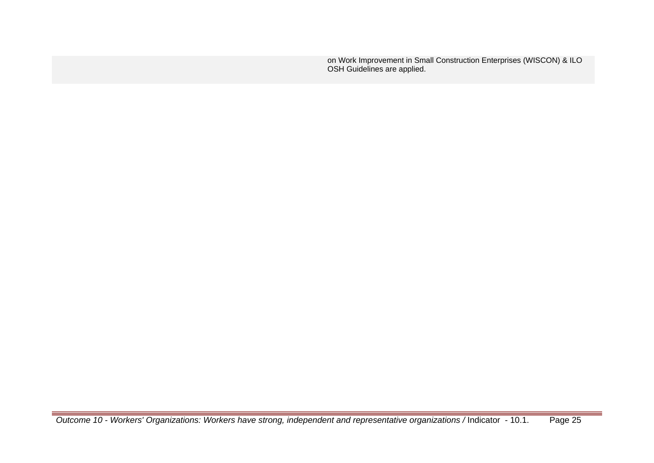on Work Improvement in Small Construction Enterprises (WISCON) & ILO OSH Guidelines are applied.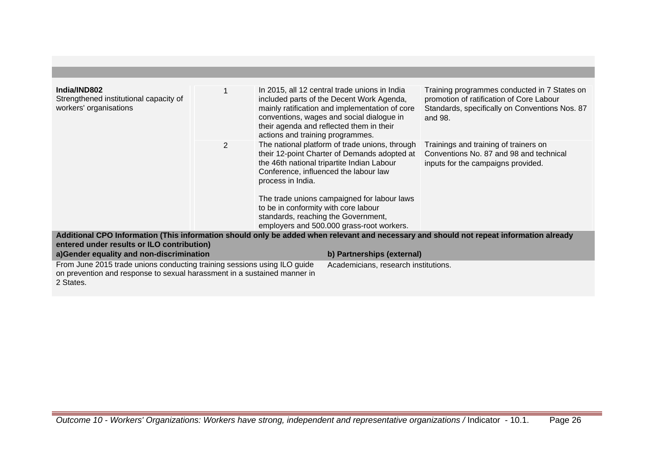| India/IND802<br>Strengthened institutional capacity of<br>workers' organisations                                     |                | actions and training programmes.                                                                 | In 2015, all 12 central trade unions in India<br>included parts of the Decent Work Agenda,<br>mainly ratification and implementation of core<br>conventions, wages and social dialogue in<br>their agenda and reflected them in their                                             | Training programmes conducted in 7 States on<br>promotion of ratification of Core Labour<br>Standards, specifically on Conventions Nos. 87<br>and 98. |
|----------------------------------------------------------------------------------------------------------------------|----------------|--------------------------------------------------------------------------------------------------|-----------------------------------------------------------------------------------------------------------------------------------------------------------------------------------------------------------------------------------------------------------------------------------|-------------------------------------------------------------------------------------------------------------------------------------------------------|
|                                                                                                                      | $\overline{2}$ | process in India.<br>to be in conformity with core labour<br>standards, reaching the Government, | The national platform of trade unions, through<br>their 12-point Charter of Demands adopted at<br>the 46th national tripartite Indian Labour<br>Conference, influenced the labour law<br>The trade unions campaigned for labour laws<br>employers and 500.000 grass-root workers. | Trainings and training of trainers on<br>Conventions No. 87 and 98 and technical<br>inputs for the campaigns provided.                                |
| entered under results or ILO contribution)                                                                           |                |                                                                                                  | b) Partnerships (external)                                                                                                                                                                                                                                                        | Additional CPO Information (This information should only be added when relevant and necessary and should not repeat information already               |
| a)Gender equality and non-discrimination<br>From June 2015 trade unions conducting training sessions using ILO guide |                |                                                                                                  |                                                                                                                                                                                                                                                                                   |                                                                                                                                                       |
|                                                                                                                      |                | Academicians, research institutions.                                                             |                                                                                                                                                                                                                                                                                   |                                                                                                                                                       |

on prevention and response to sexual harassment in a sustained manner in

2 States.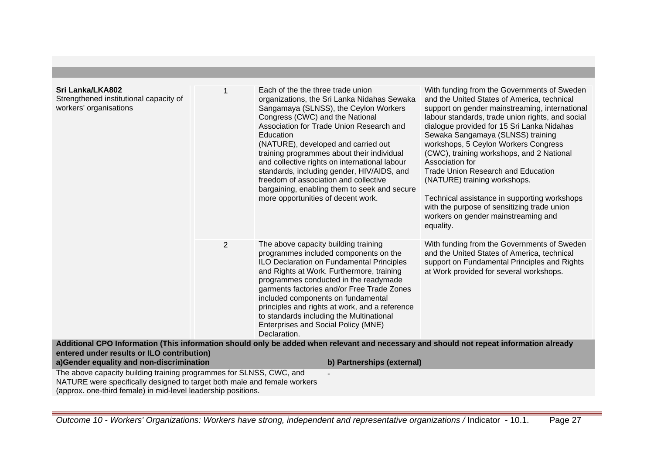| Sri Lanka/LKA802<br>Strengthened institutional capacity of<br>workers' organisations                                                      |                | Each of the the three trade union<br>organizations, the Sri Lanka Nidahas Sewaka<br>Sangamaya (SLNSS), the Ceylon Workers<br>Congress (CWC) and the National<br>Association for Trade Union Research and<br>Education<br>(NATURE), developed and carried out<br>training programmes about their individual<br>and collective rights on international labour<br>standards, including gender, HIV/AIDS, and<br>freedom of association and collective<br>bargaining, enabling them to seek and secure<br>more opportunities of decent work. | With funding from the Governments of Sweden<br>and the United States of America, technical<br>support on gender mainstreaming, international<br>labour standards, trade union rights, and social<br>dialogue provided for 15 Sri Lanka Nidahas<br>Sewaka Sangamaya (SLNSS) training<br>workshops, 5 Ceylon Workers Congress<br>(CWC), training workshops, and 2 National<br>Association for<br><b>Trade Union Research and Education</b><br>(NATURE) training workshops.<br>Technical assistance in supporting workshops<br>with the purpose of sensitizing trade union<br>workers on gender mainstreaming and<br>equality. |  |  |
|-------------------------------------------------------------------------------------------------------------------------------------------|----------------|------------------------------------------------------------------------------------------------------------------------------------------------------------------------------------------------------------------------------------------------------------------------------------------------------------------------------------------------------------------------------------------------------------------------------------------------------------------------------------------------------------------------------------------|-----------------------------------------------------------------------------------------------------------------------------------------------------------------------------------------------------------------------------------------------------------------------------------------------------------------------------------------------------------------------------------------------------------------------------------------------------------------------------------------------------------------------------------------------------------------------------------------------------------------------------|--|--|
|                                                                                                                                           | $\overline{2}$ | The above capacity building training<br>programmes included components on the<br>ILO Declaration on Fundamental Principles<br>and Rights at Work. Furthermore, training<br>programmes conducted in the readymade<br>garments factories and/or Free Trade Zones<br>included components on fundamental<br>principles and rights at work, and a reference<br>to standards including the Multinational<br>Enterprises and Social Policy (MNE)<br>Declaration.                                                                                | With funding from the Governments of Sweden<br>and the United States of America, technical<br>support on Fundamental Principles and Rights<br>at Work provided for several workshops.                                                                                                                                                                                                                                                                                                                                                                                                                                       |  |  |
| entered under results or ILO contribution)                                                                                                |                | Additional CPO Information (This information should only be added when relevant and necessary and should not repeat information already                                                                                                                                                                                                                                                                                                                                                                                                  |                                                                                                                                                                                                                                                                                                                                                                                                                                                                                                                                                                                                                             |  |  |
| a)Gender equality and non-discrimination                                                                                                  |                | b) Partnerships (external)                                                                                                                                                                                                                                                                                                                                                                                                                                                                                                               |                                                                                                                                                                                                                                                                                                                                                                                                                                                                                                                                                                                                                             |  |  |
| The above capacity building training programmes for SLNSS, CWC, and                                                                       |                |                                                                                                                                                                                                                                                                                                                                                                                                                                                                                                                                          |                                                                                                                                                                                                                                                                                                                                                                                                                                                                                                                                                                                                                             |  |  |
| NATURE were specifically designed to target both male and female workers<br>(approx. one-third female) in mid-level leadership positions. |                |                                                                                                                                                                                                                                                                                                                                                                                                                                                                                                                                          |                                                                                                                                                                                                                                                                                                                                                                                                                                                                                                                                                                                                                             |  |  |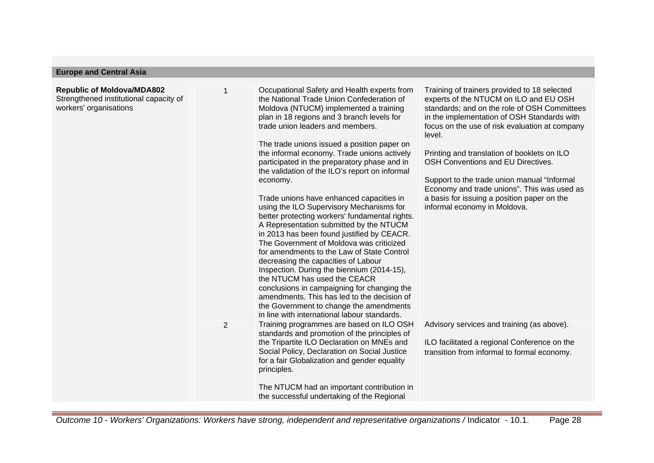# **Europe and Central Asia**

| <b>Republic of Moldova/MDA802</b><br>Strengthened institutional capacity of<br>workers' organisations |                | Occupational Safety and Health experts from<br>the National Trade Union Confederation of<br>Moldova (NTUCM) implemented a training<br>plan in 18 regions and 3 branch levels for<br>trade union leaders and members.<br>The trade unions issued a position paper on<br>the informal economy. Trade unions actively<br>participated in the preparatory phase and in<br>the validation of the ILO's report on informal<br>economy.<br>Trade unions have enhanced capacities in<br>using the ILO Supervisory Mechanisms for<br>better protecting workers' fundamental rights.<br>A Representation submitted by the NTUCM<br>in 2013 has been found justified by CEACR.<br>The Government of Moldova was criticized<br>for amendments to the Law of State Control<br>decreasing the capacities of Labour<br>Inspection. During the biennium (2014-15),<br>the NTUCM has used the CEACR<br>conclusions in campaigning for changing the<br>amendments. This has led to the decision of | Training of trainers provided to 18 selected<br>experts of the NTUCM on ILO and EU OSH<br>standards; and on the role of OSH Committees<br>in the implementation of OSH Standards with<br>focus on the use of risk evaluation at company<br>level.<br>Printing and translation of booklets on ILO<br>OSH Conventions and EU Directives.<br>Support to the trade union manual "Informal<br>Economy and trade unions". This was used as<br>a basis for issuing a position paper on the<br>informal economy in Moldova. |
|-------------------------------------------------------------------------------------------------------|----------------|----------------------------------------------------------------------------------------------------------------------------------------------------------------------------------------------------------------------------------------------------------------------------------------------------------------------------------------------------------------------------------------------------------------------------------------------------------------------------------------------------------------------------------------------------------------------------------------------------------------------------------------------------------------------------------------------------------------------------------------------------------------------------------------------------------------------------------------------------------------------------------------------------------------------------------------------------------------------------------|---------------------------------------------------------------------------------------------------------------------------------------------------------------------------------------------------------------------------------------------------------------------------------------------------------------------------------------------------------------------------------------------------------------------------------------------------------------------------------------------------------------------|
|                                                                                                       |                | the Government to change the amendments<br>in line with international labour standards.                                                                                                                                                                                                                                                                                                                                                                                                                                                                                                                                                                                                                                                                                                                                                                                                                                                                                          |                                                                                                                                                                                                                                                                                                                                                                                                                                                                                                                     |
|                                                                                                       | $\overline{2}$ | Training programmes are based on ILO OSH<br>standards and promotion of the principles of<br>the Tripartite ILO Declaration on MNEs and<br>Social Policy, Declaration on Social Justice<br>for a fair Globalization and gender equality<br>principles.                                                                                                                                                                                                                                                                                                                                                                                                                                                                                                                                                                                                                                                                                                                            | Advisory services and training (as above).<br>ILO facilitated a regional Conference on the<br>transition from informal to formal economy.                                                                                                                                                                                                                                                                                                                                                                           |
|                                                                                                       |                | The NTUCM had an important contribution in<br>the successful undertaking of the Regional                                                                                                                                                                                                                                                                                                                                                                                                                                                                                                                                                                                                                                                                                                                                                                                                                                                                                         |                                                                                                                                                                                                                                                                                                                                                                                                                                                                                                                     |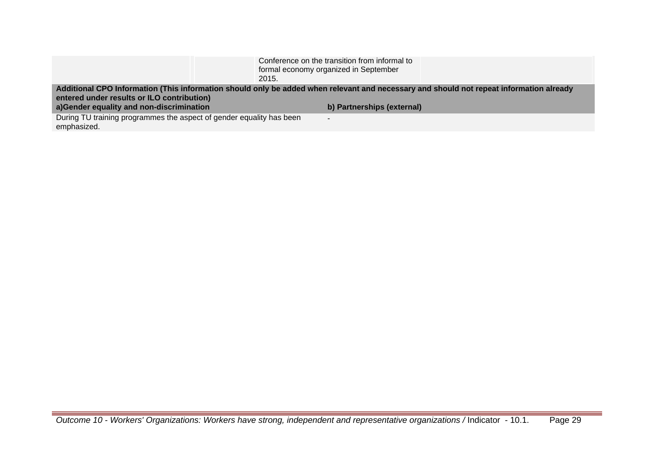| 2015.                                                                                                                                                                                 | Conference on the transition from informal to<br>formal economy organized in September |  |  |  |
|---------------------------------------------------------------------------------------------------------------------------------------------------------------------------------------|----------------------------------------------------------------------------------------|--|--|--|
| Additional CPO Information (This information should only be added when relevant and necessary and should not repeat information already<br>entered under results or ILO contribution) |                                                                                        |  |  |  |
| a)Gender equality and non-discrimination                                                                                                                                              | b) Partnerships (external)                                                             |  |  |  |
| During TU training programmes the aspect of gender equality has been<br>emphasized.                                                                                                   | $\overline{\phantom{0}}$                                                               |  |  |  |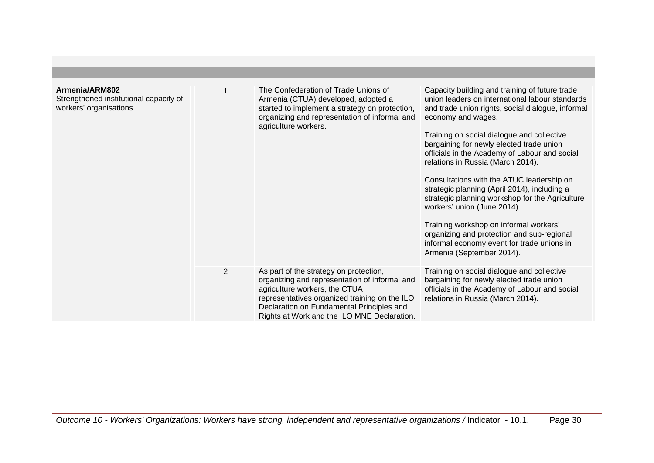| Armenia/ARM802<br>Strengthened institutional capacity of<br>workers' organisations |                | The Confederation of Trade Unions of<br>Armenia (CTUA) developed, adopted a<br>started to implement a strategy on protection,<br>organizing and representation of informal and<br>agriculture workers.                                                                | Capacity building and training of future trade<br>union leaders on international labour standards<br>and trade union rights, social dialogue, informal<br>economy and wages.<br>Training on social dialogue and collective<br>bargaining for newly elected trade union<br>officials in the Academy of Labour and social<br>relations in Russia (March 2014).<br>Consultations with the ATUC leadership on<br>strategic planning (April 2014), including a<br>strategic planning workshop for the Agriculture<br>workers' union (June 2014).<br>Training workshop on informal workers'<br>organizing and protection and sub-regional<br>informal economy event for trade unions in<br>Armenia (September 2014). |
|------------------------------------------------------------------------------------|----------------|-----------------------------------------------------------------------------------------------------------------------------------------------------------------------------------------------------------------------------------------------------------------------|----------------------------------------------------------------------------------------------------------------------------------------------------------------------------------------------------------------------------------------------------------------------------------------------------------------------------------------------------------------------------------------------------------------------------------------------------------------------------------------------------------------------------------------------------------------------------------------------------------------------------------------------------------------------------------------------------------------|
|                                                                                    | $\overline{2}$ | As part of the strategy on protection,<br>organizing and representation of informal and<br>agriculture workers, the CTUA<br>representatives organized training on the ILO<br>Declaration on Fundamental Principles and<br>Rights at Work and the ILO MNE Declaration. | Training on social dialogue and collective<br>bargaining for newly elected trade union<br>officials in the Academy of Labour and social<br>relations in Russia (March 2014).                                                                                                                                                                                                                                                                                                                                                                                                                                                                                                                                   |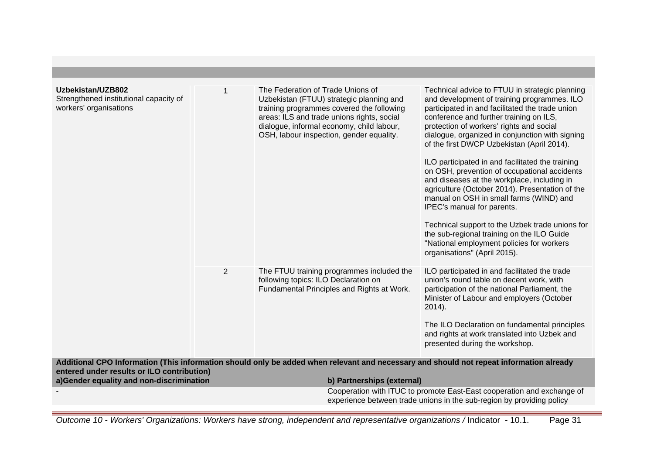| Uzbekistan/UZB802<br>Strengthened institutional capacity of<br>workers' organisations                                                                                                 |                | The Federation of Trade Unions of<br>Uzbekistan (FTUU) strategic planning and<br>training programmes covered the following<br>areas: ILS and trade unions rights, social<br>dialogue, informal economy, child labour,<br>OSH, labour inspection, gender equality. | Technical advice to FTUU in strategic planning<br>and development of training programmes. ILO<br>participated in and facilitated the trade union<br>conference and further training on ILS,<br>protection of workers' rights and social<br>dialogue, organized in conjunction with signing<br>of the first DWCP Uzbekistan (April 2014).<br>ILO participated in and facilitated the training<br>on OSH, prevention of occupational accidents<br>and diseases at the workplace, including in<br>agriculture (October 2014). Presentation of the<br>manual on OSH in small farms (WIND) and<br>IPEC's manual for parents.<br>Technical support to the Uzbek trade unions for<br>the sub-regional training on the ILO Guide<br>"National employment policies for workers<br>organisations" (April 2015). |
|---------------------------------------------------------------------------------------------------------------------------------------------------------------------------------------|----------------|-------------------------------------------------------------------------------------------------------------------------------------------------------------------------------------------------------------------------------------------------------------------|-------------------------------------------------------------------------------------------------------------------------------------------------------------------------------------------------------------------------------------------------------------------------------------------------------------------------------------------------------------------------------------------------------------------------------------------------------------------------------------------------------------------------------------------------------------------------------------------------------------------------------------------------------------------------------------------------------------------------------------------------------------------------------------------------------|
|                                                                                                                                                                                       | $\overline{2}$ | The FTUU training programmes included the<br>following topics: ILO Declaration on<br>Fundamental Principles and Rights at Work.                                                                                                                                   | ILO participated in and facilitated the trade<br>union's round table on decent work, with<br>participation of the national Parliament, the<br>Minister of Labour and employers (October<br>$2014$ ).<br>The ILO Declaration on fundamental principles<br>and rights at work translated into Uzbek and<br>presented during the workshop.                                                                                                                                                                                                                                                                                                                                                                                                                                                               |
| Additional CPO Information (This information should only be added when relevant and necessary and should not repeat information already<br>entered under results or ILO contribution) |                |                                                                                                                                                                                                                                                                   |                                                                                                                                                                                                                                                                                                                                                                                                                                                                                                                                                                                                                                                                                                                                                                                                       |
| a)Gender equality and non-discrimination                                                                                                                                              |                | b) Partnerships (external)                                                                                                                                                                                                                                        | Cooperation with ITUC to promote East-East cooperation and exchange of                                                                                                                                                                                                                                                                                                                                                                                                                                                                                                                                                                                                                                                                                                                                |
|                                                                                                                                                                                       |                |                                                                                                                                                                                                                                                                   | experience between trade unions in the sub-region by providing policy                                                                                                                                                                                                                                                                                                                                                                                                                                                                                                                                                                                                                                                                                                                                 |
|                                                                                                                                                                                       |                |                                                                                                                                                                                                                                                                   |                                                                                                                                                                                                                                                                                                                                                                                                                                                                                                                                                                                                                                                                                                                                                                                                       |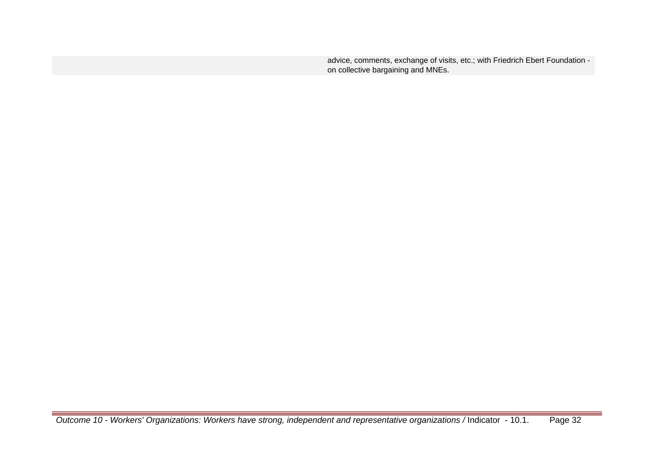advice, comments, exchange of visits, etc.; with Friedrich Ebert Foundation on collective bargaining and MNEs.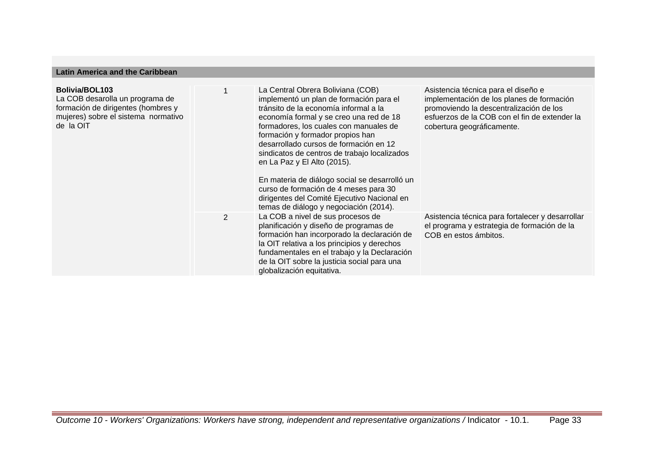## **Latin America and the Caribbean**

| Bolivia/BOL103<br>La COB desarolla un programa de<br>formación de dirigentes (hombres y<br>mujeres) sobre el sistema normativo<br>de la OIT |   | La Central Obrera Boliviana (COB)<br>implementó un plan de formación para el<br>tránsito de la economía informal a la<br>economía formal y se creo una red de 18<br>formadores, los cuales con manuales de<br>formación y formador propios han<br>desarrollado cursos de formación en 12<br>sindicatos de centros de trabajo localizados<br>en La Paz y El Alto (2015).<br>En materia de diálogo social se desarrolló un<br>curso de formación de 4 meses para 30<br>dirigentes del Comité Ejecutivo Nacional en<br>temas de diálogo y negociación (2014). | Asistencia técnica para el diseño e<br>implementación de los planes de formación<br>promoviendo la descentralización de los<br>esfuerzos de la COB con el fin de extender la<br>cobertura geográficamente. |
|---------------------------------------------------------------------------------------------------------------------------------------------|---|------------------------------------------------------------------------------------------------------------------------------------------------------------------------------------------------------------------------------------------------------------------------------------------------------------------------------------------------------------------------------------------------------------------------------------------------------------------------------------------------------------------------------------------------------------|------------------------------------------------------------------------------------------------------------------------------------------------------------------------------------------------------------|
|                                                                                                                                             | 2 | La COB a nivel de sus procesos de<br>planificación y diseño de programas de<br>formación han incorporado la declaración de<br>la OIT relativa a los principios y derechos<br>fundamentales en el trabajo y la Declaración<br>de la OIT sobre la justicia social para una<br>globalización equitativa.                                                                                                                                                                                                                                                      | Asistencia técnica para fortalecer y desarrollar<br>el programa y estrategia de formación de la<br>COB en estos ámbitos.                                                                                   |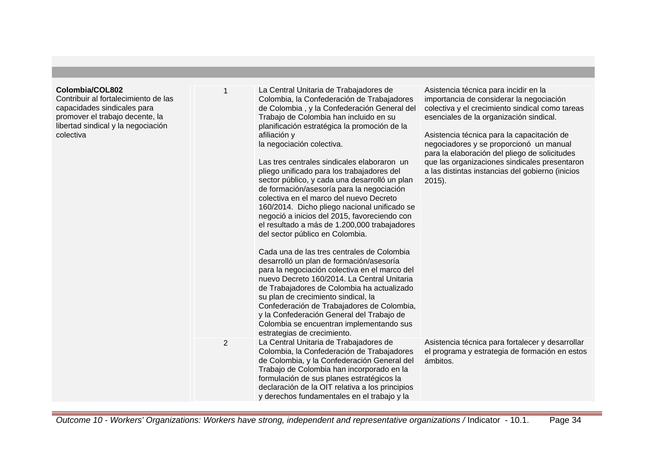| Colombia/COL802<br>Contribuir al fortalecimiento de las<br>capacidades sindicales para<br>promover el trabajo decente, la<br>libertad sindical y la negociación<br>colectiva | 1              | La Central Unitaria de Trabajadores de<br>Colombia, la Confederación de Trabajadores<br>de Colombia, y la Confederación General del<br>Trabajo de Colombia han incluido en su<br>planificación estratégica la promoción de la<br>afiliación y<br>la negociación colectiva.<br>Las tres centrales sindicales elaboraron un<br>pliego unificado para los trabajadores del<br>sector público, y cada una desarrolló un plan<br>de formación/asesoría para la negociación<br>colectiva en el marco del nuevo Decreto<br>160/2014. Dicho pliego nacional unificado se<br>negoció a inicios del 2015, favoreciendo con<br>el resultado a más de 1.200,000 trabajadores<br>del sector público en Colombia.<br>Cada una de las tres centrales de Colombia<br>desarrolló un plan de formación/asesoría<br>para la negociación colectiva en el marco del<br>nuevo Decreto 160/2014. La Central Unitaria<br>de Trabajadores de Colombia ha actualizado<br>su plan de crecimiento sindical, la<br>Confederación de Trabajadores de Colombia,<br>y la Confederación General del Trabajo de<br>Colombia se encuentran implementando sus | Asistencia técnica para incidir en la<br>importancia de considerar la negociación<br>colectiva y el crecimiento sindical como tareas<br>esenciales de la organización sindical.<br>Asistencia técnica para la capacitación de<br>negociadores y se proporcionó un manual<br>para la elaboración del pliego de solicitudes<br>que las organizaciones sindicales presentaron<br>a las distintas instancias del gobierno (inicios<br>$2015$ ). |
|------------------------------------------------------------------------------------------------------------------------------------------------------------------------------|----------------|---------------------------------------------------------------------------------------------------------------------------------------------------------------------------------------------------------------------------------------------------------------------------------------------------------------------------------------------------------------------------------------------------------------------------------------------------------------------------------------------------------------------------------------------------------------------------------------------------------------------------------------------------------------------------------------------------------------------------------------------------------------------------------------------------------------------------------------------------------------------------------------------------------------------------------------------------------------------------------------------------------------------------------------------------------------------------------------------------------------------------|---------------------------------------------------------------------------------------------------------------------------------------------------------------------------------------------------------------------------------------------------------------------------------------------------------------------------------------------------------------------------------------------------------------------------------------------|
|                                                                                                                                                                              | $\overline{2}$ | estrategias de crecimiento.<br>La Central Unitaria de Trabajadores de<br>Colombia, la Confederación de Trabajadores<br>de Colombia, y la Confederación General del<br>Trabajo de Colombia han incorporado en la<br>formulación de sus planes estratégicos la<br>declaración de la OIT relativa a los principios<br>y derechos fundamentales en el trabajo y la                                                                                                                                                                                                                                                                                                                                                                                                                                                                                                                                                                                                                                                                                                                                                            | Asistencia técnica para fortalecer y desarrollar<br>el programa y estrategia de formación en estos<br>ámbitos.                                                                                                                                                                                                                                                                                                                              |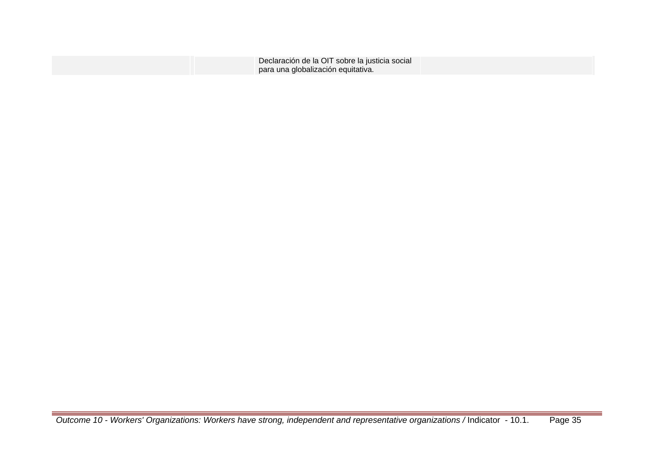| Declaración de la OIT sobre la justicia social |  |
|------------------------------------------------|--|
| para una globalización equitativa.             |  |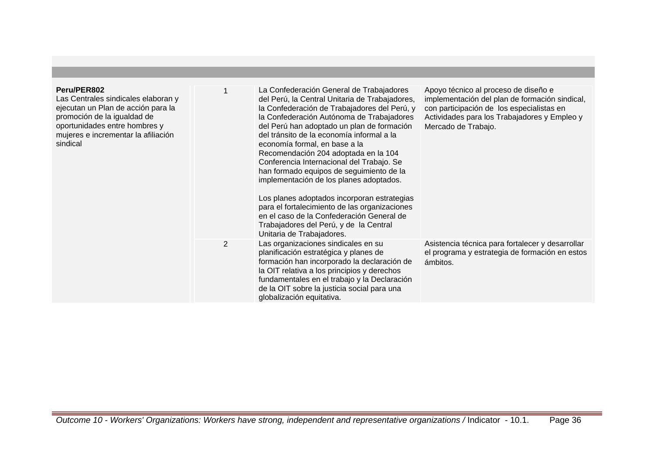| Peru/PER802<br>Las Centrales sindicales elaboran y<br>ejecutan un Plan de acción para la<br>promoción de la igualdad de<br>oportunidades entre hombres y<br>mujeres e incrementar la afiliación<br>sindical |                | La Confederación General de Trabajadores<br>del Perú, la Central Unitaria de Trabajadores,<br>la Confederación de Trabajadores del Perú, y<br>la Confederación Autónoma de Trabajadores<br>del Perú han adoptado un plan de formación<br>del tránsito de la economía informal a la<br>economía formal, en base a la<br>Recomendación 204 adoptada en la 104<br>Conferencia Internacional del Trabajo. Se<br>han formado equipos de seguimiento de la<br>implementación de los planes adoptados.<br>Los planes adoptados incorporan estrategias<br>para el fortalecimiento de las organizaciones<br>en el caso de la Confederación General de<br>Trabajadores del Perú, y de la Central<br>Unitaria de Trabajadores. | Apoyo técnico al proceso de diseño e<br>implementación del plan de formación sindical,<br>con participación de los especialistas en<br>Actividades para los Trabajadores y Empleo y<br>Mercado de Trabajo. |
|-------------------------------------------------------------------------------------------------------------------------------------------------------------------------------------------------------------|----------------|---------------------------------------------------------------------------------------------------------------------------------------------------------------------------------------------------------------------------------------------------------------------------------------------------------------------------------------------------------------------------------------------------------------------------------------------------------------------------------------------------------------------------------------------------------------------------------------------------------------------------------------------------------------------------------------------------------------------|------------------------------------------------------------------------------------------------------------------------------------------------------------------------------------------------------------|
|                                                                                                                                                                                                             | $\overline{2}$ | Las organizaciones sindicales en su<br>planificación estratégica y planes de<br>formación han incorporado la declaración de<br>la OIT relativa a los principios y derechos<br>fundamentales en el trabajo y la Declaración<br>de la OIT sobre la justicia social para una<br>globalización equitativa.                                                                                                                                                                                                                                                                                                                                                                                                              | Asistencia técnica para fortalecer y desarrollar<br>el programa y estrategia de formación en estos<br>ámbitos.                                                                                             |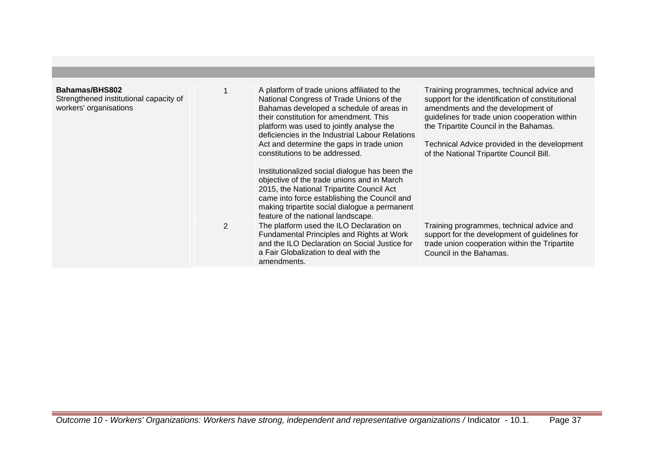| Bahamas/BHS802<br>Strengthened institutional capacity of<br>workers' organisations |                | A platform of trade unions affiliated to the<br>National Congress of Trade Unions of the<br>Bahamas developed a schedule of areas in<br>their constitution for amendment. This<br>platform was used to jointly analyse the<br>deficiencies in the Industrial Labour Relations<br>Act and determine the gaps in trade union<br>constitutions to be addressed.<br>Institutionalized social dialogue has been the<br>objective of the trade unions and in March<br>2015, the National Tripartite Council Act<br>came into force establishing the Council and<br>making tripartite social dialogue a permanent<br>feature of the national landscape. | Training programmes, technical advice and<br>support for the identification of constitutional<br>amendments and the development of<br>guidelines for trade union cooperation within<br>the Tripartite Council in the Bahamas.<br>Technical Advice provided in the development<br>of the National Tripartite Council Bill. |
|------------------------------------------------------------------------------------|----------------|--------------------------------------------------------------------------------------------------------------------------------------------------------------------------------------------------------------------------------------------------------------------------------------------------------------------------------------------------------------------------------------------------------------------------------------------------------------------------------------------------------------------------------------------------------------------------------------------------------------------------------------------------|---------------------------------------------------------------------------------------------------------------------------------------------------------------------------------------------------------------------------------------------------------------------------------------------------------------------------|
|                                                                                    | $\overline{2}$ | The platform used the ILO Declaration on<br>Fundamental Principles and Rights at Work<br>and the ILO Declaration on Social Justice for<br>a Fair Globalization to deal with the<br>amendments.                                                                                                                                                                                                                                                                                                                                                                                                                                                   | Training programmes, technical advice and<br>support for the development of guidelines for<br>trade union cooperation within the Tripartite<br>Council in the Bahamas.                                                                                                                                                    |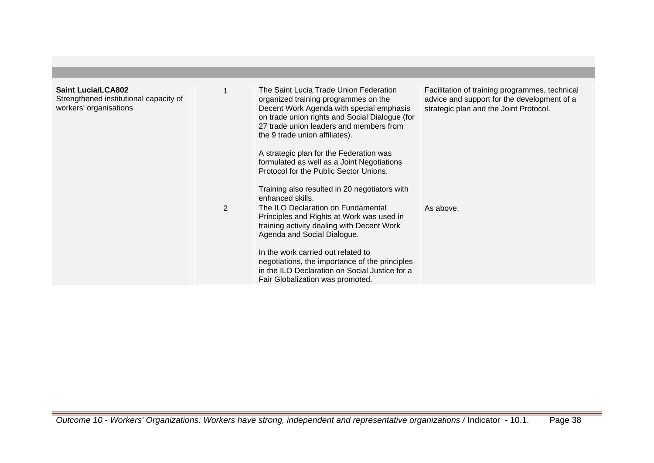| <b>Saint Lucia/LCA802</b><br>Strengthened institutional capacity of<br>workers' organisations |   | The Saint Lucia Trade Union Federation<br>organized training programmes on the<br>Decent Work Agenda with special emphasis<br>on trade union rights and Social Dialogue (for<br>27 trade union leaders and members from<br>the 9 trade union affiliates).<br>A strategic plan for the Federation was<br>formulated as well as a Joint Negotiations<br>Protocol for the Public Sector Unions.<br>Training also resulted in 20 negotiators with<br>enhanced skills. | Facilitation of training programmes, technical<br>advice and support for the development of a<br>strategic plan and the Joint Protocol. |
|-----------------------------------------------------------------------------------------------|---|-------------------------------------------------------------------------------------------------------------------------------------------------------------------------------------------------------------------------------------------------------------------------------------------------------------------------------------------------------------------------------------------------------------------------------------------------------------------|-----------------------------------------------------------------------------------------------------------------------------------------|
|                                                                                               | 2 | The ILO Declaration on Fundamental<br>Principles and Rights at Work was used in<br>training activity dealing with Decent Work<br>Agenda and Social Dialogue.<br>In the work carried out related to<br>negotiations, the importance of the principles<br>in the ILO Declaration on Social Justice for a<br>Fair Globalization was promoted.                                                                                                                        | As above.                                                                                                                               |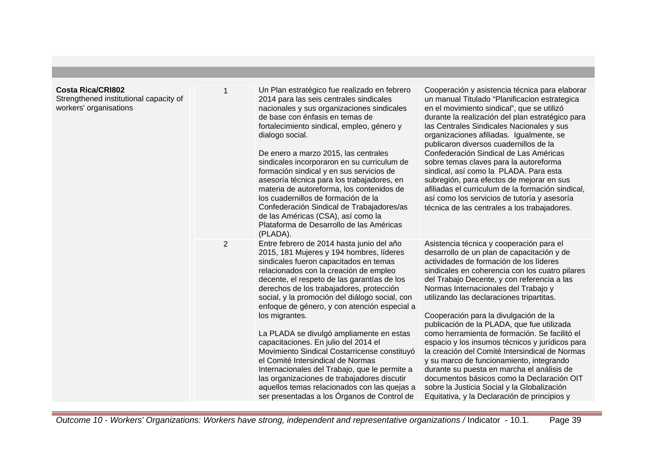| <b>Costa Rica/CRI802</b><br>Strengthened institutional capacity of<br>workers' organisations |   | Un Plan estratégico fue realizado en febrero<br>2014 para las seis centrales sindicales<br>nacionales y sus organizaciones sindicales<br>de base con énfasis en temas de<br>fortalecimiento sindical, empleo, género y<br>dialogo social.<br>De enero a marzo 2015, las centrales<br>sindicales incorporaron en su curriculum de<br>formación sindical y en sus servicios de<br>asesoría técnica para los trabajadores, en<br>materia de autoreforma, los contenidos de<br>los cuadernillos de formación de la<br>Confederación Sindical de Trabajadores/as<br>de las Américas (CSA), así como la<br>Plataforma de Desarrollo de las Américas<br>(PLADA).                                                                                                        | Cooperación y asistencia técnica para elaborar<br>un manual Titulado "Planificacion estrategica<br>en el movimiento sindical", que se utilizó<br>durante la realización del plan estratégico para<br>las Centrales Sindicales Nacionales y sus<br>organizaciones afiliadas. Igualmente, se<br>publicaron diversos cuadernillos de la<br>Confederación Sindical de Las Américas<br>sobre temas claves para la autoreforma<br>sindical, así como la PLADA. Para esta<br>subregión, para efectos de mejorar en sus<br>afiliadas el curriculum de la formación sindical,<br>así como los servicios de tutoría y asesoría<br>técnica de las centrales a los trabajadores.                                                                                                                                         |
|----------------------------------------------------------------------------------------------|---|------------------------------------------------------------------------------------------------------------------------------------------------------------------------------------------------------------------------------------------------------------------------------------------------------------------------------------------------------------------------------------------------------------------------------------------------------------------------------------------------------------------------------------------------------------------------------------------------------------------------------------------------------------------------------------------------------------------------------------------------------------------|--------------------------------------------------------------------------------------------------------------------------------------------------------------------------------------------------------------------------------------------------------------------------------------------------------------------------------------------------------------------------------------------------------------------------------------------------------------------------------------------------------------------------------------------------------------------------------------------------------------------------------------------------------------------------------------------------------------------------------------------------------------------------------------------------------------|
|                                                                                              | 2 | Entre febrero de 2014 hasta junio del año<br>2015, 181 Mujeres y 194 hombres, líderes<br>sindicales fueron capacitados en temas<br>relacionados con la creación de empleo<br>decente, el respeto de las garantías de los<br>derechos de los trabajadores, protección<br>social, y la promoción del diálogo social, con<br>enfoque de género, y con atención especial a<br>los migrantes.<br>La PLADA se divulgó ampliamente en estas<br>capacitaciones. En julio del 2014 el<br>Movimiento Sindical Costarricense constituyó<br>el Comité Intersindical de Normas<br>Internacionales del Trabajo, que le permite a<br>las organizaciones de trabajadores discutir<br>aquellos temas relacionados con las quejas a<br>ser presentadas a los Organos de Control de | Asistencia técnica y cooperación para el<br>desarrollo de un plan de capacitación y de<br>actividades de formación de los líderes<br>sindicales en coherencia con los cuatro pilares<br>del Trabajo Decente, y con referencia a las<br>Normas Internacionales del Trabajo y<br>utilizando las declaraciones tripartitas.<br>Cooperación para la divulgación de la<br>publicación de la PLADA, que fue utilizada<br>como herramienta de formación. Se facilitó el<br>espacio y los insumos técnicos y jurídicos para<br>la creación del Comité Intersindical de Normas<br>y su marco de funcionamiento, integrando<br>durante su puesta en marcha el análisis de<br>documentos básicos como la Declaración OIT<br>sobre la Justicia Social y la Globalización<br>Equitativa, y la Declaración de principios y |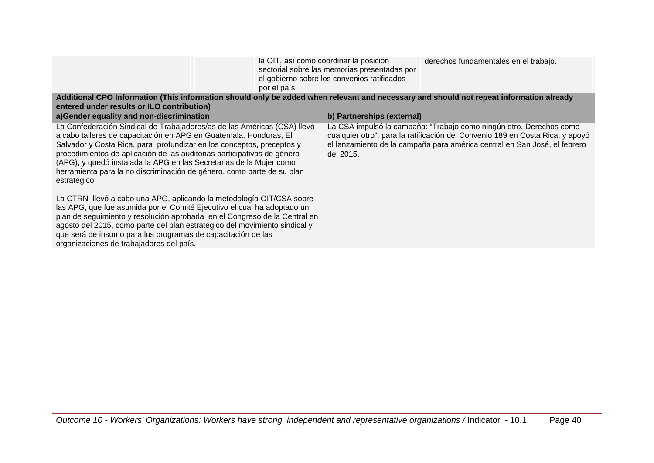|                                                                                                                                         | la OIT, así como coordinar la posición<br>sectorial sobre las memorias presentadas por<br>el gobierno sobre los convenios ratificados<br>por el país. | derechos fundamentales en el trabajo. |
|-----------------------------------------------------------------------------------------------------------------------------------------|-------------------------------------------------------------------------------------------------------------------------------------------------------|---------------------------------------|
| Additional CPO Information (This information should only be added when relevant and necessary and should not repeat information already |                                                                                                                                                       |                                       |

| entered under results or ILO contribution)<br>a) Gender equality and non-discrimination                                                                                                                                                                                                                                                                                                                                                                            | b) Partnerships (external)                                                                                                                                                                                                                     |
|--------------------------------------------------------------------------------------------------------------------------------------------------------------------------------------------------------------------------------------------------------------------------------------------------------------------------------------------------------------------------------------------------------------------------------------------------------------------|------------------------------------------------------------------------------------------------------------------------------------------------------------------------------------------------------------------------------------------------|
| La Confederación Sindical de Trabajadores/as de las Américas (CSA) llevó<br>a cabo talleres de capacitación en APG en Guatemala, Honduras, El<br>Salvador y Costa Rica, para profundizar en los conceptos, preceptos y<br>procedimientos de aplicación de las auditorias participativas de género<br>(APG), y quedó instalada la APG en las Secretarias de la Mujer como<br>herramienta para la no discriminación de género, como parte de su plan<br>estratégico. | La CSA impulsó la campaña: "Trabajo como ningún otro, Derechos como<br>cualquier otro", para la ratificación del Convenio 189 en Costa Rica, y apoyó<br>el lanzamiento de la campaña para américa central en San José, el febrero<br>del 2015. |
| La CTRN llevó a cabo una APG, aplicando la metodología OIT/CSA sobre<br>las APG, que fue asumida por el Comité Ejecutivo el cual ha adoptado un<br>plan de seguimiento y resolución aprobada en el Congreso de la Central en<br>agosto del 2015, como parte del plan estratégico del movimiento sindical y<br>que será de insumo para los programas de capacitación de las<br>organizaciones de trabajadores del país.                                             |                                                                                                                                                                                                                                                |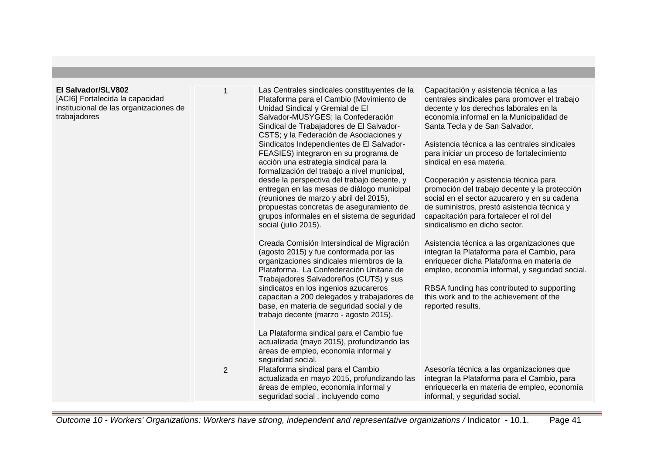## **El Salvado**

[ACI6] Forta institucional trabajadore

| r/SLV802<br>alecida la capacidad<br>I de las organizaciones de<br>۱S | 1              | Las Centrales sindicales constituyentes de la<br>Plataforma para el Cambio (Movimiento de<br>Unidad Sindical y Gremial de El<br>Salvador-MUSYGES; la Confederación<br>Sindical de Trabajadores de El Salvador-<br>CSTS; y la Federación de Asociaciones y<br>Sindicatos Independientes de El Salvador-<br>FEASIES) integraron en su programa de<br>acción una estrategia sindical para la<br>formalización del trabajo a nivel municipal,<br>desde la perspectiva del trabajo decente, y<br>entregan en las mesas de diálogo municipal<br>(reuniones de marzo y abril del 2015),<br>propuestas concretas de aseguramiento de<br>grupos informales en el sistema de seguridad<br>social (julio 2015).<br>Creada Comisión Intersindical de Migración<br>(agosto 2015) y fue conformada por las<br>organizaciones sindicales miembros de la<br>Plataforma. La Confederación Unitaria de<br>Trabajadores Salvadoreños (CUTS) y sus<br>sindicatos en los ingenios azucareros<br>capacitan a 200 delegados y trabajadores de<br>base, en materia de seguridad social y de<br>trabajo decente (marzo - agosto 2015).<br>La Plataforma sindical para el Cambio fue<br>actualizada (mayo 2015), profundizando las<br>áreas de empleo, economía informal y<br>seguridad social. | Capacitación y asistencia técnica a las<br>centrales sindicales para promover el trabajo<br>decente y los derechos laborales en la<br>economía informal en la Municipalidad de<br>Santa Tecla y de San Salvador.<br>Asistencia técnica a las centrales sindicales<br>para iniciar un proceso de fortalecimiento<br>sindical en esa materia.<br>Cooperación y asistencia técnica para<br>promoción del trabajo decente y la protección<br>social en el sector azucarero y en su cadena<br>de suministros, prestó asistencia técnica y<br>capacitación para fortalecer el rol del<br>sindicalismo en dicho sector.<br>Asistencia técnica a las organizaciones que<br>integran la Plataforma para el Cambio, para<br>enriquecer dicha Plataforma en materia de<br>empleo, economía informal, y seguridad social.<br>RBSA funding has contributed to supporting<br>this work and to the achievement of the<br>reported results. |
|----------------------------------------------------------------------|----------------|-----------------------------------------------------------------------------------------------------------------------------------------------------------------------------------------------------------------------------------------------------------------------------------------------------------------------------------------------------------------------------------------------------------------------------------------------------------------------------------------------------------------------------------------------------------------------------------------------------------------------------------------------------------------------------------------------------------------------------------------------------------------------------------------------------------------------------------------------------------------------------------------------------------------------------------------------------------------------------------------------------------------------------------------------------------------------------------------------------------------------------------------------------------------------------------------------------------------------------------------------------------------------|-----------------------------------------------------------------------------------------------------------------------------------------------------------------------------------------------------------------------------------------------------------------------------------------------------------------------------------------------------------------------------------------------------------------------------------------------------------------------------------------------------------------------------------------------------------------------------------------------------------------------------------------------------------------------------------------------------------------------------------------------------------------------------------------------------------------------------------------------------------------------------------------------------------------------------|
|                                                                      | $\overline{2}$ | Plataforma sindical para el Cambio<br>actualizada en mayo 2015, profundizando las<br>áreas de empleo, economía informal y<br>seguridad social, incluyendo como                                                                                                                                                                                                                                                                                                                                                                                                                                                                                                                                                                                                                                                                                                                                                                                                                                                                                                                                                                                                                                                                                                        | Asesoría técnica a las organizaciones que<br>integran la Plataforma para el Cambio, para<br>enriquecerla en materia de empleo, economía<br>informal, y seguridad social.                                                                                                                                                                                                                                                                                                                                                                                                                                                                                                                                                                                                                                                                                                                                                    |

Outcome 10 - Workers' Organizations: Workers have strong, independent and representative organizations / Indicator - 10.1. Page 41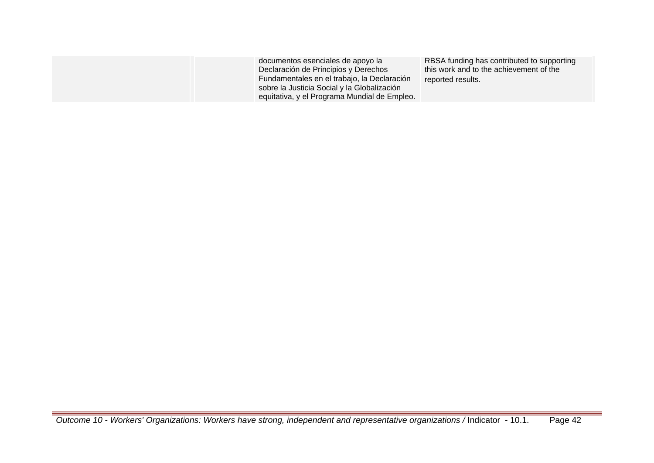| documentos esenciales de apoyo la<br>Declaración de Principios y Derechos<br>Fundamentales en el trabajo, la Declaración<br>sobre la Justicia Social y la Globalización<br>equitativa, y el Programa Mundial de Empleo. | RBSA funding has contributed to supporting<br>this work and to the achievement of the<br>reported results. |
|-------------------------------------------------------------------------------------------------------------------------------------------------------------------------------------------------------------------------|------------------------------------------------------------------------------------------------------------|
|-------------------------------------------------------------------------------------------------------------------------------------------------------------------------------------------------------------------------|------------------------------------------------------------------------------------------------------------|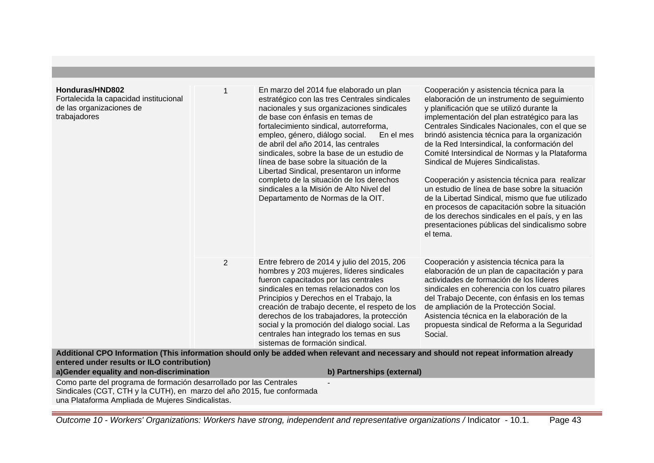| Honduras/HND802<br>Fortalecida la capacidad institucional<br>de las organizaciones de<br>trabajadores |                | En marzo del 2014 fue elaborado un plan<br>estratégico con las tres Centrales sindicales<br>nacionales y sus organizaciones sindicales<br>de base con énfasis en temas de<br>fortalecimiento sindical, autorreforma,<br>empleo, género, diálogo social.<br>En el mes<br>de abril del año 2014, las centrales<br>sindicales, sobre la base de un estudio de<br>línea de base sobre la situación de la<br>Libertad Sindical, presentaron un informe<br>completo de la situación de los derechos<br>sindicales a la Misión de Alto Nivel del<br>Departamento de Normas de la OIT. | Cooperación y asistencia técnica para la<br>elaboración de un instrumento de seguimiento<br>y planificación que se utilizó durante la<br>implementación del plan estratégico para las<br>Centrales Sindicales Nacionales, con el que se<br>brindó asistencia técnica para la organización<br>de la Red Intersindical, la conformación del<br>Comité Intersindical de Normas y la Plataforma<br>Sindical de Mujeres Sindicalistas.<br>Cooperación y asistencia técnica para realizar<br>un estudio de línea de base sobre la situación<br>de la Libertad Sindical, mismo que fue utilizado<br>en procesos de capacitación sobre la situación<br>de los derechos sindicales en el país, y en las<br>presentaciones públicas del sindicalismo sobre<br>el tema. |
|-------------------------------------------------------------------------------------------------------|----------------|--------------------------------------------------------------------------------------------------------------------------------------------------------------------------------------------------------------------------------------------------------------------------------------------------------------------------------------------------------------------------------------------------------------------------------------------------------------------------------------------------------------------------------------------------------------------------------|--------------------------------------------------------------------------------------------------------------------------------------------------------------------------------------------------------------------------------------------------------------------------------------------------------------------------------------------------------------------------------------------------------------------------------------------------------------------------------------------------------------------------------------------------------------------------------------------------------------------------------------------------------------------------------------------------------------------------------------------------------------|
|                                                                                                       | $\overline{2}$ | Entre febrero de 2014 y julio del 2015, 206<br>hombres y 203 mujeres, líderes sindicales<br>fueron capacitados por las centrales<br>sindicales en temas relacionados con los<br>Principios y Derechos en el Trabajo, la<br>creación de trabajo decente, el respeto de los<br>derechos de los trabajadores, la protección<br>social y la promoción del dialogo social. Las<br>centrales han integrado los temas en sus<br>sistemas de formación sindical.                                                                                                                       | Cooperación y asistencia técnica para la<br>elaboración de un plan de capacitación y para<br>actividades de formación de los líderes<br>sindicales en coherencia con los cuatro pilares<br>del Trabajo Decente, con énfasis en los temas<br>de ampliación de la Protección Social.<br>Asistencia técnica en la elaboración de la<br>propuesta sindical de Reforma a la Seguridad<br>Social.                                                                                                                                                                                                                                                                                                                                                                  |
| entered under results or ILO contribution)                                                            |                | Additional CPO Information (This information should only be added when relevant and necessary and should not repeat information already                                                                                                                                                                                                                                                                                                                                                                                                                                        |                                                                                                                                                                                                                                                                                                                                                                                                                                                                                                                                                                                                                                                                                                                                                              |
| a)Gender equality and non-discrimination                                                              |                | b) Partnerships (external)                                                                                                                                                                                                                                                                                                                                                                                                                                                                                                                                                     |                                                                                                                                                                                                                                                                                                                                                                                                                                                                                                                                                                                                                                                                                                                                                              |
| Como parte del programa de formación desarrollado por las Centrales                                   |                |                                                                                                                                                                                                                                                                                                                                                                                                                                                                                                                                                                                |                                                                                                                                                                                                                                                                                                                                                                                                                                                                                                                                                                                                                                                                                                                                                              |
| Sindicales (CGT, CTH y la CUTH), en marzo del año 2015, fue conformada                                |                |                                                                                                                                                                                                                                                                                                                                                                                                                                                                                                                                                                                |                                                                                                                                                                                                                                                                                                                                                                                                                                                                                                                                                                                                                                                                                                                                                              |

una Plataforma Ampliada de Mujeres Sindicalistas.

Outcome 10 - Workers' Organizations: Workers have strong, independent and representative organizations / Indicator - 10.1. Page 43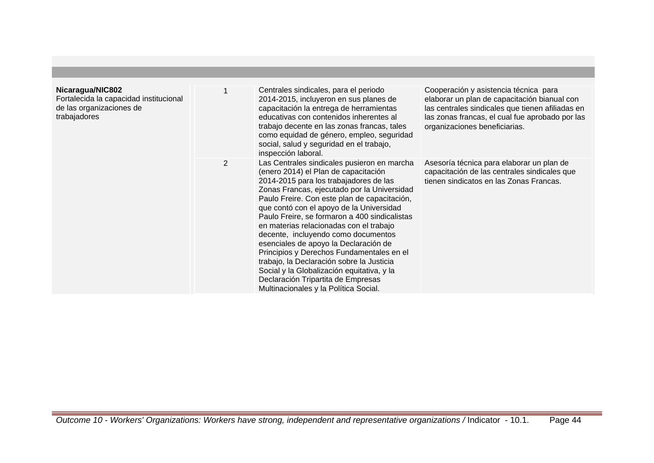| Nicaragua/NIC802<br>Fortalecida la capacidad institucional<br>de las organizaciones de<br>trabajadores |   | Centrales sindicales, para el periodo<br>2014-2015, incluyeron en sus planes de<br>capacitación la entrega de herramientas<br>educativas con contenidos inherentes al<br>trabajo decente en las zonas francas, tales<br>como equidad de género, empleo, seguridad<br>social, salud y seguridad en el trabajo,<br>inspección laboral.                                                                                                                                                                                                                                                                                                                                        | Cooperación y asistencia técnica para<br>elaborar un plan de capacitación bianual con<br>las centrales sindicales que tienen afiliadas en<br>las zonas francas, el cual fue aprobado por las<br>organizaciones beneficiarias. |
|--------------------------------------------------------------------------------------------------------|---|-----------------------------------------------------------------------------------------------------------------------------------------------------------------------------------------------------------------------------------------------------------------------------------------------------------------------------------------------------------------------------------------------------------------------------------------------------------------------------------------------------------------------------------------------------------------------------------------------------------------------------------------------------------------------------|-------------------------------------------------------------------------------------------------------------------------------------------------------------------------------------------------------------------------------|
|                                                                                                        | 2 | Las Centrales sindicales pusieron en marcha<br>(enero 2014) el Plan de capacitación<br>2014-2015 para los trabajadores de las<br>Zonas Francas, ejecutado por la Universidad<br>Paulo Freire. Con este plan de capacitación,<br>que contó con el apoyo de la Universidad<br>Paulo Freire, se formaron a 400 sindicalistas<br>en materias relacionadas con el trabajo<br>decente, incluyendo como documentos<br>esenciales de apoyo la Declaración de<br>Principios y Derechos Fundamentales en el<br>trabajo, la Declaración sobre la Justicia<br>Social y la Globalización equitativa, y la<br>Declaración Tripartita de Empresas<br>Multinacionales y la Política Social. | Asesoría técnica para elaborar un plan de<br>capacitación de las centrales sindicales que<br>tienen sindicatos en las Zonas Francas.                                                                                          |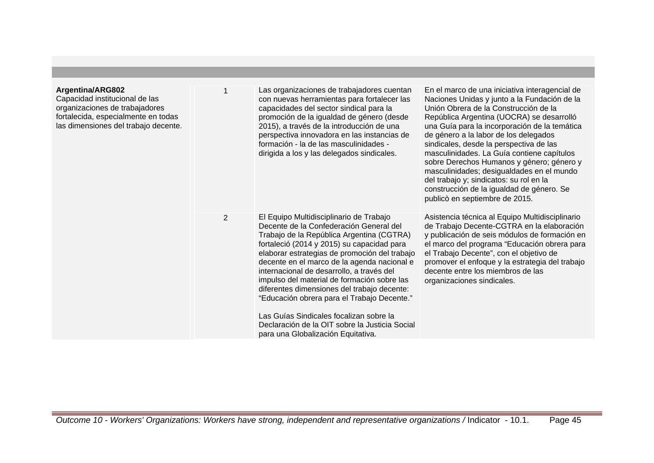| Argentina/ARG802<br>Capacidad institucional de las<br>organizaciones de trabajadores<br>fortalecida, especialmente en todas<br>las dimensiones del trabajo decente. |                | Las organizaciones de trabajadores cuentan<br>con nuevas herramientas para fortalecer las<br>capacidades del sector sindical para la<br>promoción de la igualdad de género (desde<br>2015), a través de la introducción de una<br>perspectiva innovadora en las instancias de<br>formación - la de las masculinidades -<br>dirigida a los y las delegados sindicales.                                                                                                                                                                                                                                      | En el marco de una iniciativa interagencial de<br>Naciones Unidas y junto a la Fundación de la<br>Unión Obrera de la Construcción de la<br>República Argentina (UOCRA) se desarrolló<br>una Guía para la incorporación de la temática<br>de género a la labor de los delegados<br>sindicales, desde la perspectiva de las<br>masculinidades. La Guía contiene capítulos<br>sobre Derechos Humanos y género; género y<br>masculinidades; desigualdades en el mundo<br>del trabajo y; sindicatos: su rol en la<br>construcción de la igualdad de género. Se<br>publicò en septiembre de 2015. |
|---------------------------------------------------------------------------------------------------------------------------------------------------------------------|----------------|------------------------------------------------------------------------------------------------------------------------------------------------------------------------------------------------------------------------------------------------------------------------------------------------------------------------------------------------------------------------------------------------------------------------------------------------------------------------------------------------------------------------------------------------------------------------------------------------------------|---------------------------------------------------------------------------------------------------------------------------------------------------------------------------------------------------------------------------------------------------------------------------------------------------------------------------------------------------------------------------------------------------------------------------------------------------------------------------------------------------------------------------------------------------------------------------------------------|
|                                                                                                                                                                     | $\overline{2}$ | El Equipo Multidisciplinario de Trabajo<br>Decente de la Confederación General del<br>Trabajo de la República Argentina (CGTRA)<br>fortaleció (2014 y 2015) su capacidad para<br>elaborar estrategias de promoción del trabajo<br>decente en el marco de la agenda nacional e<br>internacional de desarrollo, a través del<br>impulso del material de formación sobre las<br>diferentes dimensiones del trabajo decente:<br>"Educación obrera para el Trabajo Decente."<br>Las Guías Sindicales focalizan sobre la<br>Declaración de la OIT sobre la Justicia Social<br>para una Globalización Equitativa. | Asistencia técnica al Equipo Multidisciplinario<br>de Trabajo Decente-CGTRA en la elaboración<br>y publicación de seis módulos de formación en<br>el marco del programa "Educación obrera para<br>el Trabajo Decente", con el objetivo de<br>promover el enfoque y la estrategia del trabajo<br>decente entre los miembros de las<br>organizaciones sindicales.                                                                                                                                                                                                                             |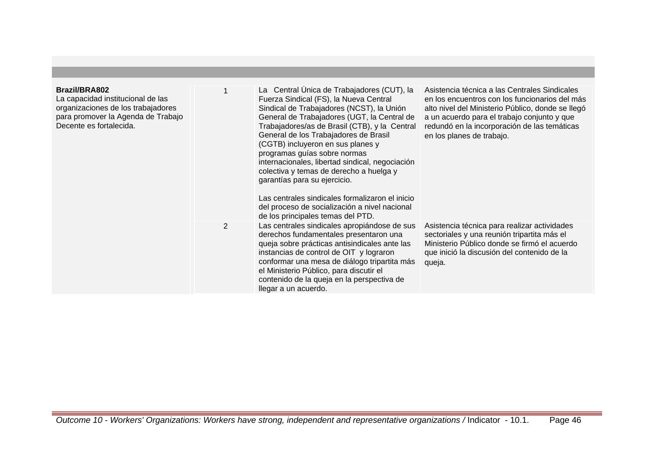| Brazil/BRA802<br>La capacidad institucional de las<br>organizaciones de los trabajadores<br>para promover la Agenda de Trabajo<br>Decente es fortalecida. | 1              | La Central Unica de Trabajadores (CUT), la<br>Fuerza Sindical (FS), la Nueva Central<br>Sindical de Trabajadores (NCST), la Unión<br>General de Trabajadores (UGT, la Central de<br>Trabajadores/as de Brasil (CTB), y la Central<br>General de los Trabajadores de Brasil<br>(CGTB) incluyeron en sus planes y<br>programas guías sobre normas<br>internacionales, libertad sindical, negociación<br>colectiva y temas de derecho a huelga y<br>garantías para su ejercicio.<br>Las centrales sindicales formalizaron el inicio<br>del proceso de socialización a nivel nacional<br>de los principales temas del PTD. | Asistencia técnica a las Centrales Sindicales<br>en los encuentros con los funcionarios del más<br>alto nivel del Ministerio Público, donde se llegó<br>a un acuerdo para el trabajo conjunto y que<br>redundó en la incorporación de las temáticas<br>en los planes de trabajo. |
|-----------------------------------------------------------------------------------------------------------------------------------------------------------|----------------|------------------------------------------------------------------------------------------------------------------------------------------------------------------------------------------------------------------------------------------------------------------------------------------------------------------------------------------------------------------------------------------------------------------------------------------------------------------------------------------------------------------------------------------------------------------------------------------------------------------------|----------------------------------------------------------------------------------------------------------------------------------------------------------------------------------------------------------------------------------------------------------------------------------|
|                                                                                                                                                           | $\overline{2}$ | Las centrales sindicales apropiándose de sus<br>derechos fundamentales presentaron una<br>queja sobre prácticas antisindicales ante las<br>instancias de control de OIT y lograron<br>conformar una mesa de diálogo tripartita más<br>el Ministerio Público, para discutir el<br>contenido de la queja en la perspectiva de<br>llegar a un acuerdo.                                                                                                                                                                                                                                                                    | Asistencia técnica para realizar actividades<br>sectoriales y una reunión tripartita más el<br>Ministerio Público donde se firmó el acuerdo<br>que inició la discusión del contenido de la<br>queja.                                                                             |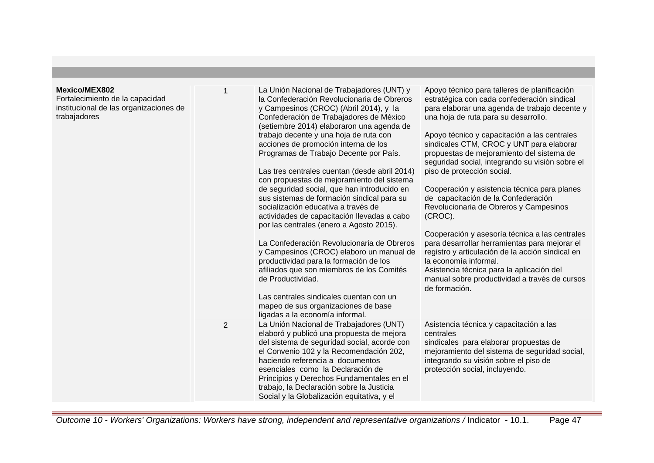| <b>Mexico/MEX802</b><br>Fortalecimiento de la capacidad<br>institucional de las organizaciones de<br>trabajadores | 1              | La Unión Nacional de Trabajadores (UNT) y<br>la Confederación Revolucionaria de Obreros<br>y Campesinos (CROC) (Abril 2014), y la<br>Confederación de Trabajadores de México<br>(setiembre 2014) elaboraron una agenda de<br>trabajo decente y una hoja de ruta con<br>acciones de promoción interna de los<br>Programas de Trabajo Decente por País.<br>Las tres centrales cuentan (desde abril 2014)<br>con propuestas de mejoramiento del sistema<br>de seguridad social, que han introducido en<br>sus sistemas de formación sindical para su<br>socialización educativa a través de<br>actividades de capacitación llevadas a cabo<br>por las centrales (enero a Agosto 2015).<br>La Confederación Revolucionaria de Obreros<br>y Campesinos (CROC) elaboro un manual de<br>productividad para la formación de los<br>afiliados que son miembros de los Comités<br>de Productividad.<br>Las centrales sindicales cuentan con un<br>mapeo de sus organizaciones de base<br>ligadas a la economía informal. | Apoyo técnico para talleres de planificación<br>estratégica con cada confederación sindical<br>para elaborar una agenda de trabajo decente y<br>una hoja de ruta para su desarrollo.<br>Apoyo técnico y capacitación a las centrales<br>sindicales CTM, CROC y UNT para elaborar<br>propuestas de mejoramiento del sistema de<br>seguridad social, integrando su visión sobre el<br>piso de protección social.<br>Cooperación y asistencia técnica para planes<br>de capacitación de la Confederación<br>Revolucionaria de Obreros y Campesinos<br>(CROC).<br>Cooperación y asesoría técnica a las centrales<br>para desarrollar herramientas para mejorar el<br>registro y articulación de la acción sindical en<br>la economía informal.<br>Asistencia técnica para la aplicación del<br>manual sobre productividad a través de cursos<br>de formación. |
|-------------------------------------------------------------------------------------------------------------------|----------------|----------------------------------------------------------------------------------------------------------------------------------------------------------------------------------------------------------------------------------------------------------------------------------------------------------------------------------------------------------------------------------------------------------------------------------------------------------------------------------------------------------------------------------------------------------------------------------------------------------------------------------------------------------------------------------------------------------------------------------------------------------------------------------------------------------------------------------------------------------------------------------------------------------------------------------------------------------------------------------------------------------------|-----------------------------------------------------------------------------------------------------------------------------------------------------------------------------------------------------------------------------------------------------------------------------------------------------------------------------------------------------------------------------------------------------------------------------------------------------------------------------------------------------------------------------------------------------------------------------------------------------------------------------------------------------------------------------------------------------------------------------------------------------------------------------------------------------------------------------------------------------------|
|                                                                                                                   | $\overline{2}$ | La Unión Nacional de Trabajadores (UNT)<br>elaboró y publicó una propuesta de mejora<br>del sistema de seguridad social, acorde con<br>el Convenio 102 y la Recomendación 202,<br>haciendo referencia a documentos<br>esenciales como la Declaración de<br>Principios y Derechos Fundamentales en el<br>trabajo, la Declaración sobre la Justicia<br>Social y la Globalización equitativa, y el                                                                                                                                                                                                                                                                                                                                                                                                                                                                                                                                                                                                                | Asistencia técnica y capacitación a las<br>centrales<br>sindicales para elaborar propuestas de<br>mejoramiento del sistema de seguridad social,<br>integrando su visión sobre el piso de<br>protección social, incluyendo.                                                                                                                                                                                                                                                                                                                                                                                                                                                                                                                                                                                                                                |

Outcome 10 - Workers' Organizations: Workers have strong, independent and representative organizations / Indicator - 10.1. Page 47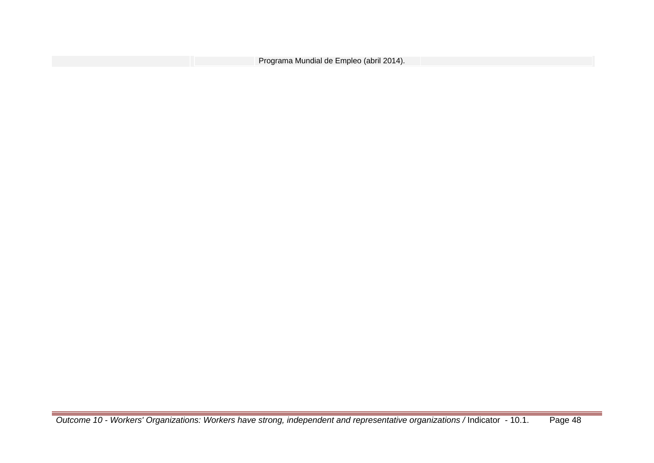| Programa Mundial de Empleo (abril 2014). |  |
|------------------------------------------|--|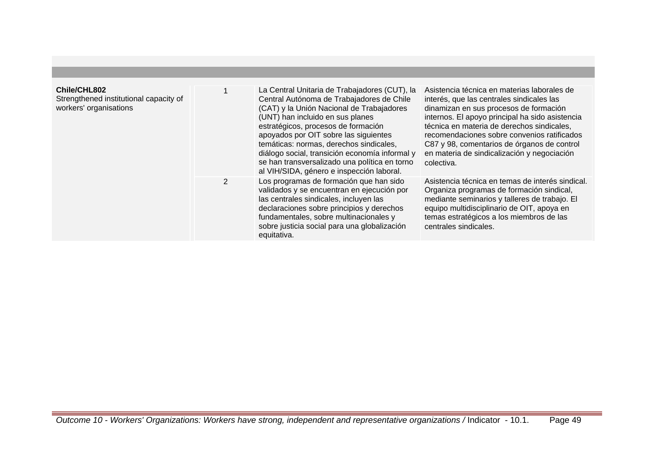| Chile/CHL802<br>Strengthened institutional capacity of<br>workers' organisations |   | La Central Unitaria de Trabajadores (CUT), la<br>Central Autónoma de Trabajadores de Chile<br>(CAT) y la Unión Nacional de Trabajadores<br>(UNT) han incluido en sus planes<br>estratégicos, procesos de formación<br>apoyados por OIT sobre las siguientes<br>temáticas: normas, derechos sindicales,<br>diálogo social, transición economía informal y<br>se han transversalizado una política en torno<br>al VIH/SIDA, género e inspección laboral. | Asistencia técnica en materias laborales de<br>interés, que las centrales sindicales las<br>dinamizan en sus procesos de formación<br>internos. El apoyo principal ha sido asistencia<br>técnica en materia de derechos sindicales,<br>recomendaciones sobre convenios ratificados<br>C87 y 98, comentarios de órganos de control<br>en materia de sindicalización y negociación<br>colectiva. |
|----------------------------------------------------------------------------------|---|--------------------------------------------------------------------------------------------------------------------------------------------------------------------------------------------------------------------------------------------------------------------------------------------------------------------------------------------------------------------------------------------------------------------------------------------------------|------------------------------------------------------------------------------------------------------------------------------------------------------------------------------------------------------------------------------------------------------------------------------------------------------------------------------------------------------------------------------------------------|
|                                                                                  | 2 | Los programas de formación que han sido<br>validados y se encuentran en ejecución por<br>las centrales sindicales, incluyen las<br>declaraciones sobre principios y derechos<br>fundamentales, sobre multinacionales y<br>sobre justicia social para una globalización<br>equitativa.                                                                                                                                                                  | Asistencia técnica en temas de interés sindical.<br>Organiza programas de formación sindical,<br>mediante seminarios y talleres de trabajo. El<br>equipo multidisciplinario de OIT, apoya en<br>temas estratégicos a los miembros de las<br>centrales sindicales.                                                                                                                              |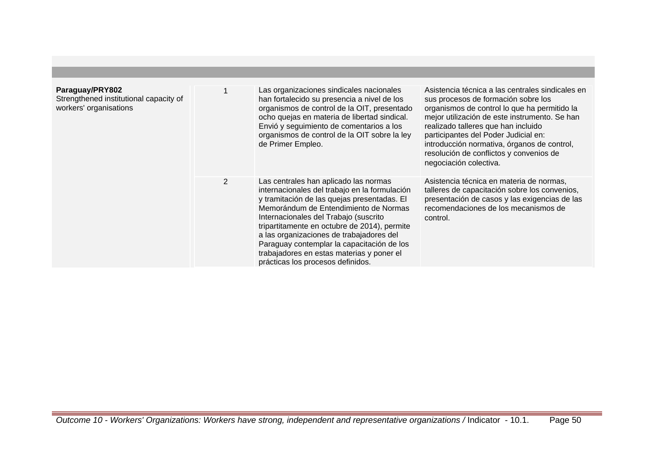| Paraguay/PRY802<br>Strengthened institutional capacity of<br>workers' organisations |                | Las organizaciones sindicales nacionales<br>han fortalecido su presencia a nivel de los<br>organismos de control de la OIT, presentado<br>ocho quejas en materia de libertad sindical.<br>Envió y seguimiento de comentarios a los<br>organismos de control de la OIT sobre la ley<br>de Primer Empleo.                                                                                                                                             | Asistencia técnica a las centrales sindicales en<br>sus procesos de formación sobre los<br>organismos de control lo que ha permitido la<br>mejor utilización de este instrumento. Se han<br>realizado talleres que han incluido<br>participantes del Poder Judicial en:<br>introducción normativa, órganos de control,<br>resolución de conflictos y convenios de<br>negociación colectiva. |
|-------------------------------------------------------------------------------------|----------------|-----------------------------------------------------------------------------------------------------------------------------------------------------------------------------------------------------------------------------------------------------------------------------------------------------------------------------------------------------------------------------------------------------------------------------------------------------|---------------------------------------------------------------------------------------------------------------------------------------------------------------------------------------------------------------------------------------------------------------------------------------------------------------------------------------------------------------------------------------------|
|                                                                                     | $\overline{2}$ | Las centrales han aplicado las normas<br>internacionales del trabajo en la formulación<br>y tramitación de las quejas presentadas. El<br>Memorándum de Entendimiento de Normas<br>Internacionales del Trabajo (suscrito<br>tripartitamente en octubre de 2014), permite<br>a las organizaciones de trabajadores del<br>Paraguay contemplar la capacitación de los<br>trabajadores en estas materias y poner el<br>prácticas los procesos definidos. | Asistencia técnica en materia de normas,<br>talleres de capacitación sobre los convenios,<br>presentación de casos y las exigencias de las<br>recomendaciones de los mecanismos de<br>control.                                                                                                                                                                                              |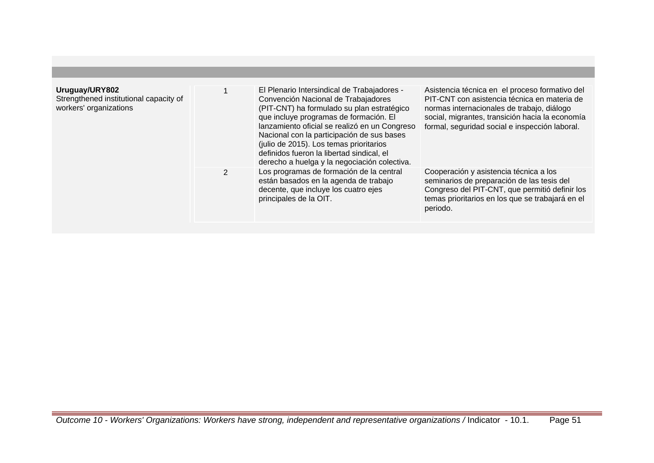| Uruguay/URY802<br>Strengthened institutional capacity of<br>workers' organizations |   | El Plenario Intersindical de Trabajadores -<br>Convención Nacional de Trabajadores<br>(PIT-CNT) ha formulado su plan estratégico<br>que incluye programas de formación. El<br>lanzamiento oficial se realizó en un Congreso<br>Nacional con la participación de sus bases<br>(julio de 2015). Los temas prioritarios<br>definidos fueron la libertad sindical, el<br>derecho a huelga y la negociación colectiva. | Asistencia técnica en el proceso formativo del<br>PIT-CNT con asistencia técnica en materia de<br>normas internacionales de trabajo, diálogo<br>social, migrantes, transición hacia la economía<br>formal, seguridad social e inspección laboral. |
|------------------------------------------------------------------------------------|---|-------------------------------------------------------------------------------------------------------------------------------------------------------------------------------------------------------------------------------------------------------------------------------------------------------------------------------------------------------------------------------------------------------------------|---------------------------------------------------------------------------------------------------------------------------------------------------------------------------------------------------------------------------------------------------|
|                                                                                    | 2 | Los programas de formación de la central<br>están basados en la agenda de trabajo<br>decente, que incluye los cuatro ejes<br>principales de la OIT.                                                                                                                                                                                                                                                               | Cooperación y asistencia técnica a los<br>seminarios de preparación de las tesis del<br>Congreso del PIT-CNT, que permitió definir los<br>temas prioritarios en los que se trabajará en el<br>periodo.                                            |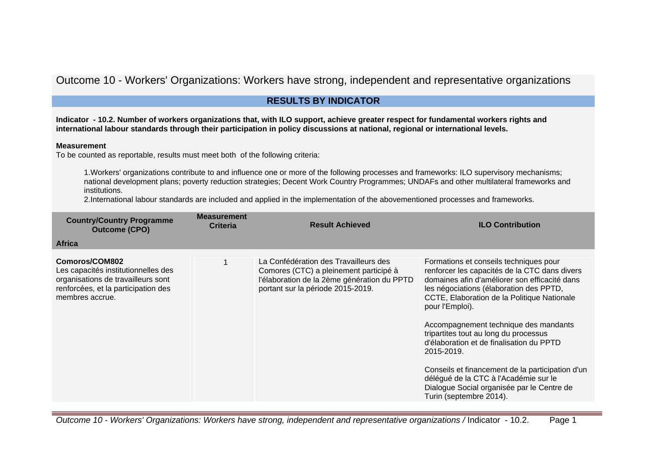# Outcome 10 - Workers' Organizations: Workers have strong, independent and representative organizations

# **RESULTS BY INDICATOR**

**Indicator - 10.2. Number of workers organizations that, with ILO support, achieve greater respect for fundamental workers rights and international labour standards through their participation in policy discussions at national, regional or international levels.**

### **Measurement**

To be counted as reportable, results must meet both of the following criteria:

1.Workers' organizations contribute to and influence one or more of the following processes and frameworks: ILO supervisory mechanisms; national development plans; poverty reduction strategies; Decent Work Country Programmes; UNDAFs and other multilateral frameworks and institutions.

2.International labour standards are included and applied in the implementation of the abovementioned processes and frameworks.

| <b>Country/Country Programme</b><br><b>Outcome (CPO)</b>                                                                                              | <b>Measurement</b><br><b>Criteria</b> | <b>Result Achieved</b>                                                                                                                                              | <b>ILO Contribution</b>                                                                                                                                                                                                                                                                                                                                                                                                                                                                                                                                                 |
|-------------------------------------------------------------------------------------------------------------------------------------------------------|---------------------------------------|---------------------------------------------------------------------------------------------------------------------------------------------------------------------|-------------------------------------------------------------------------------------------------------------------------------------------------------------------------------------------------------------------------------------------------------------------------------------------------------------------------------------------------------------------------------------------------------------------------------------------------------------------------------------------------------------------------------------------------------------------------|
| <b>Africa</b>                                                                                                                                         |                                       |                                                                                                                                                                     |                                                                                                                                                                                                                                                                                                                                                                                                                                                                                                                                                                         |
| Comoros/COM802<br>Les capacités institutionnelles des<br>organisations de travailleurs sont<br>renforcées, et la participation des<br>membres accrue. |                                       | La Confédération des Travailleurs des<br>Comores (CTC) a pleinement participé à<br>l'élaboration de la 2ème génération du PPTD<br>portant sur la période 2015-2019. | Formations et conseils techniques pour<br>renforcer les capacités de la CTC dans divers<br>domaines afin d'améliorer son efficacité dans<br>les négociations (élaboration des PPTD,<br>CCTE, Elaboration de la Politique Nationale<br>pour l'Emploi).<br>Accompagnement technique des mandants<br>tripartites tout au long du processus<br>d'élaboration et de finalisation du PPTD<br>2015-2019.<br>Conseils et financement de la participation d'un<br>délégué de la CTC à l'Académie sur le<br>Dialogue Social organisée par le Centre de<br>Turin (septembre 2014). |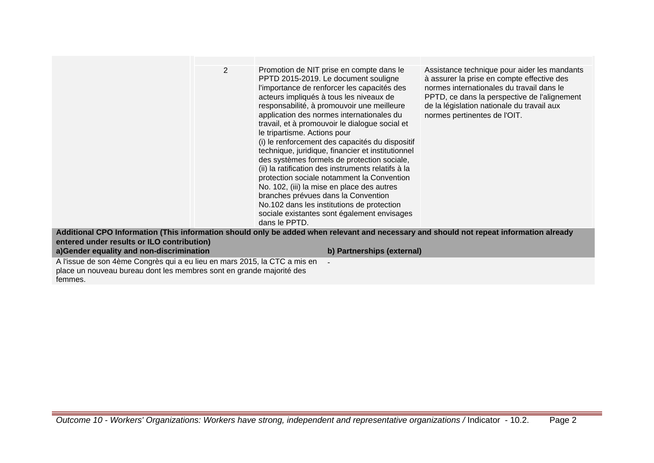|                                            | $\overline{2}$ | Promotion de NIT prise en compte dans le<br>PPTD 2015-2019. Le document souligne<br>l'importance de renforcer les capacités des<br>acteurs impliqués à tous les niveaux de<br>responsabilité, à promouvoir une meilleure<br>application des normes internationales du<br>travail, et à promouvoir le dialogue social et<br>le tripartisme. Actions pour<br>(i) le renforcement des capacités du dispositif<br>technique, juridique, financier et institutionnel<br>des systèmes formels de protection sociale,<br>(ii) la ratification des instruments relatifs à la<br>protection sociale notamment la Convention<br>No. 102, (iii) la mise en place des autres<br>branches prévues dans la Convention<br>No.102 dans les institutions de protection<br>sociale existantes sont également envisages<br>dans le PPTD. | Assistance technique pour aider les mandants<br>à assurer la prise en compte effective des<br>normes internationales du travail dans le<br>PPTD, ce dans la perspective de l'alignement<br>de la législation nationale du travail aux<br>normes pertinentes de l'OIT. |
|--------------------------------------------|----------------|-----------------------------------------------------------------------------------------------------------------------------------------------------------------------------------------------------------------------------------------------------------------------------------------------------------------------------------------------------------------------------------------------------------------------------------------------------------------------------------------------------------------------------------------------------------------------------------------------------------------------------------------------------------------------------------------------------------------------------------------------------------------------------------------------------------------------|-----------------------------------------------------------------------------------------------------------------------------------------------------------------------------------------------------------------------------------------------------------------------|
|                                            |                | Additional CPO Information (This information should only be added when relevant and necessary and should not repeat information already                                                                                                                                                                                                                                                                                                                                                                                                                                                                                                                                                                                                                                                                               |                                                                                                                                                                                                                                                                       |
| entered under results or ILO contribution) |                |                                                                                                                                                                                                                                                                                                                                                                                                                                                                                                                                                                                                                                                                                                                                                                                                                       |                                                                                                                                                                                                                                                                       |
| a) Gender equality and non-discrimination  |                | b) Partnerships (external)                                                                                                                                                                                                                                                                                                                                                                                                                                                                                                                                                                                                                                                                                                                                                                                            |                                                                                                                                                                                                                                                                       |

A l'issue de son 4ème Congrès qui a eu lieu en mars 2015, la CTC a mis en place un nouveau bureau dont les membres sont en grande majorité des femmes.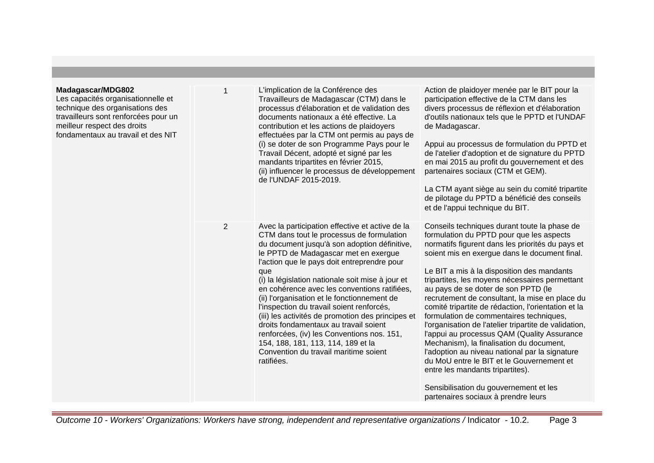| Madagascar/MDG802<br>Les capacités organisationnelle et<br>technique des organisations des<br>travailleurs sont renforcées pour un<br>meilleur respect des droits<br>fondamentaux au travail et des NIT | 1              | L'implication de la Conférence des<br>Travailleurs de Madagascar (CTM) dans le<br>processus d'élaboration et de validation des<br>documents nationaux a été effective. La<br>contribution et les actions de plaidoyers<br>effectuées par la CTM ont permis au pays de<br>(i) se doter de son Programme Pays pour le<br>Travail Décent, adopté et signé par les<br>mandants tripartites en février 2015,<br>(ii) influencer le processus de développement<br>de l'UNDAF 2015-2019.                                                                                                                                                                                                   | Action de plaidoyer menée par le BIT pour la<br>participation effective de la CTM dans les<br>divers processus de réflexion et d'élaboration<br>d'outils nationaux tels que le PPTD et l'UNDAF<br>de Madagascar.<br>Appui au processus de formulation du PPTD et<br>de l'atelier d'adoption et de signature du PPTD<br>en mai 2015 au profit du gouvernement et des<br>partenaires sociaux (CTM et GEM).<br>La CTM ayant siège au sein du comité tripartite<br>de pilotage du PPTD a bénéficié des conseils<br>et de l'appui technique du BIT.                                                                                                                                                                                                                                                                                                                   |
|---------------------------------------------------------------------------------------------------------------------------------------------------------------------------------------------------------|----------------|-------------------------------------------------------------------------------------------------------------------------------------------------------------------------------------------------------------------------------------------------------------------------------------------------------------------------------------------------------------------------------------------------------------------------------------------------------------------------------------------------------------------------------------------------------------------------------------------------------------------------------------------------------------------------------------|------------------------------------------------------------------------------------------------------------------------------------------------------------------------------------------------------------------------------------------------------------------------------------------------------------------------------------------------------------------------------------------------------------------------------------------------------------------------------------------------------------------------------------------------------------------------------------------------------------------------------------------------------------------------------------------------------------------------------------------------------------------------------------------------------------------------------------------------------------------|
|                                                                                                                                                                                                         | $\overline{2}$ | Avec la participation effective et active de la<br>CTM dans tout le processus de formulation<br>du document jusqu'à son adoption définitive,<br>le PPTD de Madagascar met en exergue<br>l'action que le pays doit entreprendre pour<br>que<br>(i) la législation nationale soit mise à jour et<br>en cohérence avec les conventions ratifiées,<br>(ii) l'organisation et le fonctionnement de<br>l'inspection du travail soient renforcés,<br>(iii) les activités de promotion des principes et<br>droits fondamentaux au travail soient<br>renforcées, (iv) les Conventions nos. 151,<br>154, 188, 181, 113, 114, 189 et la<br>Convention du travail maritime soient<br>ratifiées. | Conseils techniques durant toute la phase de<br>formulation du PPTD pour que les aspects<br>normatifs figurent dans les priorités du pays et<br>soient mis en exergue dans le document final.<br>Le BIT a mis à la disposition des mandants<br>tripartites, les moyens nécessaires permettant<br>au pays de se doter de son PPTD (le<br>recrutement de consultant, la mise en place du<br>comité tripartite de rédaction, l'orientation et la<br>formulation de commentaires techniques,<br>l'organisation de l'atelier tripartite de validation,<br>l'appui au processus QAM (Quality Assurance<br>Mechanism), la finalisation du document,<br>l'adoption au niveau national par la signature<br>du MoU entre le BIT et le Gouvernement et<br>entre les mandants tripartites).<br>Sensibilisation du gouvernement et les<br>partenaires sociaux à prendre leurs |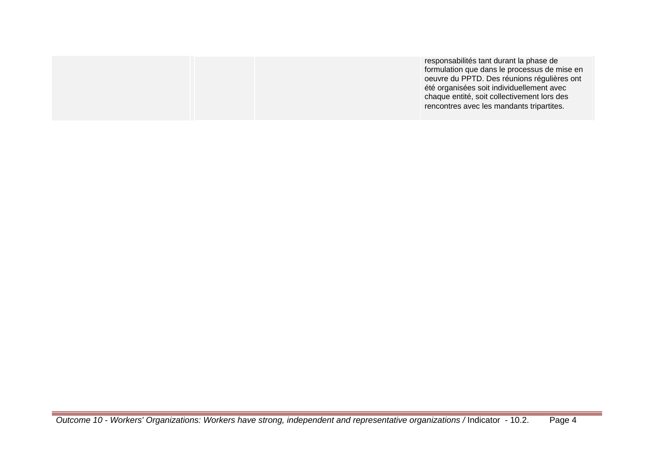| rencontres avec les mandants tripartites. |
|-------------------------------------------|
|-------------------------------------------|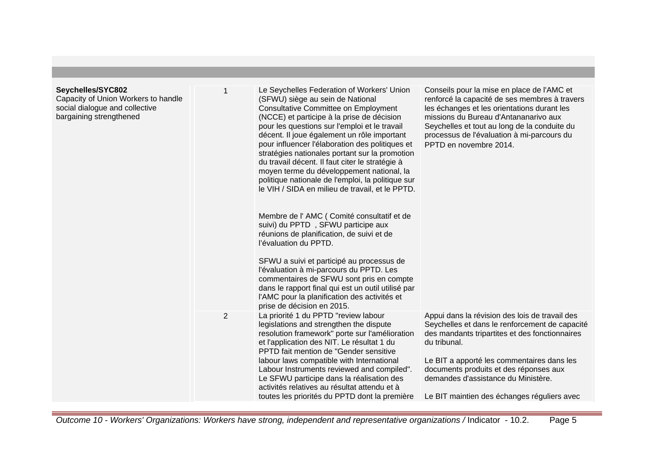| Seychelles/SYC802<br>Capacity of Union Workers to handle<br>social dialogue and collective<br>bargaining strengthened |                | Le Seychelles Federation of Workers' Union<br>(SFWU) siège au sein de National<br><b>Consultative Committee on Employment</b><br>(NCCE) et participe à la prise de décision<br>pour les questions sur l'emploi et le travail<br>décent. Il joue également un rôle important<br>pour influencer l'élaboration des politiques et<br>stratégies nationales portant sur la promotion<br>du travail décent. Il faut citer le stratégie à<br>moyen terme du développement national, la<br>politique nationale de l'emploi, la politique sur<br>le VIH / SIDA en milieu de travail, et le PPTD.<br>Membre de l'AMC (Comité consultatif et de<br>suivi) du PPTD, SFWU participe aux<br>réunions de planification, de suivi et de<br>l'évaluation du PPTD.<br>SFWU a suivi et participé au processus de<br>l'évaluation à mi-parcours du PPTD. Les<br>commentaires de SFWU sont pris en compte<br>dans le rapport final qui est un outil utilisé par<br>l'AMC pour la planification des activités et<br>prise de décision en 2015. | Conseils pour la mise en place de l'AMC et<br>renforcé la capacité de ses membres à travers<br>les échanges et les orientations durant les<br>missions du Bureau d'Antananarivo aux<br>Seychelles et tout au long de la conduite du<br>processus de l'évaluation à mi-parcours du<br>PPTD en novembre 2014.                                      |
|-----------------------------------------------------------------------------------------------------------------------|----------------|---------------------------------------------------------------------------------------------------------------------------------------------------------------------------------------------------------------------------------------------------------------------------------------------------------------------------------------------------------------------------------------------------------------------------------------------------------------------------------------------------------------------------------------------------------------------------------------------------------------------------------------------------------------------------------------------------------------------------------------------------------------------------------------------------------------------------------------------------------------------------------------------------------------------------------------------------------------------------------------------------------------------------|--------------------------------------------------------------------------------------------------------------------------------------------------------------------------------------------------------------------------------------------------------------------------------------------------------------------------------------------------|
|                                                                                                                       | $\overline{2}$ | La priorité 1 du PPTD "review labour<br>legislations and strengthen the dispute<br>resolution framework" porte sur l'amélioration<br>et l'application des NIT. Le résultat 1 du<br>PPTD fait mention de "Gender sensitive<br>labour laws compatible with International<br>Labour Instruments reviewed and compiled".<br>Le SFWU participe dans la réalisation des<br>activités relatives au résultat attendu et à<br>toutes les priorités du PPTD dont la première                                                                                                                                                                                                                                                                                                                                                                                                                                                                                                                                                        | Appui dans la révision des lois de travail des<br>Seychelles et dans le renforcement de capacité<br>des mandants tripartites et des fonctionnaires<br>du tribunal.<br>Le BIT a apporté les commentaires dans les<br>documents produits et des réponses aux<br>demandes d'assistance du Ministère.<br>Le BIT maintien des échanges réguliers avec |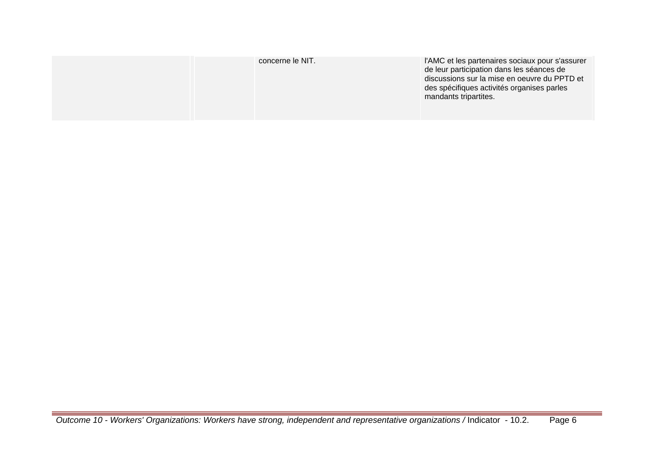| concerne le NIT. | l'AMC et les partenaires sociaux pour s'assurer<br>de leur participation dans les séances de<br>discussions sur la mise en oeuvre du PPTD et<br>des spécifiques activités organises parles<br>mandants tripartites. |
|------------------|---------------------------------------------------------------------------------------------------------------------------------------------------------------------------------------------------------------------|
|------------------|---------------------------------------------------------------------------------------------------------------------------------------------------------------------------------------------------------------------|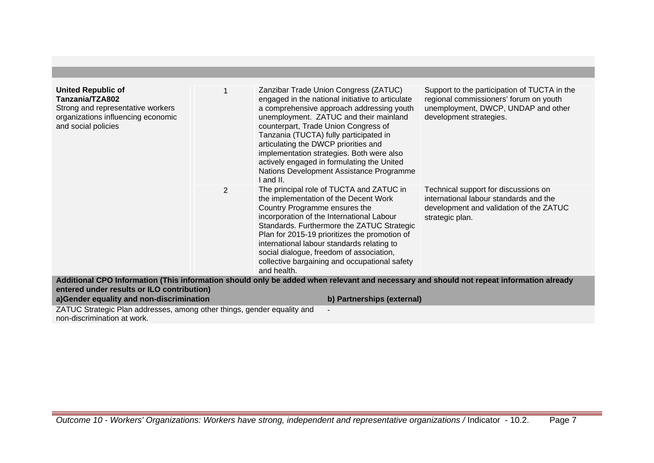| <b>United Republic of</b><br>Tanzania/TZA802<br>Strong and representative workers<br>organizations influencing economic<br>and social policies |   | Zanzibar Trade Union Congress (ZATUC)<br>engaged in the national initiative to articulate<br>a comprehensive approach addressing youth<br>unemployment. ZATUC and their mainland<br>counterpart, Trade Union Congress of<br>Tanzania (TUCTA) fully participated in<br>articulating the DWCP priorities and<br>implementation strategies. Both were also<br>actively engaged in formulating the United<br>Nations Development Assistance Programme<br>I and II. | Support to the participation of TUCTA in the<br>regional commissioners' forum on youth<br>unemployment, DWCP, UNDAP and other<br>development strategies. |
|------------------------------------------------------------------------------------------------------------------------------------------------|---|----------------------------------------------------------------------------------------------------------------------------------------------------------------------------------------------------------------------------------------------------------------------------------------------------------------------------------------------------------------------------------------------------------------------------------------------------------------|----------------------------------------------------------------------------------------------------------------------------------------------------------|
|                                                                                                                                                | 2 | The principal role of TUCTA and ZATUC in<br>the implementation of the Decent Work<br>Country Programme ensures the<br>incorporation of the International Labour<br>Standards. Furthermore the ZATUC Strategic<br>Plan for 2015-19 prioritizes the promotion of<br>international labour standards relating to<br>social dialogue, freedom of association,<br>collective bargaining and occupational safety<br>and health.                                       | Technical support for discussions on<br>international labour standards and the<br>development and validation of the ZATUC<br>strategic plan.             |
|                                                                                                                                                |   | Additional CPO Information (This information should only be added when relevant and necessary and should not repeat information already                                                                                                                                                                                                                                                                                                                        |                                                                                                                                                          |
| entered under results or ILO contribution)                                                                                                     |   |                                                                                                                                                                                                                                                                                                                                                                                                                                                                |                                                                                                                                                          |
| a)Gender equality and non-discrimination                                                                                                       |   | b) Partnerships (external)                                                                                                                                                                                                                                                                                                                                                                                                                                     |                                                                                                                                                          |
| ZATUC Strategic Plan addresses, among other things, gender equality and                                                                        |   |                                                                                                                                                                                                                                                                                                                                                                                                                                                                |                                                                                                                                                          |
| non-discrimination at work.                                                                                                                    |   |                                                                                                                                                                                                                                                                                                                                                                                                                                                                |                                                                                                                                                          |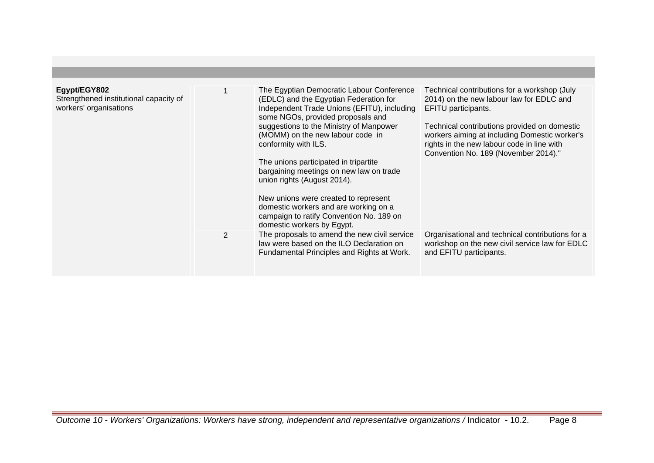| Egypt/EGY802<br>Strengthened institutional capacity of<br>workers' organisations |   | The Egyptian Democratic Labour Conference<br>(EDLC) and the Egyptian Federation for<br>Independent Trade Unions (EFITU), including<br>some NGOs, provided proposals and<br>suggestions to the Ministry of Manpower<br>(MOMM) on the new labour code in<br>conformity with ILS.<br>The unions participated in tripartite<br>bargaining meetings on new law on trade<br>union rights (August 2014).<br>New unions were created to represent<br>domestic workers and are working on a<br>campaign to ratify Convention No. 189 on<br>domestic workers by Egypt. | Technical contributions for a workshop (July<br>2014) on the new labour law for EDLC and<br>EFITU participants.<br>Technical contributions provided on domestic<br>workers aiming at including Domestic worker's<br>rights in the new labour code in line with<br>Convention No. 189 (November 2014)." |
|----------------------------------------------------------------------------------|---|--------------------------------------------------------------------------------------------------------------------------------------------------------------------------------------------------------------------------------------------------------------------------------------------------------------------------------------------------------------------------------------------------------------------------------------------------------------------------------------------------------------------------------------------------------------|--------------------------------------------------------------------------------------------------------------------------------------------------------------------------------------------------------------------------------------------------------------------------------------------------------|
|                                                                                  | 2 | The proposals to amend the new civil service<br>law were based on the ILO Declaration on<br>Fundamental Principles and Rights at Work.                                                                                                                                                                                                                                                                                                                                                                                                                       | Organisational and technical contributions for a<br>workshop on the new civil service law for EDLC<br>and EFITU participants.                                                                                                                                                                          |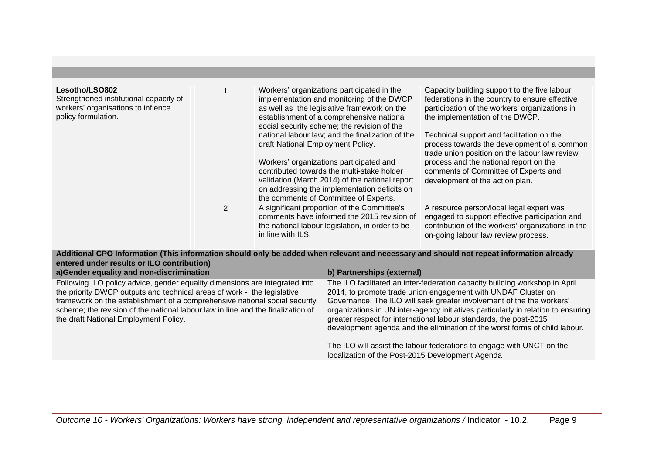| Lesotho/LSO802<br>Strengthened institutional capacity of<br>workers' organisations to inflence<br>policy formulation. |   | Workers' organizations participated in the<br>implementation and monitoring of the DWCP<br>as well as the legislative framework on the<br>establishment of a comprehensive national<br>social security scheme; the revision of the<br>national labour law; and the finalization of the<br>draft National Employment Policy.<br>Workers' organizations participated and<br>contributed towards the multi-stake holder<br>validation (March 2014) of the national report<br>on addressing the implementation deficits on<br>the comments of Committee of Experts. | Capacity building support to the five labour<br>federations in the country to ensure effective<br>participation of the workers' organizations in<br>the implementation of the DWCP.<br>Technical support and facilitation on the<br>process towards the development of a common<br>trade union position on the labour law review<br>process and the national report on the<br>comments of Committee of Experts and<br>development of the action plan. |
|-----------------------------------------------------------------------------------------------------------------------|---|-----------------------------------------------------------------------------------------------------------------------------------------------------------------------------------------------------------------------------------------------------------------------------------------------------------------------------------------------------------------------------------------------------------------------------------------------------------------------------------------------------------------------------------------------------------------|-------------------------------------------------------------------------------------------------------------------------------------------------------------------------------------------------------------------------------------------------------------------------------------------------------------------------------------------------------------------------------------------------------------------------------------------------------|
|                                                                                                                       | 2 | A significant proportion of the Committee's<br>comments have informed the 2015 revision of<br>the national labour legislation, in order to be<br>in line with ILS.                                                                                                                                                                                                                                                                                                                                                                                              | A resource person/local legal expert was<br>engaged to support effective participation and<br>contribution of the workers' organizations in the<br>on-going labour law review process.                                                                                                                                                                                                                                                                |

**Additional CPO Information (This information should only be added when relevant and necessary and should not repeat information already entered under results or ILO contribution)**

| a)Gender equality and non-discrimination                                                                                                                                                                                                                                                                                                                         | b) Partnerships (external)                                                                                                                                                                                                                                                                                                                                                                                                                                    |
|------------------------------------------------------------------------------------------------------------------------------------------------------------------------------------------------------------------------------------------------------------------------------------------------------------------------------------------------------------------|---------------------------------------------------------------------------------------------------------------------------------------------------------------------------------------------------------------------------------------------------------------------------------------------------------------------------------------------------------------------------------------------------------------------------------------------------------------|
| Following ILO policy advice, gender equality dimensions are integrated into<br>the priority DWCP outputs and technical areas of work - the legislative<br>framework on the establishment of a comprehensive national social security<br>scheme; the revision of the national labour law in line and the finalization of<br>the draft National Employment Policy. | The ILO facilitated an inter-federation capacity building workshop in April<br>2014, to promote trade union engagement with UNDAF Cluster on<br>Governance. The ILO will seek greater involvement of the the workers'<br>organizations in UN inter-agency initiatives particularly in relation to ensuring<br>greater respect for international labour standards, the post-2015<br>development agenda and the elimination of the worst forms of child labour. |
|                                                                                                                                                                                                                                                                                                                                                                  | The ILO will assist the labour federations to engage with UNCT on the<br>localization of the Post-2015 Development Agenda                                                                                                                                                                                                                                                                                                                                     |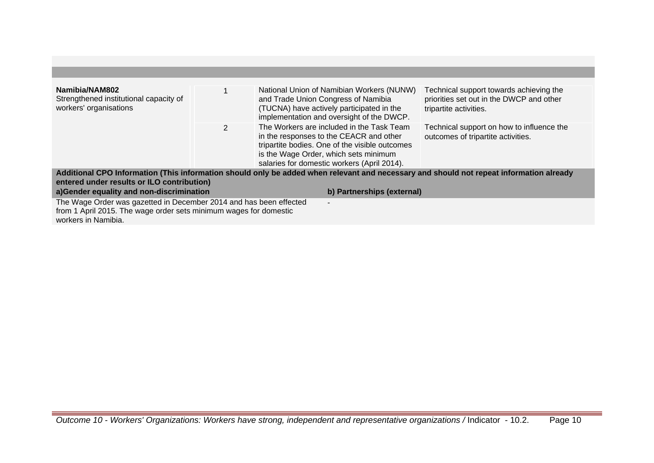| Namibia/NAM802<br>Strengthened institutional capacity of<br>workers' organisations                                                                                                                                                                              |              | National Union of Namibian Workers (NUNW)<br>and Trade Union Congress of Namibia<br>(TUCNA) have actively participated in the<br>implementation and oversight of the DWCP.                                                     | Technical support towards achieving the<br>priorities set out in the DWCP and other<br>tripartite activities. |  |  |
|-----------------------------------------------------------------------------------------------------------------------------------------------------------------------------------------------------------------------------------------------------------------|--------------|--------------------------------------------------------------------------------------------------------------------------------------------------------------------------------------------------------------------------------|---------------------------------------------------------------------------------------------------------------|--|--|
|                                                                                                                                                                                                                                                                 | $\mathbf{2}$ | The Workers are included in the Task Team<br>in the responses to the CEACR and other<br>tripartite bodies. One of the visible outcomes<br>is the Wage Order, which sets minimum<br>salaries for domestic workers (April 2014). | Technical support on how to influence the<br>outcomes of tripartite activities.                               |  |  |
| Additional CPO Information (This information should only be added when relevant and necessary and should not repeat information already<br>entered under results or ILO contribution)<br>a)Gender equality and non-discrimination<br>b) Partnerships (external) |              |                                                                                                                                                                                                                                |                                                                                                               |  |  |
| The Wage Order was gazetted in December 2014 and has been effected<br>$\overline{\phantom{0}}$<br>from 1 April 2015. The wage order sets minimum wages for domestic<br>workers in Namibia.                                                                      |              |                                                                                                                                                                                                                                |                                                                                                               |  |  |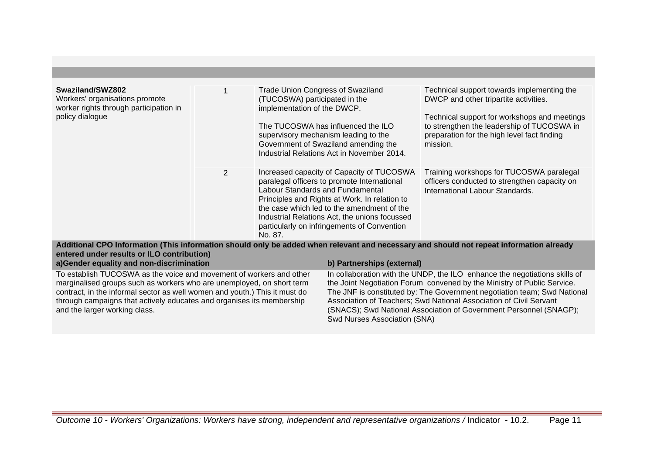| Swaziland/SWZ802<br>Workers' organisations promote<br>worker rights through participation in<br>policy dialogue |                | <b>Trade Union Congress of Swaziland</b><br>(TUCOSWA) participated in the<br>implementation of the DWCP.<br>The TUCOSWA has influenced the ILO<br>supervisory mechanism leading to the<br>Government of Swaziland amending the<br>Industrial Relations Act in November 2014.                                                           | Technical support towards implementing the<br>DWCP and other tripartite activities.<br>Technical support for workshops and meetings<br>to strengthen the leadership of TUCOSWA in<br>preparation for the high level fact finding<br>mission. |
|-----------------------------------------------------------------------------------------------------------------|----------------|----------------------------------------------------------------------------------------------------------------------------------------------------------------------------------------------------------------------------------------------------------------------------------------------------------------------------------------|----------------------------------------------------------------------------------------------------------------------------------------------------------------------------------------------------------------------------------------------|
|                                                                                                                 | $\overline{2}$ | Increased capacity of Capacity of TUCOSWA<br>paralegal officers to promote International<br>Labour Standards and Fundamental<br>Principles and Rights at Work. In relation to<br>the case which led to the amendment of the<br>Industrial Relations Act, the unions focussed<br>particularly on infringements of Convention<br>No. 87. | Training workshops for TUCOSWA paralegal<br>officers conducted to strengthen capacity on<br>International Labour Standards.                                                                                                                  |
|                                                                                                                 |                | Additional CDO Information (This information abould only be added when relevant and necessary and abould not repeat information already                                                                                                                                                                                                |                                                                                                                                                                                                                                              |

**Additional CPO Information (This information should only be added when relevant and necessary and should not repeat information already entered under results or ILO contribution)**

| a)Gender equality and non-discrimination                                   | b) Partnerships (external)                                                 |
|----------------------------------------------------------------------------|----------------------------------------------------------------------------|
| To establish TUCOSWA as the voice and movement of workers and other        | In collaboration with the UNDP, the ILO enhance the negotiations skills of |
| marginalised groups such as workers who are unemployed, on short term      | the Joint Negotiation Forum convened by the Ministry of Public Service.    |
| contract, in the informal sector as well women and youth.) This it must do | The JNF is constituted by: The Government negotiation team; Swd National   |
| through campaigns that actively educates and organises its membership      | Association of Teachers; Swd National Association of Civil Servant         |
| and the larger working class.                                              | (SNACS); Swd National Association of Government Personnel (SNAGP);         |
|                                                                            | Swd Nurses Association (SNA)                                               |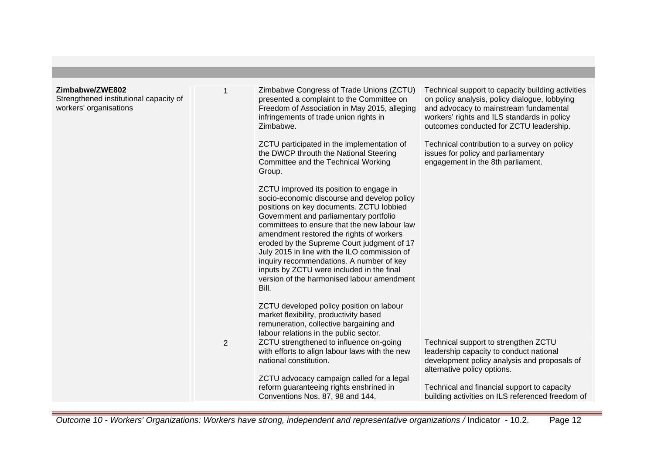| Zimbabwe/ZWE802                                                  |   | Zimbabwe Congress of Trade Unions (ZCTU)                                                                                                                                                                                                                                                                                                                                                                                                                                                                                                                                                                                                                | Technical support to capacity building activities                                                                                                                                 |
|------------------------------------------------------------------|---|---------------------------------------------------------------------------------------------------------------------------------------------------------------------------------------------------------------------------------------------------------------------------------------------------------------------------------------------------------------------------------------------------------------------------------------------------------------------------------------------------------------------------------------------------------------------------------------------------------------------------------------------------------|-----------------------------------------------------------------------------------------------------------------------------------------------------------------------------------|
| Strengthened institutional capacity of<br>workers' organisations |   | presented a complaint to the Committee on<br>Freedom of Association in May 2015, alleging<br>infringements of trade union rights in<br>Zimbabwe.                                                                                                                                                                                                                                                                                                                                                                                                                                                                                                        | on policy analysis, policy dialogue, lobbying<br>and advocacy to mainstream fundamental<br>workers' rights and ILS standards in policy<br>outcomes conducted for ZCTU leadership. |
|                                                                  |   | ZCTU participated in the implementation of<br>the DWCP throuth the National Steering<br>Committee and the Technical Working<br>Group.                                                                                                                                                                                                                                                                                                                                                                                                                                                                                                                   | Technical contribution to a survey on policy<br>issues for policy and parliamentary<br>engagement in the 8th parliament.                                                          |
|                                                                  |   | ZCTU improved its position to engage in<br>socio-economic discourse and develop policy<br>positions on key documents. ZCTU lobbied<br>Government and parliamentary portfolio<br>committees to ensure that the new labour law<br>amendment restored the rights of workers<br>eroded by the Supreme Court judgment of 17<br>July 2015 in line with the ILO commission of<br>inquiry recommendations. A number of key<br>inputs by ZCTU were included in the final<br>version of the harmonised labour amendment<br>Bill.<br>ZCTU developed policy position on labour<br>market flexibility, productivity based<br>remuneration, collective bargaining and |                                                                                                                                                                                   |
|                                                                  |   | labour relations in the public sector.                                                                                                                                                                                                                                                                                                                                                                                                                                                                                                                                                                                                                  |                                                                                                                                                                                   |
|                                                                  | 2 | ZCTU strengthened to influence on-going<br>with efforts to align labour laws with the new<br>national constitution.                                                                                                                                                                                                                                                                                                                                                                                                                                                                                                                                     | Technical support to strengthen ZCTU<br>leadership capacity to conduct national<br>development policy analysis and proposals of<br>alternative policy options.                    |
|                                                                  |   | ZCTU advocacy campaign called for a legal<br>reform guaranteeing rights enshrined in<br>Conventions Nos. 87, 98 and 144.                                                                                                                                                                                                                                                                                                                                                                                                                                                                                                                                | Technical and financial support to capacity<br>building activities on ILS referenced freedom of                                                                                   |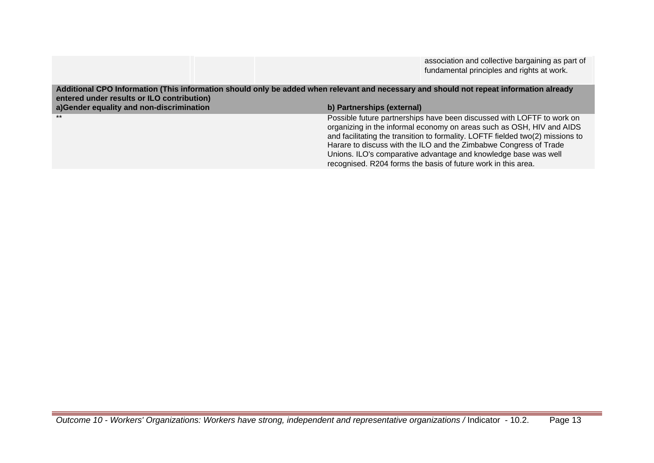association and collective bargaining as part of fundamental principles and rights at work.

**Additional CPO Information (This information should only be added when relevant and necessary and should not repeat information already entered under results or ILO contribution) a)Gender equality and non-discrimination b) Partnerships (external)** Possible future partnerships have been discussed with LOFTF to work on organizing in the informal economy on areas such as OSH, HIV and AIDS and facilitating the transition to formality. LOFTF fielded two(2) missions to Harare to discuss with the ILO and the Zimbabwe Congress of Trade Unions. ILO's comparative advantage and knowledge base was well recognised. R204 forms the basis of future work in this area.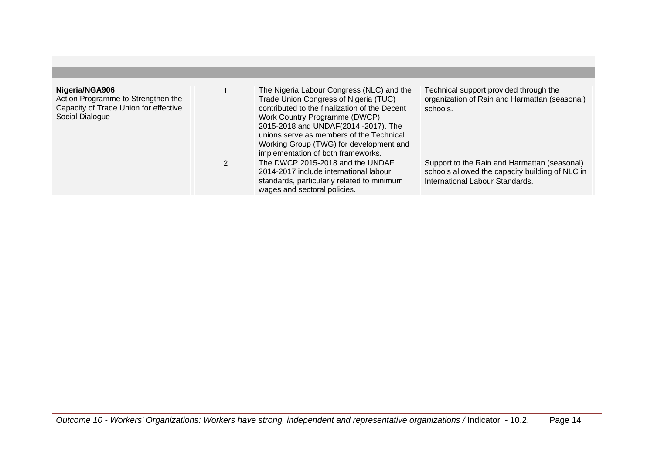| Nigeria/NGA906<br>Action Programme to Strengthen the<br>Capacity of Trade Union for effective<br>Social Dialogue |    | The Nigeria Labour Congress (NLC) and the<br>Trade Union Congress of Nigeria (TUC)<br>contributed to the finalization of the Decent<br>Work Country Programme (DWCP)<br>2015-2018 and UNDAF(2014 -2017). The<br>unions serve as members of the Technical<br>Working Group (TWG) for development and<br>implementation of both frameworks. | Technical support provided through the<br>organization of Rain and Harmattan (seasonal)<br>schools.                                |
|------------------------------------------------------------------------------------------------------------------|----|-------------------------------------------------------------------------------------------------------------------------------------------------------------------------------------------------------------------------------------------------------------------------------------------------------------------------------------------|------------------------------------------------------------------------------------------------------------------------------------|
|                                                                                                                  | 2. | The DWCP 2015-2018 and the UNDAF<br>2014-2017 include international labour<br>standards, particularly related to minimum<br>wages and sectoral policies.                                                                                                                                                                                  | Support to the Rain and Harmattan (seasonal)<br>schools allowed the capacity building of NLC in<br>International Labour Standards. |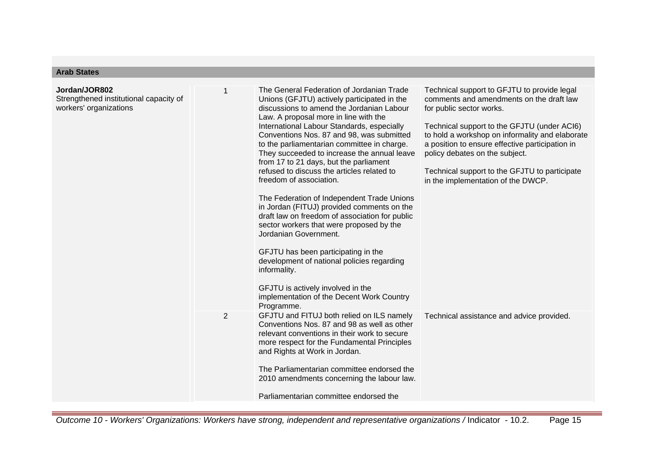# **Arab States**

| Jordan/JOR802<br>Strengthened institutional capacity of<br>workers' organizations |                | The General Federation of Jordanian Trade<br>Unions (GFJTU) actively participated in the<br>discussions to amend the Jordanian Labour<br>Law. A proposal more in line with the<br>International Labour Standards, especially<br>Conventions Nos. 87 and 98, was submitted<br>to the parliamentarian committee in charge.<br>They succeeded to increase the annual leave<br>from 17 to 21 days, but the parliament<br>refused to discuss the articles related to<br>freedom of association.<br>The Federation of Independent Trade Unions<br>in Jordan (FITUJ) provided comments on the<br>draft law on freedom of association for public<br>sector workers that were proposed by the<br>Jordanian Government.<br>GFJTU has been participating in the<br>development of national policies regarding<br>informality.<br>GFJTU is actively involved in the<br>implementation of the Decent Work Country | Technical support to GFJTU to provide legal<br>comments and amendments on the draft law<br>for public sector works.<br>Technical support to the GFJTU (under ACI6)<br>to hold a workshop on informality and elaborate<br>a position to ensure effective participation in<br>policy debates on the subject.<br>Technical support to the GFJTU to participate<br>in the implementation of the DWCP. |
|-----------------------------------------------------------------------------------|----------------|------------------------------------------------------------------------------------------------------------------------------------------------------------------------------------------------------------------------------------------------------------------------------------------------------------------------------------------------------------------------------------------------------------------------------------------------------------------------------------------------------------------------------------------------------------------------------------------------------------------------------------------------------------------------------------------------------------------------------------------------------------------------------------------------------------------------------------------------------------------------------------------------------|---------------------------------------------------------------------------------------------------------------------------------------------------------------------------------------------------------------------------------------------------------------------------------------------------------------------------------------------------------------------------------------------------|
|                                                                                   | $\overline{2}$ | Programme.<br>GFJTU and FITUJ both relied on ILS namely<br>Conventions Nos. 87 and 98 as well as other<br>relevant conventions in their work to secure<br>more respect for the Fundamental Principles<br>and Rights at Work in Jordan.<br>The Parliamentarian committee endorsed the<br>2010 amendments concerning the labour law.<br>Parliamentarian committee endorsed the                                                                                                                                                                                                                                                                                                                                                                                                                                                                                                                         | Technical assistance and advice provided.                                                                                                                                                                                                                                                                                                                                                         |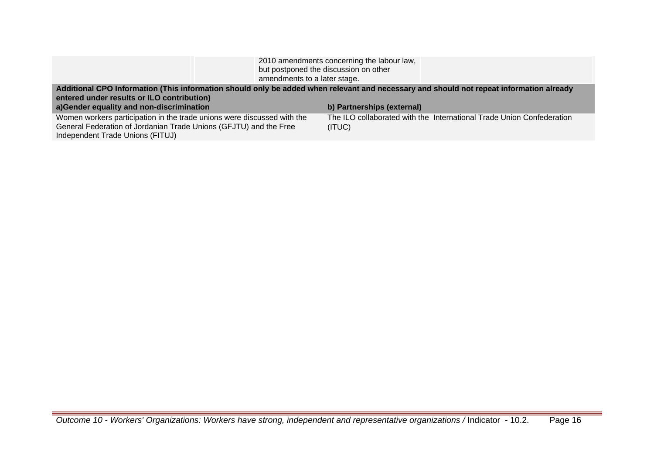| amendments to a later stage.                                                                                                                                                                                                      | 2010 amendments concerning the labour law,<br>but postponed the discussion on other |
|-----------------------------------------------------------------------------------------------------------------------------------------------------------------------------------------------------------------------------------|-------------------------------------------------------------------------------------|
| Additional CPO Information (This information should only be added when relevant and necessary and should not repeat information already<br>entered under results or ILO contribution)<br>a)Gender equality and non-discrimination | b) Partnerships (external)                                                          |
| Women workers participation in the trade unions were discussed with the<br>General Federation of Jordanian Trade Unions (GFJTU) and the Free<br>Independent Trade Unions (FITUJ)                                                  | The ILO collaborated with the International Trade Union Confederation<br>(ITUC)     |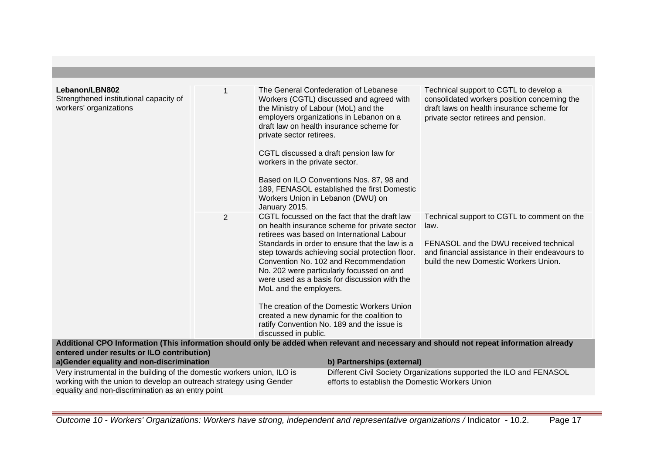| Lebanon/LBN802<br>Strengthened institutional capacity of<br>workers' organizations                                                                                                                  |                | the Ministry of Labour (MoL) and the<br>private sector retirees.<br>workers in the private sector.<br>Workers Union in Lebanon (DWU) on<br>January 2015. | The General Confederation of Lebanese<br>Workers (CGTL) discussed and agreed with<br>employers organizations in Lebanon on a<br>draft law on health insurance scheme for<br>CGTL discussed a draft pension law for<br>Based on ILO Conventions Nos. 87, 98 and<br>189, FENASOL established the first Domestic                                                                                                                                                                                                                    | Technical support to CGTL to develop a<br>consolidated workers position concerning the<br>draft laws on health insurance scheme for<br>private sector retirees and pension.               |
|-----------------------------------------------------------------------------------------------------------------------------------------------------------------------------------------------------|----------------|----------------------------------------------------------------------------------------------------------------------------------------------------------|----------------------------------------------------------------------------------------------------------------------------------------------------------------------------------------------------------------------------------------------------------------------------------------------------------------------------------------------------------------------------------------------------------------------------------------------------------------------------------------------------------------------------------|-------------------------------------------------------------------------------------------------------------------------------------------------------------------------------------------|
|                                                                                                                                                                                                     | $\overline{2}$ | MoL and the employers.<br>discussed in public.                                                                                                           | CGTL focussed on the fact that the draft law<br>on health insurance scheme for private sector<br>retirees was based on International Labour<br>Standards in order to ensure that the law is a<br>step towards achieving social protection floor.<br>Convention No. 102 and Recommendation<br>No. 202 were particularly focussed on and<br>were used as a basis for discussion with the<br>The creation of the Domestic Workers Union<br>created a new dynamic for the coalition to<br>ratify Convention No. 189 and the issue is | Technical support to CGTL to comment on the<br>law.<br>FENASOL and the DWU received technical<br>and financial assistance in their endeavours to<br>build the new Domestic Workers Union. |
| entered under results or ILO contribution)                                                                                                                                                          |                |                                                                                                                                                          |                                                                                                                                                                                                                                                                                                                                                                                                                                                                                                                                  | Additional CPO Information (This information should only be added when relevant and necessary and should not repeat information already                                                   |
| a)Gender equality and non-discrimination                                                                                                                                                            |                |                                                                                                                                                          | b) Partnerships (external)                                                                                                                                                                                                                                                                                                                                                                                                                                                                                                       |                                                                                                                                                                                           |
| Very instrumental in the building of the domestic workers union, ILO is<br>working with the union to develop an outreach strategy using Gender<br>equality and non-discrimination as an entry point |                |                                                                                                                                                          | efforts to establish the Domestic Workers Union                                                                                                                                                                                                                                                                                                                                                                                                                                                                                  | Different Civil Society Organizations supported the ILO and FENASOL                                                                                                                       |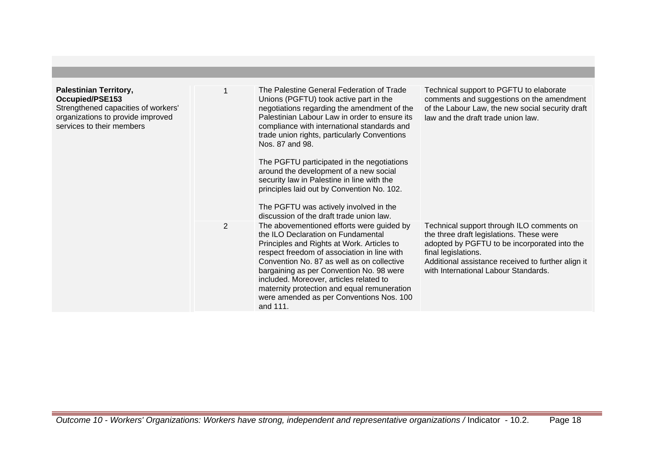| <b>Palestinian Territory,</b><br><b>Occupied/PSE153</b><br>Strengthened capacities of workers'<br>organizations to provide improved<br>services to their members |                | The Palestine General Federation of Trade<br>Unions (PGFTU) took active part in the<br>negotiations regarding the amendment of the<br>Palestinian Labour Law in order to ensure its<br>compliance with international standards and<br>trade union rights, particularly Conventions<br>Nos. 87 and 98.<br>The PGFTU participated in the negotiations<br>around the development of a new social<br>security law in Palestine in line with the<br>principles laid out by Convention No. 102.<br>The PGFTU was actively involved in the<br>discussion of the draft trade union law. | Technical support to PGFTU to elaborate<br>comments and suggestions on the amendment<br>of the Labour Law, the new social security draft<br>law and the draft trade union law.                                                                             |
|------------------------------------------------------------------------------------------------------------------------------------------------------------------|----------------|---------------------------------------------------------------------------------------------------------------------------------------------------------------------------------------------------------------------------------------------------------------------------------------------------------------------------------------------------------------------------------------------------------------------------------------------------------------------------------------------------------------------------------------------------------------------------------|------------------------------------------------------------------------------------------------------------------------------------------------------------------------------------------------------------------------------------------------------------|
|                                                                                                                                                                  | $\overline{2}$ | The abovementioned efforts were guided by<br>the ILO Declaration on Fundamental<br>Principles and Rights at Work. Articles to<br>respect freedom of association in line with<br>Convention No. 87 as well as on collective<br>bargaining as per Convention No. 98 were<br>included. Moreover, articles related to<br>maternity protection and equal remuneration<br>were amended as per Conventions Nos. 100<br>and 111.                                                                                                                                                        | Technical support through ILO comments on<br>the three draft legislations. These were<br>adopted by PGFTU to be incorporated into the<br>final legislations.<br>Additional assistance received to further align it<br>with International Labour Standards. |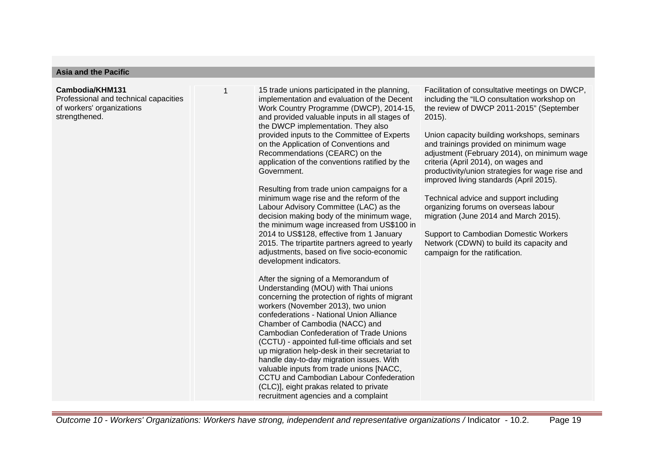### **Asia and the Pacific**

#### **Cambodia/KHM131**

Professional and technical capacities of workers' organizations strengthened.

15 trade unions participated in the planning. implementation and evaluation of the Decent Work Country Programme (DWCP), 2014-15, and provided valuable inputs in all stages of the DWCP implementation. They also provided inputs to the Committee of Experts on the Application of Conventions and Recommendations (CEARC) on the application of the conventions ratified by the Government.

Resulting from trade union campaigns for a minimum wage rise and the reform of the Labour Advisory Committee (LAC) as the decision making body of the minimum wage, the minimum wage increased from US\$100 in 2014 to US\$128, effective from 1 January 2015. The tripartite partners agreed to yearly adjustments, based on five socio-economic development indicators.

After the signing of a Memorandum of Understanding (MOU) with Thai unions concerning the protection of rights of migrant workers (November 2013), two union confederations - National Union Alliance Chamber of Cambodia (NACC) and Cambodian Confederation of Trade Unions (CCTU) - appointed full-time officials and set up migration help-desk in their secretariat to handle day-to-day migration issues. With valuable inputs from trade unions [NACC, CCTU and Cambodian Labour Confederation (CLC)], eight prakas related to private recruitment agencies and a complaint

Facilitation of consultative meetings on DWCP, including the "ILO consultation workshop on the review of DWCP 2011-2015" (September 2015).

Union capacity building workshops, seminars and trainings provided on minimum wage adjustment (February 2014), on minimum wage criteria (April 2014), on wages and productivity/union strategies for wage rise and improved living standards (April 2015).

Technical advice and support including organizing forums on overseas labour migration (June 2014 and March 2015).

Support to Cambodian Domestic Workers Network (CDWN) to build its capacity and campaign for the ratification.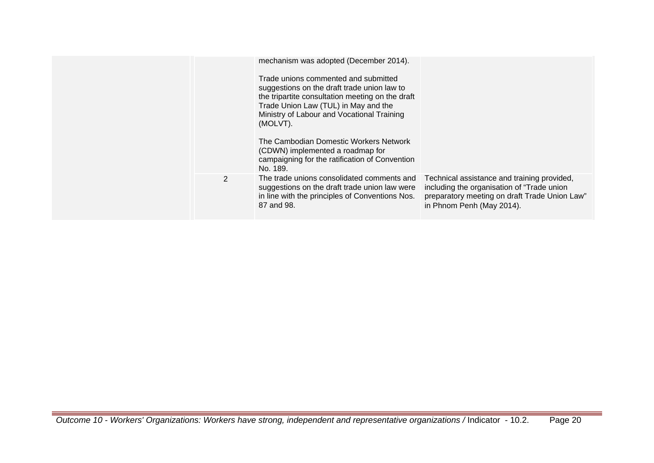|                | mechanism was adopted (December 2014).<br>Trade unions commented and submitted<br>suggestions on the draft trade union law to<br>the tripartite consultation meeting on the draft<br>Trade Union Law (TUL) in May and the<br>Ministry of Labour and Vocational Training<br>(MOLVT).<br>The Cambodian Domestic Workers Network<br>(CDWN) implemented a roadmap for<br>campaigning for the ratification of Convention<br>No. 189. |                                                                                                                                                                          |
|----------------|---------------------------------------------------------------------------------------------------------------------------------------------------------------------------------------------------------------------------------------------------------------------------------------------------------------------------------------------------------------------------------------------------------------------------------|--------------------------------------------------------------------------------------------------------------------------------------------------------------------------|
| $\overline{2}$ | The trade unions consolidated comments and<br>suggestions on the draft trade union law were<br>in line with the principles of Conventions Nos.<br>87 and 98.                                                                                                                                                                                                                                                                    | Technical assistance and training provided,<br>including the organisation of "Trade union"<br>preparatory meeting on draft Trade Union Law"<br>in Phnom Penh (May 2014). |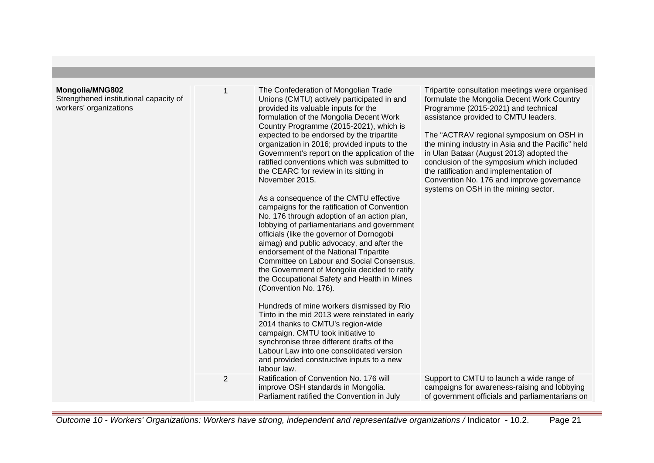## **Mongolia/MNG802**

Strengthened institutional capacity of workers' organizations

| 1 | The Confederation of Mongolian Trade<br>Unions (CMTU) actively participated in and<br>provided its valuable inputs for the<br>formulation of the Mongolia Decent Work<br>Country Programme (2015-2021), which is<br>expected to be endorsed by the tripartite<br>organization in 2016; provided inputs to the<br>Government's report on the application of the<br>ratified conventions which was submitted to<br>the CEARC for review in its sitting in<br>November 2015. |
|---|---------------------------------------------------------------------------------------------------------------------------------------------------------------------------------------------------------------------------------------------------------------------------------------------------------------------------------------------------------------------------------------------------------------------------------------------------------------------------|
|   |                                                                                                                                                                                                                                                                                                                                                                                                                                                                           |

As a consequence of the CMTU effective campaigns for the ratification of Convention No. 176 through adoption of an action plan, lobbying of parliamentarians and government officials (like the governor of Dornogobi aimag) and public advocacy, and after the endorsement of the National Tripartite Committee on Labour and Social Consensus, the Government of Mongolia decided to ratify the Occupational Safety and Health in Mines (Convention No. 176).

Hundreds of mine workers dismissed by Rio Tinto in the mid 2013 were reinstated in early 2014 thanks to CMTU's region-wide campaign. CMTU took initiative to synchronise three different drafts of the Labour Law into one consolidated version and provided constructive inputs to a new labour law. 2 Ratification of Convention No. 176 will improve OSH standards in Mongolia.

Tripartite consultation meetings were organised formulate the Mongolia Decent Work Country Programme (2015-2021) and technical assistance provided to CMTU leaders.

The "ACTRAV regional symposium on OSH in the mining industry in Asia and the Pacific" held in Ulan Bataar (August 2013) adopted the conclusion of the symposium which included the ratification and implementation of Convention No. 176 and improve governance systems on OSH in the mining sector.

| Ratification of Convention No. 176 will    | Support to CMTU to launch a wide range of       |
|--------------------------------------------|-------------------------------------------------|
| improve OSH standards in Mongolia.         | campaigns for awareness-raising and lobbying    |
| Parliament ratified the Convention in July | of government officials and parliamentarians on |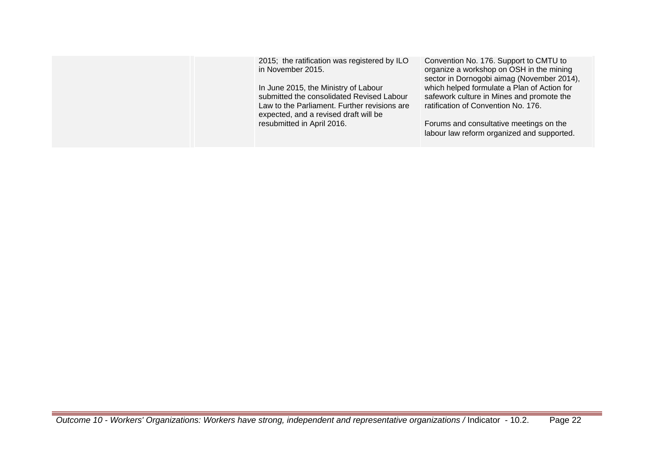| 2015; the ratification was registered by ILO<br>in November 2015.<br>In June 2015, the Ministry of Labour<br>submitted the consolidated Revised Labour<br>Law to the Parliament. Further revisions are<br>expected, and a revised draft will be<br>resubmitted in April 2016. | Convention No. 176. Support to CMTU to<br>organize a workshop on OSH in the mining<br>sector in Dornogobi aimag (November 2014),<br>which helped formulate a Plan of Action for<br>safework culture in Mines and promote the<br>ratification of Convention No. 176.<br>Forums and consultative meetings on the<br>labour law reform organized and supported. |
|-------------------------------------------------------------------------------------------------------------------------------------------------------------------------------------------------------------------------------------------------------------------------------|--------------------------------------------------------------------------------------------------------------------------------------------------------------------------------------------------------------------------------------------------------------------------------------------------------------------------------------------------------------|
|                                                                                                                                                                                                                                                                               |                                                                                                                                                                                                                                                                                                                                                              |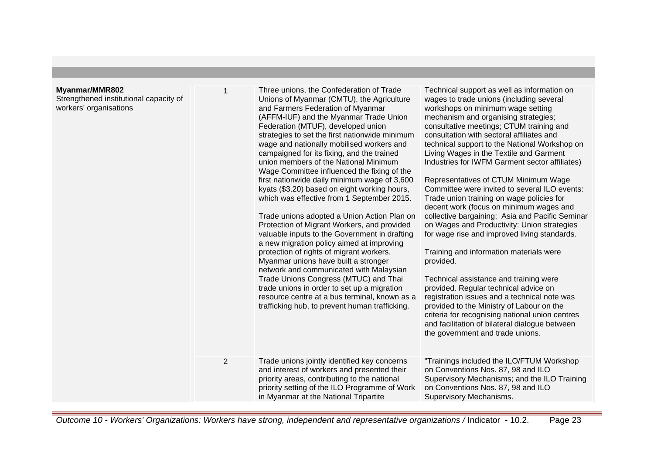## **Myanmar/MMR802**

Strengthened institutional capacity of workers' organisations

| )2<br>itutional capacity of<br>tions | $\mathbf 1$ | Three unions, the Confederation of Trade<br>Unions of Myanmar (CMTU), the Agriculture<br>and Farmers Federation of Myanmar<br>(AFFM-IUF) and the Myanmar Trade Union<br>Federation (MTUF), developed union<br>strategies to set the first nationwide minimum<br>wage and nationally mobilised workers and<br>campaigned for its fixing, and the trained<br>union members of the National Minimum<br>Wage Committee influenced the fixing of the<br>first nationwide daily minimum wage of 3,600<br>kyats (\$3.20) based on eight working hours,<br>which was effective from 1 September 2015.<br>Trade unions adopted a Union Action Plan on<br>Protection of Migrant Workers, and provided<br>valuable inputs to the Government in drafting<br>a new migration policy aimed at improving<br>protection of rights of migrant workers.<br>Myanmar unions have built a stronger<br>network and communicated with Malaysian<br>Trade Unions Congress (MTUC) and Thai<br>trade unions in order to set up a migration<br>resource centre at a bus terminal, known as a<br>trafficking hub, to prevent human trafficking. | Technical support as well as information on<br>wages to trade unions (including several<br>workshops on minimum wage setting<br>mechanism and organising strategies;<br>consultative meetings; CTUM training and<br>consultation with sectoral affiliates and<br>technical support to the National Workshop on<br>Living Wages in the Textile and Garment<br>Industries for IWFM Garment sector affiliates)<br>Representatives of CTUM Minimum Wage<br>Committee were invited to several ILO events:<br>Trade union training on wage policies for<br>decent work (focus on minimum wages and<br>collective bargaining; Asia and Pacific Seminar<br>on Wages and Productivity: Union strategies<br>for wage rise and improved living standards.<br>Training and information materials were<br>provided.<br>Technical assistance and training were<br>provided. Regular technical advice on<br>registration issues and a technical note was<br>provided to the Ministry of Labour on the<br>criteria for recognising national union centres<br>and facilitation of bilateral dialogue between<br>the government and trade unions. |
|--------------------------------------|-------------|---------------------------------------------------------------------------------------------------------------------------------------------------------------------------------------------------------------------------------------------------------------------------------------------------------------------------------------------------------------------------------------------------------------------------------------------------------------------------------------------------------------------------------------------------------------------------------------------------------------------------------------------------------------------------------------------------------------------------------------------------------------------------------------------------------------------------------------------------------------------------------------------------------------------------------------------------------------------------------------------------------------------------------------------------------------------------------------------------------------------|---------------------------------------------------------------------------------------------------------------------------------------------------------------------------------------------------------------------------------------------------------------------------------------------------------------------------------------------------------------------------------------------------------------------------------------------------------------------------------------------------------------------------------------------------------------------------------------------------------------------------------------------------------------------------------------------------------------------------------------------------------------------------------------------------------------------------------------------------------------------------------------------------------------------------------------------------------------------------------------------------------------------------------------------------------------------------------------------------------------------------------|
|                                      | 2           | Trade unions jointly identified key concerns<br>and interest of workers and presented their<br>priority areas, contributing to the national<br>priority setting of the ILO Programme of Work<br>in Myanmar at the National Tripartite                                                                                                                                                                                                                                                                                                                                                                                                                                                                                                                                                                                                                                                                                                                                                                                                                                                                               | "Trainings included the ILO/FTUM Workshop<br>on Conventions Nos. 87, 98 and ILO<br>Supervisory Mechanisms; and the ILO Training<br>on Conventions Nos. 87, 98 and ILO<br>Supervisory Mechanisms.                                                                                                                                                                                                                                                                                                                                                                                                                                                                                                                                                                                                                                                                                                                                                                                                                                                                                                                                |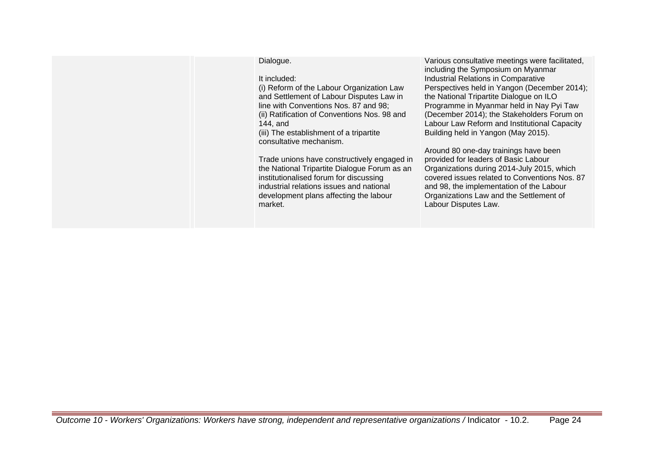Dialogue.

It included:

(i) Reform of the Labour Organization Law and Settlement of Labour Disputes Law in line with Conventions Nos. 87 and 98; (ii) Ratification of Conventions Nos. 98 and 144, and (iii) The establishment of a tripartite consultative mechanism.

Trade unions have constructively engaged in the National Tripartite Dialogue Forum as an institutionalised forum for discussing industrial relations issues and national development plans affecting the labour market.

Various consultative meetings were facilitated, including the Symposium on Myanmar Industrial Relations in Comparative Perspectives held in Yangon (December 2014); the National Tripartite Dialogue on ILO Programme in Myanmar held in Nay Pyi Taw (December 2014); the Stakeholders Forum on Labour Law Reform and Institutional Capacity Building held in Yangon (May 2015).

Around 80 one-day trainings have been provided for leaders of Basic Labour Organizations during 2014-July 2015, which covered issues related to Conventions Nos. 87 and 98, the implementation of the Labour Organizations Law and the Settlement of Labour Disputes Law.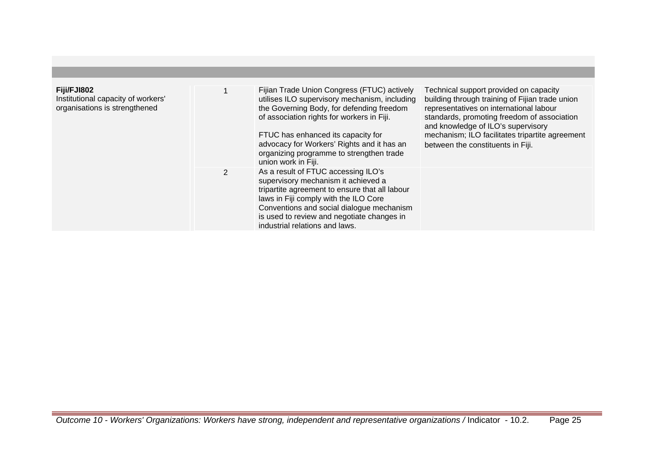| Fiji/FJI802<br>Institutional capacity of workers'<br>organisations is strengthened |                | Fijian Trade Union Congress (FTUC) actively<br>utilises ILO supervisory mechanism, including<br>the Governing Body, for defending freedom<br>of association rights for workers in Fiji.<br>FTUC has enhanced its capacity for<br>advocacy for Workers' Rights and it has an<br>organizing programme to strengthen trade<br>union work in Fiji. | Technical support provided on capacity<br>building through training of Fijian trade union<br>representatives on international labour<br>standards, promoting freedom of association<br>and knowledge of ILO's supervisory<br>mechanism; ILO facilitates tripartite agreement<br>between the constituents in Fiji. |
|------------------------------------------------------------------------------------|----------------|------------------------------------------------------------------------------------------------------------------------------------------------------------------------------------------------------------------------------------------------------------------------------------------------------------------------------------------------|-------------------------------------------------------------------------------------------------------------------------------------------------------------------------------------------------------------------------------------------------------------------------------------------------------------------|
|                                                                                    | $\overline{2}$ | As a result of FTUC accessing ILO's<br>supervisory mechanism it achieved a<br>tripartite agreement to ensure that all labour<br>laws in Fiji comply with the ILO Core<br>Conventions and social dialogue mechanism<br>is used to review and negotiate changes in<br>industrial relations and laws.                                             |                                                                                                                                                                                                                                                                                                                   |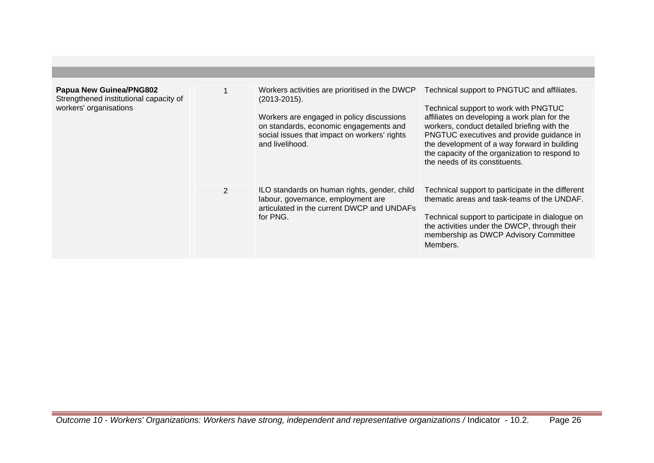| Papua New Guinea/PNG802<br>Strengthened institutional capacity of<br>workers' organisations |   | Workers activities are prioritised in the DWCP<br>$(2013 - 2015)$ .<br>Workers are engaged in policy discussions<br>on standards, economic engagements and<br>social issues that impact on workers' rights<br>and livelihood. | Technical support to PNGTUC and affiliates.<br>Technical support to work with PNGTUC<br>affiliates on developing a work plan for the<br>workers, conduct detailed briefing with the<br>PNGTUC executives and provide guidance in<br>the development of a way forward in building<br>the capacity of the organization to respond to<br>the needs of its constituents. |
|---------------------------------------------------------------------------------------------|---|-------------------------------------------------------------------------------------------------------------------------------------------------------------------------------------------------------------------------------|----------------------------------------------------------------------------------------------------------------------------------------------------------------------------------------------------------------------------------------------------------------------------------------------------------------------------------------------------------------------|
|                                                                                             | 2 | ILO standards on human rights, gender, child<br>labour, governance, employment are<br>articulated in the current DWCP and UNDAFs<br>for PNG.                                                                                  | Technical support to participate in the different<br>thematic areas and task-teams of the UNDAF.<br>Technical support to participate in dialogue on<br>the activities under the DWCP, through their<br>membership as DWCP Advisory Committee<br>Members.                                                                                                             |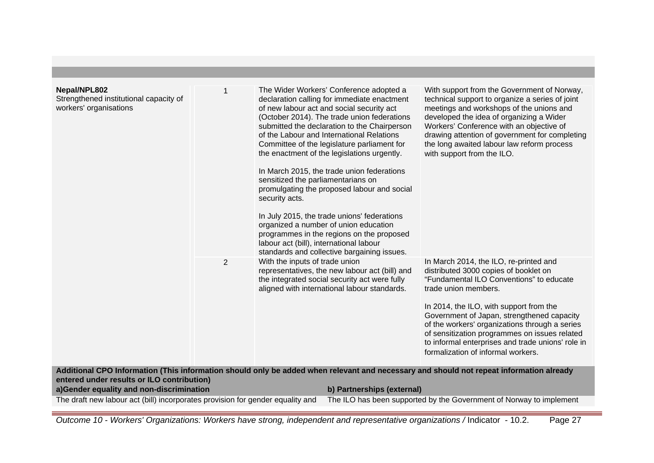| Nepal/NPL802<br>Strengthened institutional capacity of<br>workers' organisations |                | The Wider Workers' Conference adopted a<br>declaration calling for immediate enactment<br>of new labour act and social security act<br>(October 2014). The trade union federations<br>submitted the declaration to the Chairperson<br>of the Labour and International Relations<br>Committee of the legislature parliament for<br>the enactment of the legislations urgently.<br>In March 2015, the trade union federations<br>sensitized the parliamentarians on<br>promulgating the proposed labour and social<br>security acts.<br>In July 2015, the trade unions' federations<br>organized a number of union education<br>programmes in the regions on the proposed<br>labour act (bill), international labour<br>standards and collective bargaining issues. | With support from the Government of Norway,<br>technical support to organize a series of joint<br>meetings and workshops of the unions and<br>developed the idea of organizing a Wider<br>Workers' Conference with an objective of<br>drawing attention of government for completing<br>the long awaited labour law reform process<br>with support from the ILO.                                                                           |
|----------------------------------------------------------------------------------|----------------|-------------------------------------------------------------------------------------------------------------------------------------------------------------------------------------------------------------------------------------------------------------------------------------------------------------------------------------------------------------------------------------------------------------------------------------------------------------------------------------------------------------------------------------------------------------------------------------------------------------------------------------------------------------------------------------------------------------------------------------------------------------------|--------------------------------------------------------------------------------------------------------------------------------------------------------------------------------------------------------------------------------------------------------------------------------------------------------------------------------------------------------------------------------------------------------------------------------------------|
|                                                                                  | $\overline{2}$ | With the inputs of trade union<br>representatives, the new labour act (bill) and<br>the integrated social security act were fully<br>aligned with international labour standards.                                                                                                                                                                                                                                                                                                                                                                                                                                                                                                                                                                                 | In March 2014, the ILO, re-printed and<br>distributed 3000 copies of booklet on<br>"Fundamental ILO Conventions" to educate<br>trade union members.<br>In 2014, the ILO, with support from the<br>Government of Japan, strengthened capacity<br>of the workers' organizations through a series<br>of sensitization programmes on issues related<br>to informal enterprises and trade unions' role in<br>formalization of informal workers. |
| entered under results or ILO contribution)                                       |                | Additional CPO Information (This information should only be added when relevant and necessary and should not repeat information already                                                                                                                                                                                                                                                                                                                                                                                                                                                                                                                                                                                                                           |                                                                                                                                                                                                                                                                                                                                                                                                                                            |
| a)Gender equality and non-discrimination                                         |                | b) Partnerships (external)                                                                                                                                                                                                                                                                                                                                                                                                                                                                                                                                                                                                                                                                                                                                        |                                                                                                                                                                                                                                                                                                                                                                                                                                            |
| The draft new labour act (bill) incorporates provision for gender equality and   |                |                                                                                                                                                                                                                                                                                                                                                                                                                                                                                                                                                                                                                                                                                                                                                                   | The ILO has been supported by the Government of Norway to implement                                                                                                                                                                                                                                                                                                                                                                        |

Outcome 10 - Workers' Organizations: Workers have strong, independent and representative organizations / Indicator - 10.2. Page 27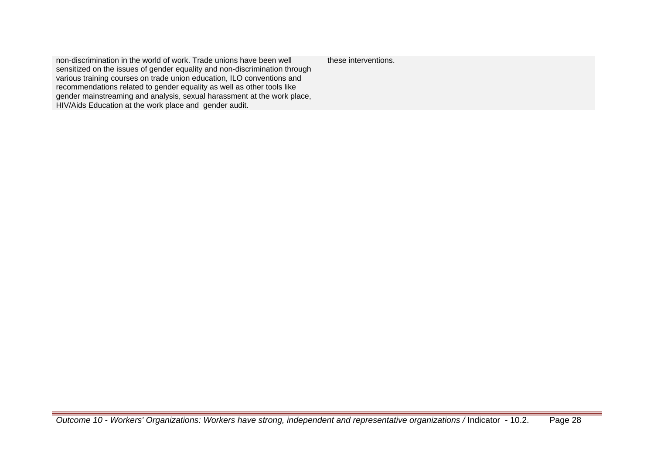non-discrimination in the world of work. Trade unions have been well sensitized on the issues of gender equality and non-discrimination through various training courses on trade union education, ILO conventions and recommendations related to gender equality as well as other tools like gender mainstreaming and analysis, sexual harassment at the work place, HIV/Aids Education at the work place and gender audit. these interventions.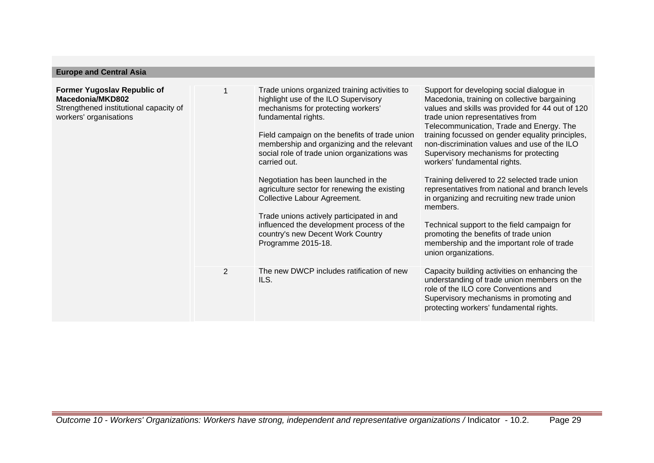| <b>Europe and Central Asia</b>                                                                                             |                |                                                                                                                                                                                                                                                                                                                                                                                                                                                                                                                                                                                                |                                                                                                                                                                                                                                                                                                                                                                                                                                                                                                                                                                                                                                                                                                                                          |
|----------------------------------------------------------------------------------------------------------------------------|----------------|------------------------------------------------------------------------------------------------------------------------------------------------------------------------------------------------------------------------------------------------------------------------------------------------------------------------------------------------------------------------------------------------------------------------------------------------------------------------------------------------------------------------------------------------------------------------------------------------|------------------------------------------------------------------------------------------------------------------------------------------------------------------------------------------------------------------------------------------------------------------------------------------------------------------------------------------------------------------------------------------------------------------------------------------------------------------------------------------------------------------------------------------------------------------------------------------------------------------------------------------------------------------------------------------------------------------------------------------|
| <b>Former Yugoslav Republic of</b><br>Macedonia/MKD802<br>Strengthened institutional capacity of<br>workers' organisations |                | Trade unions organized training activities to<br>highlight use of the ILO Supervisory<br>mechanisms for protecting workers'<br>fundamental rights.<br>Field campaign on the benefits of trade union<br>membership and organizing and the relevant<br>social role of trade union organizations was<br>carried out.<br>Negotiation has been launched in the<br>agriculture sector for renewing the existing<br>Collective Labour Agreement.<br>Trade unions actively participated in and<br>influenced the development process of the<br>country's new Decent Work Country<br>Programme 2015-18. | Support for developing social dialogue in<br>Macedonia, training on collective bargaining<br>values and skills was provided for 44 out of 120<br>trade union representatives from<br>Telecommunication, Trade and Energy. The<br>training focussed on gender equality principles,<br>non-discrimination values and use of the ILO<br>Supervisory mechanisms for protecting<br>workers' fundamental rights.<br>Training delivered to 22 selected trade union<br>representatives from national and branch levels<br>in organizing and recruiting new trade union<br>members.<br>Technical support to the field campaign for<br>promoting the benefits of trade union<br>membership and the important role of trade<br>union organizations. |
|                                                                                                                            | $\overline{2}$ | The new DWCP includes ratification of new<br>ILS.                                                                                                                                                                                                                                                                                                                                                                                                                                                                                                                                              | Capacity building activities on enhancing the<br>understanding of trade union members on the<br>role of the ILO core Conventions and<br>Supervisory mechanisms in promoting and<br>protecting workers' fundamental rights.                                                                                                                                                                                                                                                                                                                                                                                                                                                                                                               |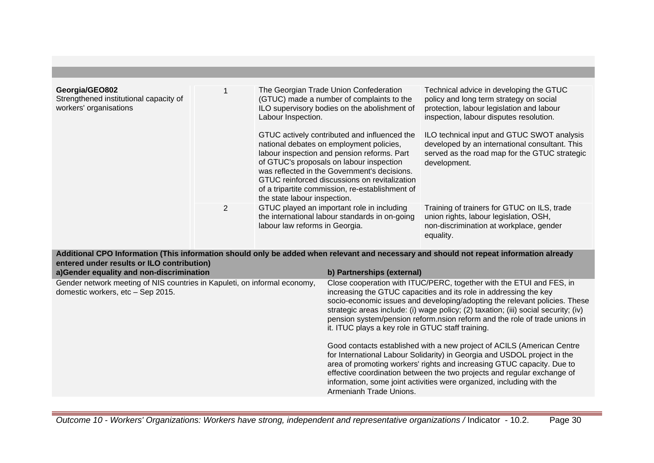| Georgia/GEO802<br>Strengthened institutional capacity of<br>workers' organisations |                | The Georgian Trade Union Confederation<br>(GTUC) made a number of complaints to the<br>ILO supervisory bodies on the abolishment of<br>Labour Inspection.                                                                                                                                                                                                               | Technical advice in developing the GTUC<br>policy and long term strategy on social<br>protection, labour legislation and labour<br>inspection, labour disputes resolution. |
|------------------------------------------------------------------------------------|----------------|-------------------------------------------------------------------------------------------------------------------------------------------------------------------------------------------------------------------------------------------------------------------------------------------------------------------------------------------------------------------------|----------------------------------------------------------------------------------------------------------------------------------------------------------------------------|
|                                                                                    |                | GTUC actively contributed and influenced the<br>national debates on employment policies,<br>labour inspection and pension reforms. Part<br>of GTUC's proposals on labour inspection<br>was reflected in the Government's decisions.<br>GTUC reinforced discussions on revitalization<br>of a tripartite commission, re-establishment of<br>the state labour inspection. | ILO technical input and GTUC SWOT analysis<br>developed by an international consultant. This<br>served as the road map for the GTUC strategic<br>development.              |
|                                                                                    | $\overline{2}$ | GTUC played an important role in including<br>the international labour standards in on-going<br>labour law reforms in Georgia.                                                                                                                                                                                                                                          | Training of trainers for GTUC on ILS, trade<br>union rights, labour legislation, OSH,<br>non-discrimination at workplace, gender<br>equality.                              |

**Additional CPO Information (This information should only be added when relevant and necessary and should not repeat information already entered under results or ILO contribution)**

| a)Gender equality and non-discrimination                                                                       | b) Partnerships (external)                                                                                                                                                                                                                                                                                                                                                                                                                                                                                                                                                                                                                                                                                                                                                                                                                                       |
|----------------------------------------------------------------------------------------------------------------|------------------------------------------------------------------------------------------------------------------------------------------------------------------------------------------------------------------------------------------------------------------------------------------------------------------------------------------------------------------------------------------------------------------------------------------------------------------------------------------------------------------------------------------------------------------------------------------------------------------------------------------------------------------------------------------------------------------------------------------------------------------------------------------------------------------------------------------------------------------|
| Gender network meeting of NIS countries in Kapuleti, on informal economy,<br>domestic workers, etc - Sep 2015. | Close cooperation with ITUC/PERC, together with the ETUI and FES, in<br>increasing the GTUC capacities and its role in addressing the key<br>socio-economic issues and developing/adopting the relevant policies. These<br>strategic areas include: (i) wage policy; (2) taxation; (iii) social security; (iv)<br>pension system/pension reform.nsion reform and the role of trade unions in<br>it. ITUC plays a key role in GTUC staff training.<br>Good contacts established with a new project of ACILS (American Centre<br>for International Labour Solidarity) in Georgia and USDOL project in the<br>area of promoting workers' rights and increasing GTUC capacity. Due to<br>effective coordination between the two projects and regular exchange of<br>information, some joint activities were organized, including with the<br>Armenianh Trade Unions. |
|                                                                                                                |                                                                                                                                                                                                                                                                                                                                                                                                                                                                                                                                                                                                                                                                                                                                                                                                                                                                  |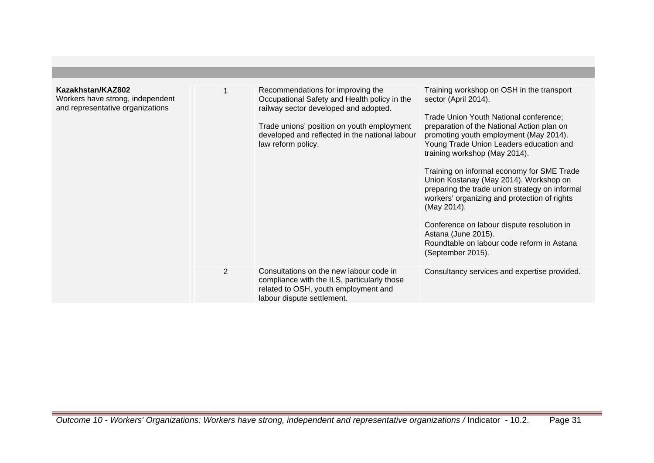| Kazakhstan/KAZ802<br>Workers have strong, independent<br>and representative organizations |                | Recommendations for improving the<br>Occupational Safety and Health policy in the<br>railway sector developed and adopted.<br>Trade unions' position on youth employment<br>developed and reflected in the national labour<br>law reform policy. | Training workshop on OSH in the transport<br>sector (April 2014).<br>Trade Union Youth National conference;<br>preparation of the National Action plan on<br>promoting youth employment (May 2014).<br>Young Trade Union Leaders education and<br>training workshop (May 2014).<br>Training on informal economy for SME Trade<br>Union Kostanay (May 2014). Workshop on<br>preparing the trade union strategy on informal<br>workers' organizing and protection of rights<br>(May 2014).<br>Conference on labour dispute resolution in<br>Astana (June 2015).<br>Roundtable on labour code reform in Astana<br>(September 2015). |
|-------------------------------------------------------------------------------------------|----------------|--------------------------------------------------------------------------------------------------------------------------------------------------------------------------------------------------------------------------------------------------|----------------------------------------------------------------------------------------------------------------------------------------------------------------------------------------------------------------------------------------------------------------------------------------------------------------------------------------------------------------------------------------------------------------------------------------------------------------------------------------------------------------------------------------------------------------------------------------------------------------------------------|
|                                                                                           | $\overline{2}$ | Consultations on the new labour code in<br>compliance with the ILS, particularly those<br>related to OSH, youth employment and<br>labour dispute settlement.                                                                                     | Consultancy services and expertise provided.                                                                                                                                                                                                                                                                                                                                                                                                                                                                                                                                                                                     |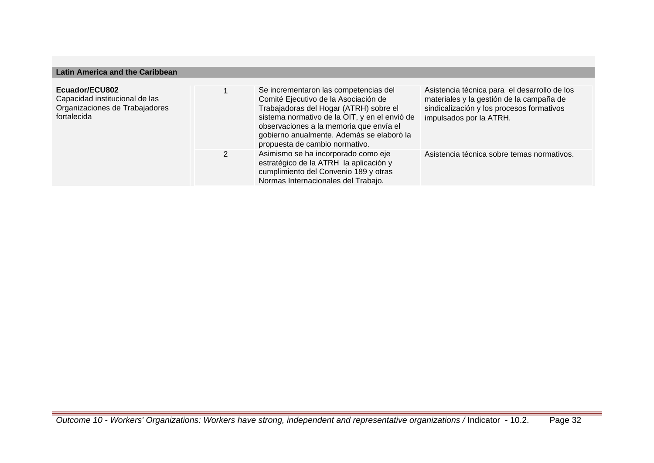## **Latin America and the Caribbean**

| Ecuador/ECU802<br>Capacidad institucional de las<br>Organizaciones de Trabajadores<br>fortalecida | Se incrementaron las competencias del<br>Comité Ejecutivo de la Asociación de<br>Trabajadoras del Hogar (ATRH) sobre el<br>sistema normativo de la OIT, y en el envió de<br>observaciones a la memoria que envía el<br>gobierno anualmente. Además se elaboró la<br>propuesta de cambio normativo. | Asistencia técnica para el desarrollo de los<br>materiales y la gestión de la campaña de<br>sindicalización y los procesos formativos<br>impulsados por la ATRH. |
|---------------------------------------------------------------------------------------------------|----------------------------------------------------------------------------------------------------------------------------------------------------------------------------------------------------------------------------------------------------------------------------------------------------|------------------------------------------------------------------------------------------------------------------------------------------------------------------|
|                                                                                                   | Asimismo se ha incorporado como eje<br>estratégico de la ATRH la aplicación y<br>cumplimiento del Convenio 189 y otras<br>Normas Internacionales del Trabajo.                                                                                                                                      | Asistencia técnica sobre temas normativos.                                                                                                                       |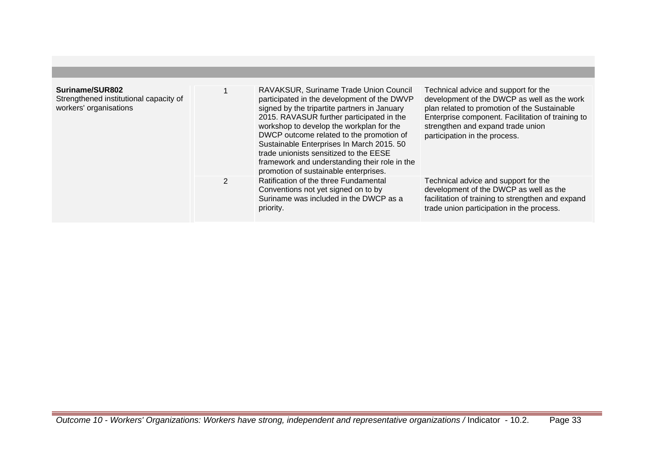| Suriname/SUR802<br>Strengthened institutional capacity of<br>workers' organisations |               | RAVAKSUR, Suriname Trade Union Council<br>participated in the development of the DWVP<br>signed by the tripartite partners in January<br>2015. RAVASUR further participated in the<br>workshop to develop the workplan for the<br>DWCP outcome related to the promotion of<br>Sustainable Enterprises In March 2015. 50<br>trade unionists sensitized to the EESE<br>framework and understanding their role in the<br>promotion of sustainable enterprises. | Technical advice and support for the<br>development of the DWCP as well as the work<br>plan related to promotion of the Sustainable<br>Enterprise component. Facilitation of training to<br>strengthen and expand trade union<br>participation in the process. |
|-------------------------------------------------------------------------------------|---------------|-------------------------------------------------------------------------------------------------------------------------------------------------------------------------------------------------------------------------------------------------------------------------------------------------------------------------------------------------------------------------------------------------------------------------------------------------------------|----------------------------------------------------------------------------------------------------------------------------------------------------------------------------------------------------------------------------------------------------------------|
|                                                                                     | $\mathcal{P}$ | Ratification of the three Fundamental<br>Conventions not yet signed on to by<br>Suriname was included in the DWCP as a<br>priority.                                                                                                                                                                                                                                                                                                                         | Technical advice and support for the<br>development of the DWCP as well as the<br>facilitation of training to strengthen and expand<br>trade union participation in the process.                                                                               |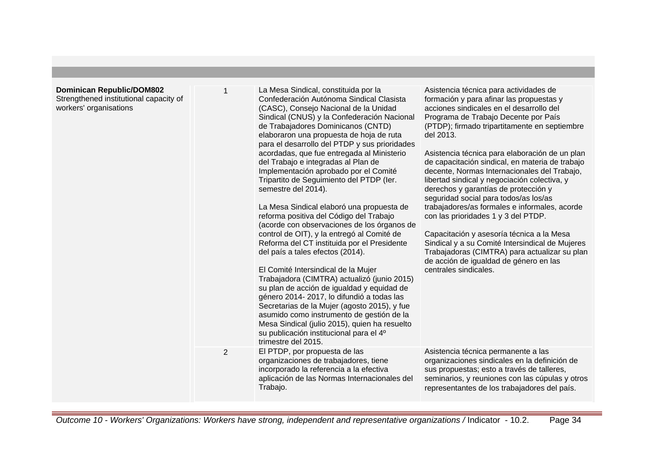| <b>Dominican Republic/DOM802</b><br>Strengthened institutional capacity of<br>workers' organisations |                | La Mesa Sindical, constituida por la<br>Confederación Autónoma Sindical Clasista<br>(CASC), Consejo Nacional de la Unidad<br>Sindical (CNUS) y la Confederación Nacional<br>de Trabajadores Dominicanos (CNTD)<br>elaboraron una propuesta de hoja de ruta<br>para el desarrollo del PTDP y sus prioridades<br>acordadas, que fue entregada al Ministerio<br>del Trabajo e integradas al Plan de<br>Implementación aprobado por el Comité<br>Tripartito de Seguimiento del PTDP (ler.<br>semestre del 2014).<br>La Mesa Sindical elaboró una propuesta de<br>reforma positiva del Código del Trabajo<br>(acorde con observaciones de los órganos de<br>control de OIT), y la entregó al Comité de<br>Reforma del CT instituida por el Presidente<br>del país a tales efectos (2014).<br>El Comité Intersindical de la Mujer<br>Trabajadora (CIMTRA) actualizó (junio 2015)<br>su plan de acción de igualdad y equidad de<br>género 2014-2017, lo difundió a todas las<br>Secretarias de la Mujer (agosto 2015), y fue<br>asumido como instrumento de gestión de la<br>Mesa Sindical (julio 2015), quien ha resuelto<br>su publicación institucional para el 4º<br>trimestre del 2015. | Asistencia técnica para actividades de<br>formación y para afinar las propuestas y<br>acciones sindicales en el desarrollo del<br>Programa de Trabajo Decente por País<br>(PTDP); firmado tripartitamente en septiembre<br>del 2013.<br>Asistencia técnica para elaboración de un plan<br>de capacitación sindical, en materia de trabajo<br>decente, Normas Internacionales del Trabajo,<br>libertad sindical y negociación colectiva, y<br>derechos y garantías de protección y<br>seguridad social para todos/as los/as<br>trabajadores/as formales e informales, acorde<br>con las prioridades 1 y 3 del PTDP.<br>Capacitación y asesoría técnica a la Mesa<br>Sindical y a su Comité Intersindical de Mujeres<br>Trabajadoras (CIMTRA) para actualizar su plan<br>de acción de igualdad de género en las<br>centrales sindicales. |
|------------------------------------------------------------------------------------------------------|----------------|---------------------------------------------------------------------------------------------------------------------------------------------------------------------------------------------------------------------------------------------------------------------------------------------------------------------------------------------------------------------------------------------------------------------------------------------------------------------------------------------------------------------------------------------------------------------------------------------------------------------------------------------------------------------------------------------------------------------------------------------------------------------------------------------------------------------------------------------------------------------------------------------------------------------------------------------------------------------------------------------------------------------------------------------------------------------------------------------------------------------------------------------------------------------------------------|----------------------------------------------------------------------------------------------------------------------------------------------------------------------------------------------------------------------------------------------------------------------------------------------------------------------------------------------------------------------------------------------------------------------------------------------------------------------------------------------------------------------------------------------------------------------------------------------------------------------------------------------------------------------------------------------------------------------------------------------------------------------------------------------------------------------------------------|
|                                                                                                      | $\overline{2}$ | El PTDP, por propuesta de las<br>organizaciones de trabajadores, tiene<br>incorporado la referencia a la efectiva<br>aplicación de las Normas Internacionales del<br>Trabajo.                                                                                                                                                                                                                                                                                                                                                                                                                                                                                                                                                                                                                                                                                                                                                                                                                                                                                                                                                                                                         | Asistencia técnica permanente a las<br>organizaciones sindicales en la definición de<br>sus propuestas; esto a través de talleres,<br>seminarios, y reuniones con las cúpulas y otros<br>representantes de los trabajadores del país.                                                                                                                                                                                                                                                                                                                                                                                                                                                                                                                                                                                                  |

Outcome 10 - Workers' Organizations: Workers have strong, independent and representative organizations / Indicator - 10.2. Page 34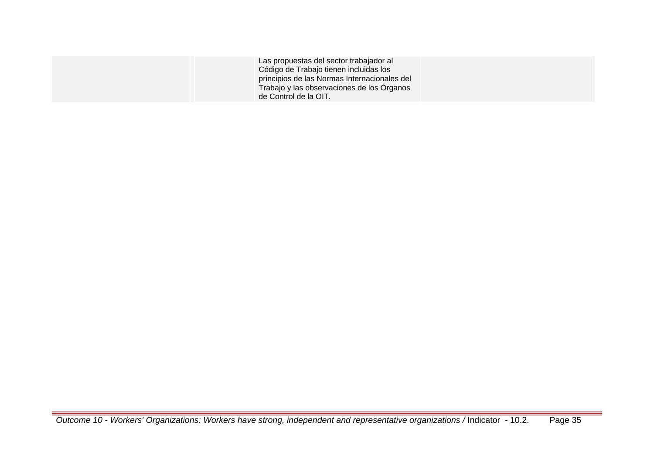| Las propuestas del sector trabajador al<br>Código de Trabajo tienen incluidas los<br>principios de las Normas Internacionales del<br>Trabajo y las observaciones de los Organos<br>de Control de la OIT. |  |
|----------------------------------------------------------------------------------------------------------------------------------------------------------------------------------------------------------|--|
|----------------------------------------------------------------------------------------------------------------------------------------------------------------------------------------------------------|--|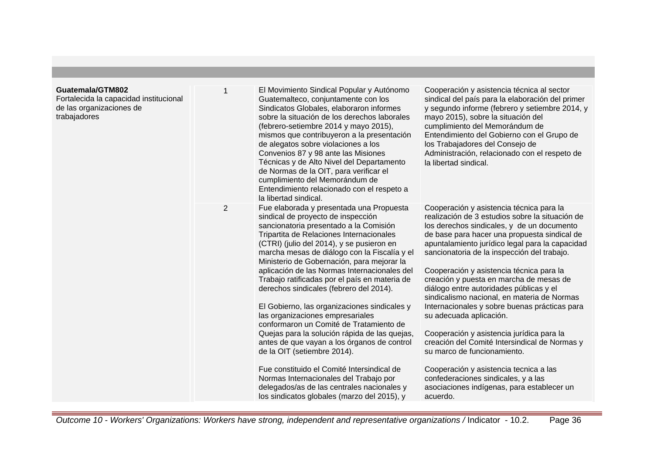## **Guatemala/GTM802**

Fortalecida la capacidad institu de las organizaciones de trabajadores

| ucional | 1 | El Movimiento Sindical Popular y Autónomo<br>Guatemalteco, conjuntamente con los<br>Sindicatos Globales, elaboraron informes<br>sobre la situación de los derechos laborales<br>(febrero-setiembre 2014 y mayo 2015),<br>mismos que contribuyeron a la presentación<br>de alegatos sobre violaciones a los<br>Convenios 87 y 98 ante las Misiones<br>Técnicas y de Alto Nivel del Departamento<br>de Normas de la OIT, para verificar el<br>cumplimiento del Memorándum de<br>Entendimiento relacionado con el respeto a<br>la libertad sindical.                                                                                                                                                                                                                                                                                                                                                              | Cooperación y asistencia técnica al sector<br>sindical del país para la elaboración del primer<br>y segundo informe (febrero y setiembre 2014, y<br>mayo 2015), sobre la situación del<br>cumplimiento del Memorándum de<br>Entendimiento del Gobierno con el Grupo de<br>los Trabajadores del Consejo de<br>Administración, relacionado con el respeto de<br>la libertad sindical.                                                                                                                                                                                                                                                                                                                                                                                                                                              |
|---------|---|----------------------------------------------------------------------------------------------------------------------------------------------------------------------------------------------------------------------------------------------------------------------------------------------------------------------------------------------------------------------------------------------------------------------------------------------------------------------------------------------------------------------------------------------------------------------------------------------------------------------------------------------------------------------------------------------------------------------------------------------------------------------------------------------------------------------------------------------------------------------------------------------------------------|----------------------------------------------------------------------------------------------------------------------------------------------------------------------------------------------------------------------------------------------------------------------------------------------------------------------------------------------------------------------------------------------------------------------------------------------------------------------------------------------------------------------------------------------------------------------------------------------------------------------------------------------------------------------------------------------------------------------------------------------------------------------------------------------------------------------------------|
|         | 2 | Fue elaborada y presentada una Propuesta<br>sindical de proyecto de inspección<br>sancionatoria presentado a la Comisión<br>Tripartita de Relaciones Internacionales<br>(CTRI) (julio del 2014), y se pusieron en<br>marcha mesas de diálogo con la Fiscalía y el<br>Ministerio de Gobernación, para mejorar la<br>aplicación de las Normas Internacionales del<br>Trabajo ratificadas por el país en materia de<br>derechos sindicales (febrero del 2014).<br>El Gobierno, las organizaciones sindicales y<br>las organizaciones empresariales<br>conformaron un Comité de Tratamiento de<br>Quejas para la solución rápida de las quejas,<br>antes de que vayan a los órganos de control<br>de la OIT (setiembre 2014).<br>Fue constituido el Comité Intersindical de<br>Normas Internacionales del Trabajo por<br>delegados/as de las centrales nacionales y<br>los sindicatos globales (marzo del 2015), y | Cooperación y asistencia técnica para la<br>realización de 3 estudios sobre la situación de<br>los derechos sindicales, y de un documento<br>de base para hacer una propuesta sindical de<br>apuntalamiento jurídico legal para la capacidad<br>sancionatoria de la inspección del trabajo.<br>Cooperación y asistencia técnica para la<br>creación y puesta en marcha de mesas de<br>diálogo entre autoridades públicas y el<br>sindicalismo nacional, en materia de Normas<br>Internacionales y sobre buenas prácticas para<br>su adecuada aplicación.<br>Cooperación y asistencia jurídica para la<br>creación del Comité Intersindical de Normas y<br>su marco de funcionamiento.<br>Cooperación y asistencia tecnica a las<br>confederaciones sindicales, y a las<br>asociaciones indígenas, para establecer un<br>acuerdo. |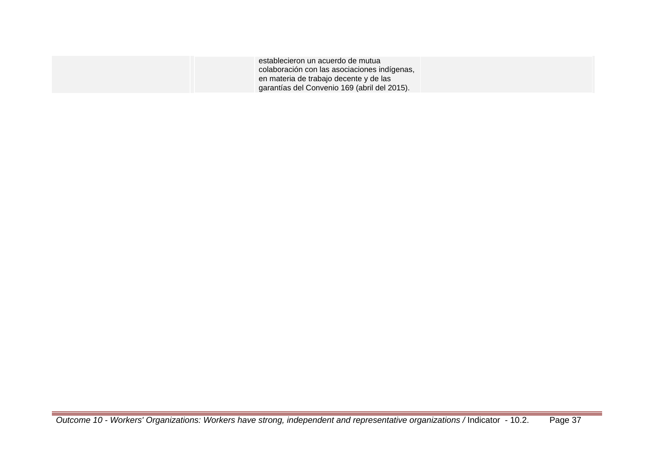| establecieron un acuerdo de mutua            |  |
|----------------------------------------------|--|
| colaboración con las asociaciones indígenas, |  |
| en materia de trabajo decente y de las       |  |
| garantías del Convenio 169 (abril del 2015). |  |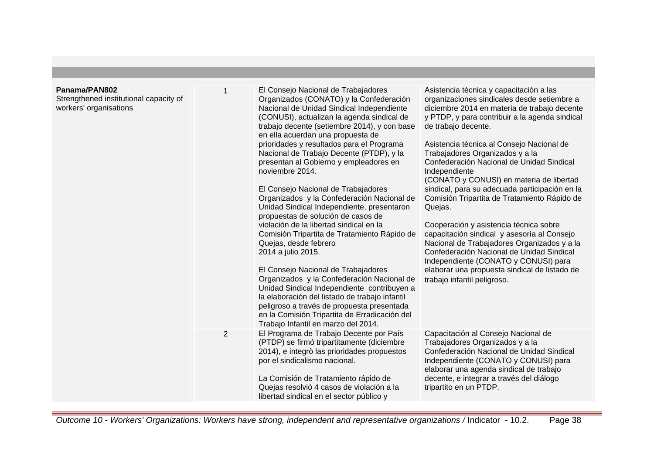| Panama/PAN802<br>Strengthened institutional capacity of<br>workers' organisations | $\mathbf 1$    | El Consejo Nacional de Trabajadores<br>Organizados (CONATO) y la Confederación<br>Nacional de Unidad Sindical Independiente<br>(CONUSI), actualizan la agenda sindical de<br>trabajo decente (setiembre 2014), y con base<br>en ella acuerdan una propuesta de<br>prioridades y resultados para el Programa<br>Nacional de Trabajo Decente (PTDP), y la<br>presentan al Gobierno y empleadores en<br>noviembre 2014.<br>El Consejo Nacional de Trabajadores<br>Organizados y la Confederación Nacional de<br>Unidad Sindical Independiente, presentaron<br>propuestas de solución de casos de<br>violación de la libertad sindical en la<br>Comisión Tripartita de Tratamiento Rápido de<br>Quejas, desde febrero<br>2014 a julio 2015.<br>El Consejo Nacional de Trabajadores<br>Organizados y la Confederación Nacional de<br>Unidad Sindical Independiente contribuyen a<br>la elaboración del listado de trabajo infantil<br>peligroso a través de propuesta presentada<br>en la Comisión Tripartita de Erradicación del<br>Trabajo Infantil en marzo del 2014. | Asistencia técnica y capacitación a las<br>organizaciones sindicales desde setiembre a<br>diciembre 2014 en materia de trabajo decente<br>y PTDP, y para contribuir a la agenda sindical<br>de trabajo decente.<br>Asistencia técnica al Consejo Nacional de<br>Trabajadores Organizados y a la<br>Confederación Nacional de Unidad Sindical<br>Independiente<br>(CONATO y CONUSI) en materia de libertad<br>sindical, para su adecuada participación en la<br>Comisión Tripartita de Tratamiento Rápido de<br>Quejas.<br>Cooperación y asistencia técnica sobre<br>capacitación sindical y asesoría al Consejo<br>Nacional de Trabajadores Organizados y a la<br>Confederación Nacional de Unidad Sindical<br>Independiente (CONATO y CONUSI) para<br>elaborar una propuesta sindical de listado de<br>trabajo infantil peligroso. |
|-----------------------------------------------------------------------------------|----------------|---------------------------------------------------------------------------------------------------------------------------------------------------------------------------------------------------------------------------------------------------------------------------------------------------------------------------------------------------------------------------------------------------------------------------------------------------------------------------------------------------------------------------------------------------------------------------------------------------------------------------------------------------------------------------------------------------------------------------------------------------------------------------------------------------------------------------------------------------------------------------------------------------------------------------------------------------------------------------------------------------------------------------------------------------------------------|-------------------------------------------------------------------------------------------------------------------------------------------------------------------------------------------------------------------------------------------------------------------------------------------------------------------------------------------------------------------------------------------------------------------------------------------------------------------------------------------------------------------------------------------------------------------------------------------------------------------------------------------------------------------------------------------------------------------------------------------------------------------------------------------------------------------------------------|
|                                                                                   | $\overline{2}$ | El Programa de Trabajo Decente por País<br>(PTDP) se firmó tripartitamente (diciembre<br>2014), e integrò las prioridades propuestos<br>por el sindicalismo nacional.<br>La Comisión de Tratamiento rápido de<br>Quejas resolvió 4 casos de violación a la<br>libertad sindical en el sector público y                                                                                                                                                                                                                                                                                                                                                                                                                                                                                                                                                                                                                                                                                                                                                              | Capacitación al Consejo Nacional de<br>Trabajadores Organizados y a la<br>Confederación Nacional de Unidad Sindical<br>Independiente (CONATO y CONUSI) para<br>elaborar una agenda sindical de trabajo<br>decente, e integrar a través del diálogo<br>tripartito en un PTDP.                                                                                                                                                                                                                                                                                                                                                                                                                                                                                                                                                        |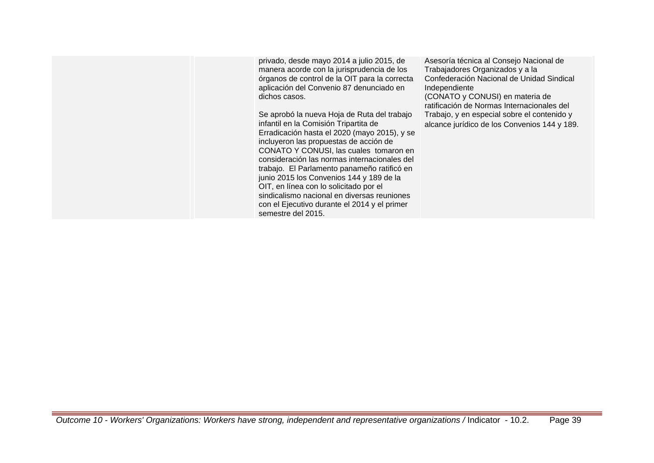privado, desde mayo 2014 a julio 2015, de manera acorde con la jurisprudencia de los órganos de control de la OIT para la correcta aplicación del Convenio 87 denunciado en dichos casos.

Se aprobó la nueva Hoja de Ruta del trabajo infantil en la Comisión Tripartita de Erradicación hasta el 2020 (mayo 2015), y se incluyeron las propuestas de acción de CONATO Y CONUSI, las cuales tomaron en consideración las normas internacionales del trabajo. El Parlamento panameño ratificó en junio 2015 los Convenios 144 y 189 de la OIT, en línea con lo solicitado por el sindicalismo nacional en diversas reuniones con el Ejecutivo durante el 2014 y el primer semestre del 2015.

Asesoría técnica al Consejo Nacional de Trabajadores Organizados y a la Confederación Nacional de Unidad Sindical Independiente (CONATO y CONUSI) en materia de ratificación de Normas Internacionales del

Trabajo, y en especial sobre el contenido y alcance jurídico de los Convenios 144 y 189.